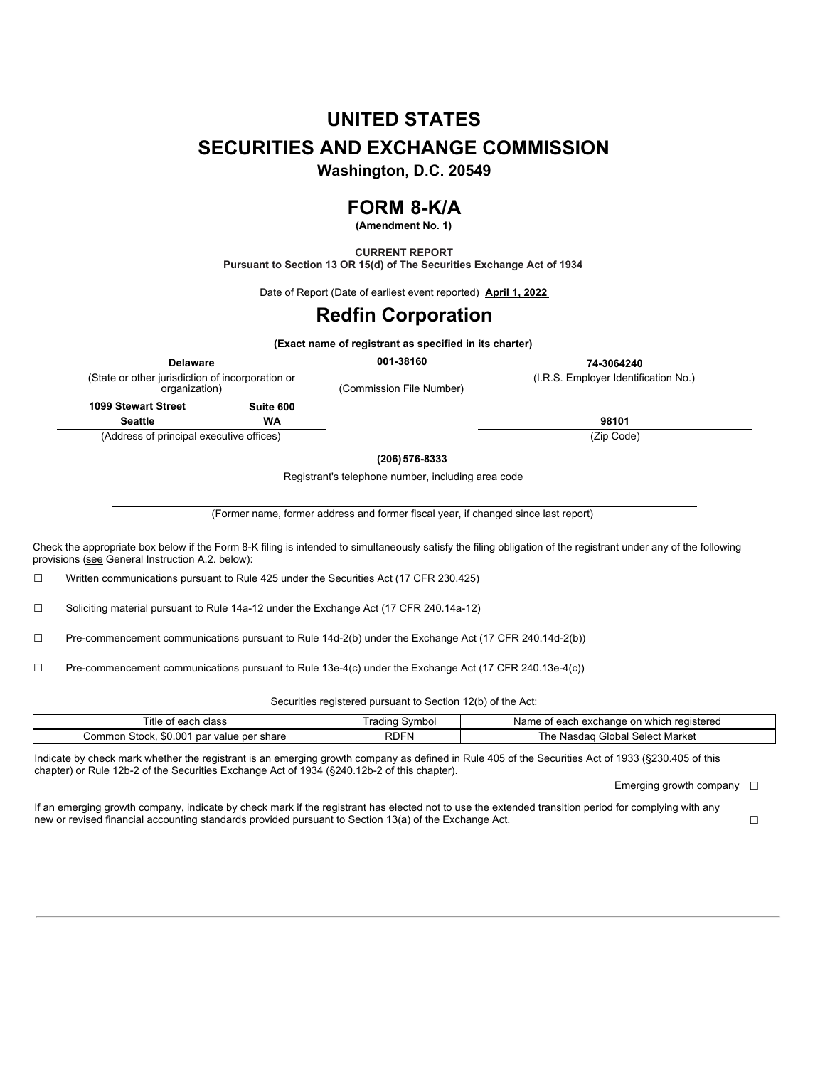# **UNITED STATES SECURITIES AND EXCHANGE COMMISSION**

**Washington, D.C. 20549**

## **FORM 8-K/A**

**(Amendment No. 1)**

**CURRENT REPORT Pursuant to Section 13 OR 15(d) of The Securities Exchange Act of 1934**

Date of Report (Date of earliest event reported) **April 1, 2022**

## **Redfin Corporation**

| <b>Delaware</b>                                                   |           | 001-38160                | 74-3064240                           |  |  |
|-------------------------------------------------------------------|-----------|--------------------------|--------------------------------------|--|--|
| (State or other jurisdiction of incorporation or<br>organization) |           | (Commission File Number) | (I.R.S. Employer Identification No.) |  |  |
| 1099 Stewart Street                                               | Suite 600 |                          |                                      |  |  |
| <b>Seattle</b>                                                    | WA        |                          | 98101                                |  |  |

**(206)576-8333**

Registrant's telephone number, including area code

(Former name, former address and former fiscal year, if changed since last report)

Check the appropriate box below if the Form 8-K filing is intended to simultaneously satisfy the filing obligation of the registrant under any of the following provisions (see General Instruction A.2. below):

☐ Written communications pursuant to Rule 425 under the Securities Act (17 CFR 230.425)

☐ Soliciting material pursuant to Rule 14a-12 under the Exchange Act (17 CFR 240.14a-12)

☐ Pre-commencement communications pursuant to Rule 14d-2(b) under the Exchange Act (17 CFR 240.14d-2(b))

☐ Pre-commencement communications pursuant to Rule 13e-4(c) under the Exchange Act (17 CFR 240.13e-4(c))

Securities registered pursuant to Section 12(b) of the Act:

| Title<br>class<br>each                                                            | Symbol<br>rading | which reaistered ا<br>Name<br>eact<br>change on<br>$\alpha$<br>セハし |
|-----------------------------------------------------------------------------------|------------------|--------------------------------------------------------------------|
| $\sim$<br>$\sim$<br>Stock<br>Common'<br>per share<br>value<br>par<br><b>JU.UU</b> | <b>RDFN</b>      | l Select Market<br>Nasdad<br>$\exists$<br>he<br>Giobal             |

Indicate by check mark whether the registrant is an emerging growth company as defined in Rule 405 of the Securities Act of 1933 (§230.405 of this chapter) or Rule 12b-2 of the Securities Exchange Act of 1934 (§240.12b-2 of this chapter).

Emerging growth company □

If an emerging growth company, indicate by check mark if the registrant has elected not to use the extended transition period for complying with any new or revised financial accounting standards provided pursuant to Section 13(a) of the Exchange Act. □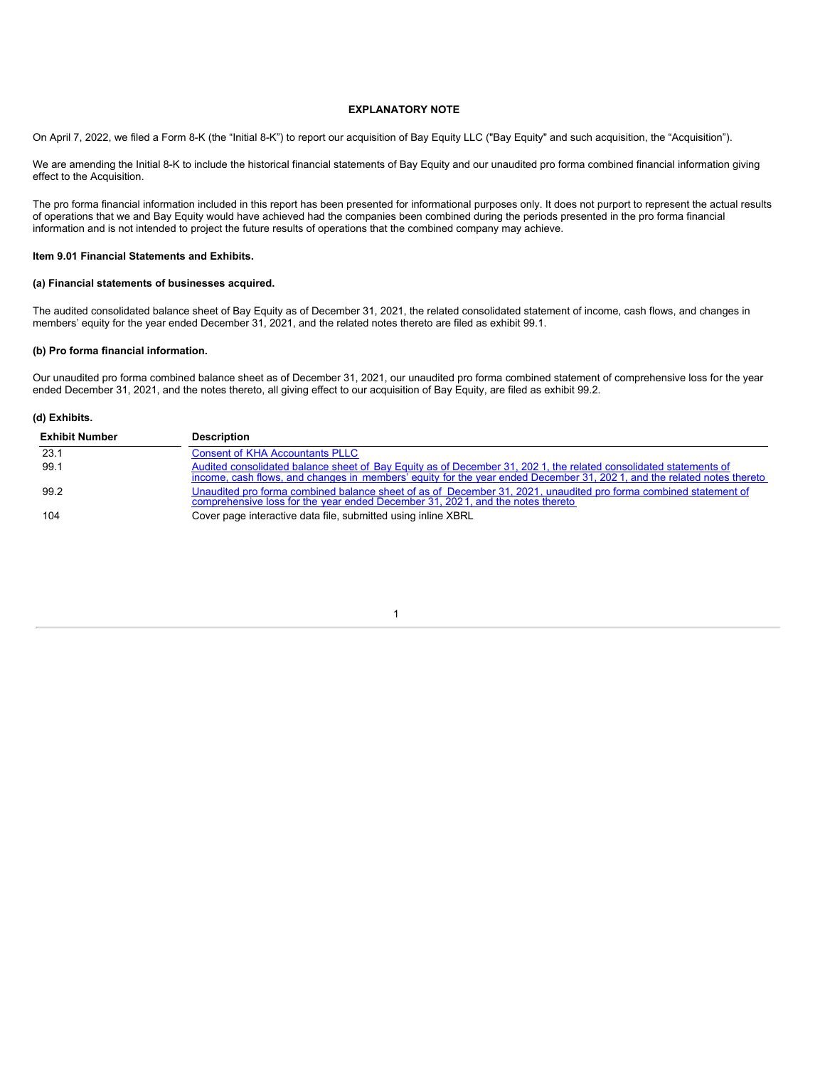#### **EXPLANATORY NOTE**

On April 7, 2022, we filed a Form 8-K (the "Initial 8-K") to report our acquisition of Bay Equity LLC ("Bay Equity" and such acquisition, the "Acquisition").

We are amending the Initial 8-K to include the historical financial statements of Bay Equity and our unaudited pro forma combined financial information giving effect to the Acquisition.

The pro forma financial information included in this report has been presented for informational purposes only. It does not purport to represent the actual results of operations that we and Bay Equity would have achieved had the companies been combined during the periods presented in the pro forma financial information and is not intended to project the future results of operations that the combined company may achieve.

#### **Item 9.01 Financial Statements and Exhibits.**

#### **(a) Financial statements of businesses acquired.**

The audited consolidated balance sheet of Bay Equity as of December 31, 2021, the related consolidated statement of income, cash flows, and changes in members' equity for the year ended December 31, 2021, and the related notes thereto are filed as exhibit 99.1.

#### **(b) Pro forma financial information.**

Our unaudited pro forma combined balance sheet as of December 31, 2021, our unaudited pro forma combined statement of comprehensive loss for the year ended December 31, 2021, and the notes thereto, all giving effect to our acquisition of Bay Equity, are filed as exhibit 99.2.

#### **(d) Exhibits.**

| <b>Exhibit Number</b> | <b>Description</b>                                                                                                                                                                                                                         |
|-----------------------|--------------------------------------------------------------------------------------------------------------------------------------------------------------------------------------------------------------------------------------------|
| 23.1                  | <b>Consent of KHA Accountants PLLC</b>                                                                                                                                                                                                     |
| 99.1                  | Audited consolidated balance sheet of Bay Equity as of December 31, 2021, the related consolidated statements of<br>income, cash flows, and changes in members' equity for the year ended December 31, 2021, and the related notes thereto |
| 99.2                  | Unaudited pro forma combined balance sheet of as of December 31, 2021, unaudited pro forma combined statement of<br>comprehensive loss for the year ended December 31, 2021, and the notes thereto                                         |
| 104                   | Cover page interactive data file, submitted using inline XBRL                                                                                                                                                                              |

| ۰, |  |
|----|--|
|    |  |
|    |  |
|    |  |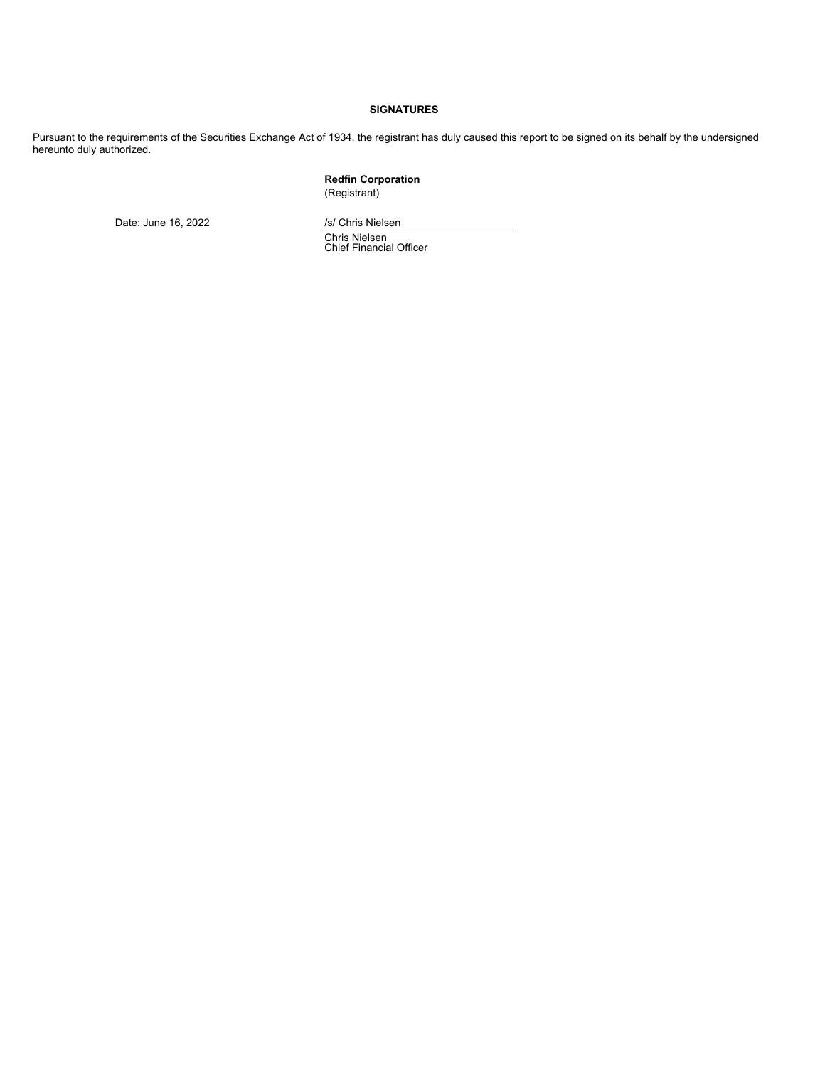#### **SIGNATURES**

Pursuant to the requirements of the Securities Exchange Act of 1934, the registrant has duly caused this report to be signed on its behalf by the undersigned hereunto duly authorized.

## **Redfin Corporation**

(Registrant)

Date: June 16, 2022 /s/ Chris Nielsen

Chris Nielsen Chief Financial Officer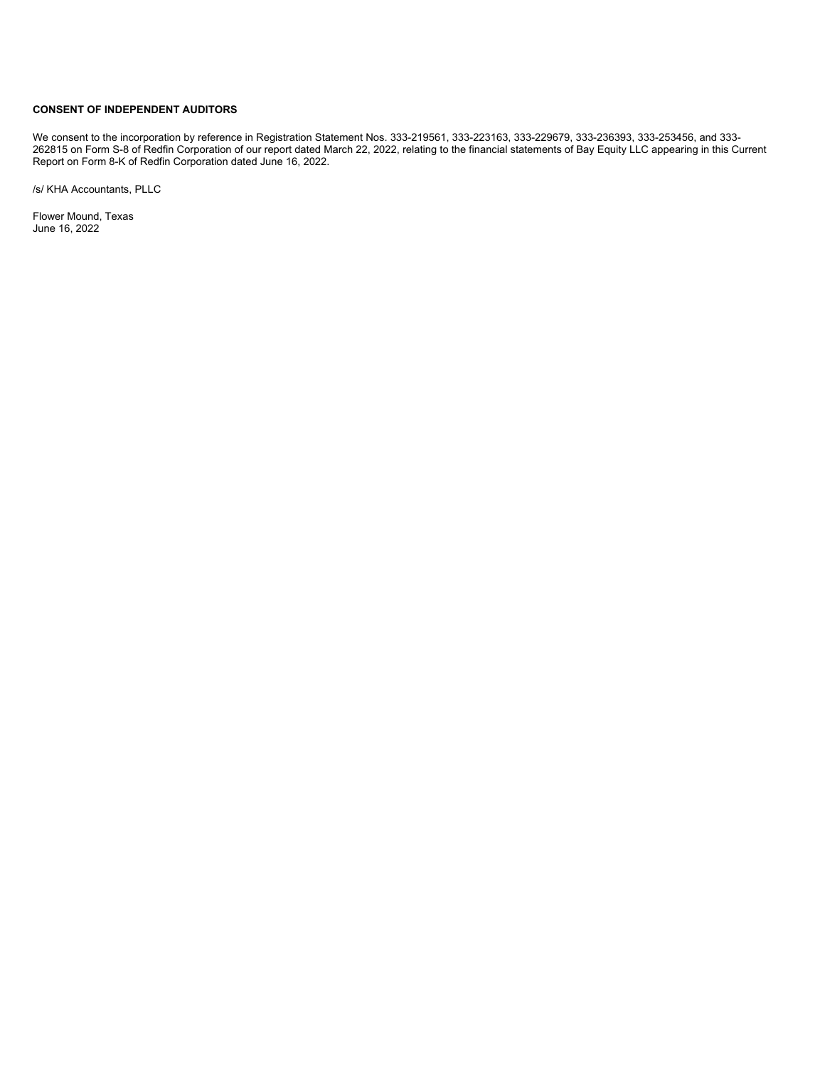### <span id="page-3-0"></span>**CONSENT OF INDEPENDENT AUDITORS**

We consent to the incorporation by reference in Registration Statement Nos. 333-219561, 333-223163, 333-229679, 333-236393, 333-253456, and 333- 262815 on Form S-8 of Redfin Corporation of our report dated March 22, 2022, relating to the financial statements of Bay Equity LLC appearing in this Current Report on Form 8-K of Redfin Corporation dated June 16, 2022.

/s/ KHA Accountants, PLLC

Flower Mound, Texas June 16, 2022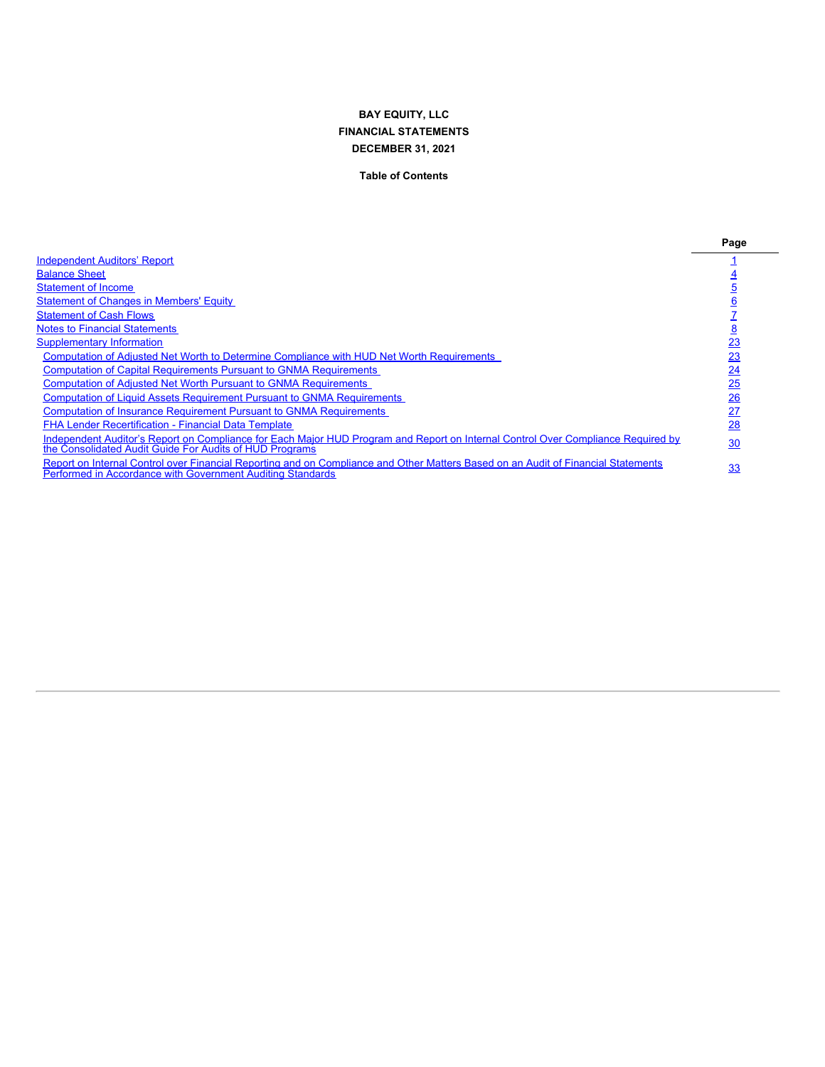## **BAY EQUITY, LLC FINANCIAL STATEMENTS DECEMBER 31, 2021**

### **Table of Contents**

<span id="page-4-0"></span>

|                                                                                                                                                                                                 | Page            |
|-------------------------------------------------------------------------------------------------------------------------------------------------------------------------------------------------|-----------------|
| <b>Independent Auditors' Report</b>                                                                                                                                                             |                 |
| <b>Balance Sheet</b>                                                                                                                                                                            |                 |
| <b>Statement of Income</b>                                                                                                                                                                      |                 |
| <b>Statement of Changes in Members' Equity</b>                                                                                                                                                  | <u>6</u>        |
| <b>Statement of Cash Flows</b>                                                                                                                                                                  |                 |
| <b>Notes to Financial Statements</b>                                                                                                                                                            | <u>8</u>        |
| <b>Supplementary Information</b>                                                                                                                                                                | 23              |
| Computation of Adjusted Net Worth to Determine Compliance with HUD Net Worth Requirements                                                                                                       | <u>23</u>       |
| <b>Computation of Capital Requirements Pursuant to GNMA Requirements</b>                                                                                                                        | 24              |
| <b>Computation of Adjusted Net Worth Pursuant to GNMA Requirements</b>                                                                                                                          | 25              |
| <b>Computation of Liquid Assets Requirement Pursuant to GNMA Requirements</b>                                                                                                                   | $\overline{26}$ |
| <b>Computation of Insurance Requirement Pursuant to GNMA Requirements</b>                                                                                                                       | 27              |
| <b>FHA Lender Recertification - Financial Data Template</b>                                                                                                                                     | 28              |
| Independent Auditor's Report on Compliance for Each Major HUD Program and Report on Internal Control Over Compliance Required by<br>the Consolidated Audit Guide For Audits of HUD Programs     | 30              |
| Report on Internal Control over Financial Reporting and on Compliance and Other Matters Based on an Audit of Financial Statements<br>Performed in Accordance with Government Auditing Standards | 33              |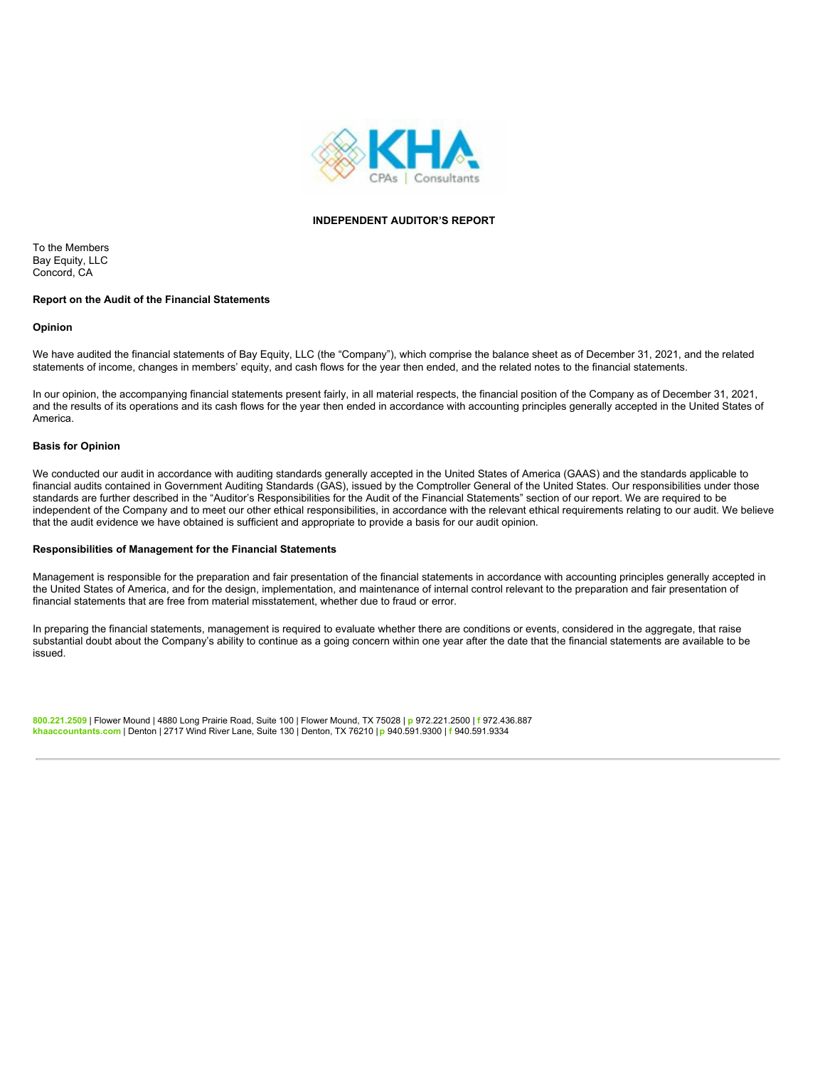

#### **INDEPENDENT AUDITOR'S REPORT**

To the Members Bay Equity, LLC Concord, CA

#### **Report on the Audit of the Financial Statements**

#### **Opinion**

We have audited the financial statements of Bay Equity, LLC (the "Company"), which comprise the balance sheet as of December 31, 2021, and the related statements of income, changes in members' equity, and cash flows for the year then ended, and the related notes to the financial statements.

In our opinion, the accompanying financial statements present fairly, in all material respects, the financial position of the Company as of December 31, 2021, and the results of its operations and its cash flows for the year then ended in accordance with accounting principles generally accepted in the United States of America.

#### **Basis for Opinion**

We conducted our audit in accordance with auditing standards generally accepted in the United States of America (GAAS) and the standards applicable to financial audits contained in Government Auditing Standards (GAS), issued by the Comptroller General of the United States. Our responsibilities under those standards are further described in the "Auditor's Responsibilities for the Audit of the Financial Statements" section of our report. We are required to be independent of the Company and to meet our other ethical responsibilities, in accordance with the relevant ethical requirements relating to our audit. We believe that the audit evidence we have obtained is sufficient and appropriate to provide a basis for our audit opinion.

#### **Responsibilities of Management for the Financial Statements**

Management is responsible for the preparation and fair presentation of the financial statements in accordance with accounting principles generally accepted in the United States of America, and for the design, implementation, and maintenance of internal control relevant to the preparation and fair presentation of financial statements that are free from material misstatement, whether due to fraud or error.

In preparing the financial statements, management is required to evaluate whether there are conditions or events, considered in the aggregate, that raise substantial doubt about the Company's ability to continue as a going concern within one year after the date that the financial statements are available to be issued.

**800.221.2509** | Flower Mound | 4880 Long Prairie Road, Suite 100 | Flower Mound, TX 75028 | **p** 972.221.2500 | **f** 972.436.887 **khaaccountants.com** |Denton | 2717 Wind River Lane, Suite 130 | Denton, TX 76210 |**p** 940.591.9300 | **f** 940.591.9334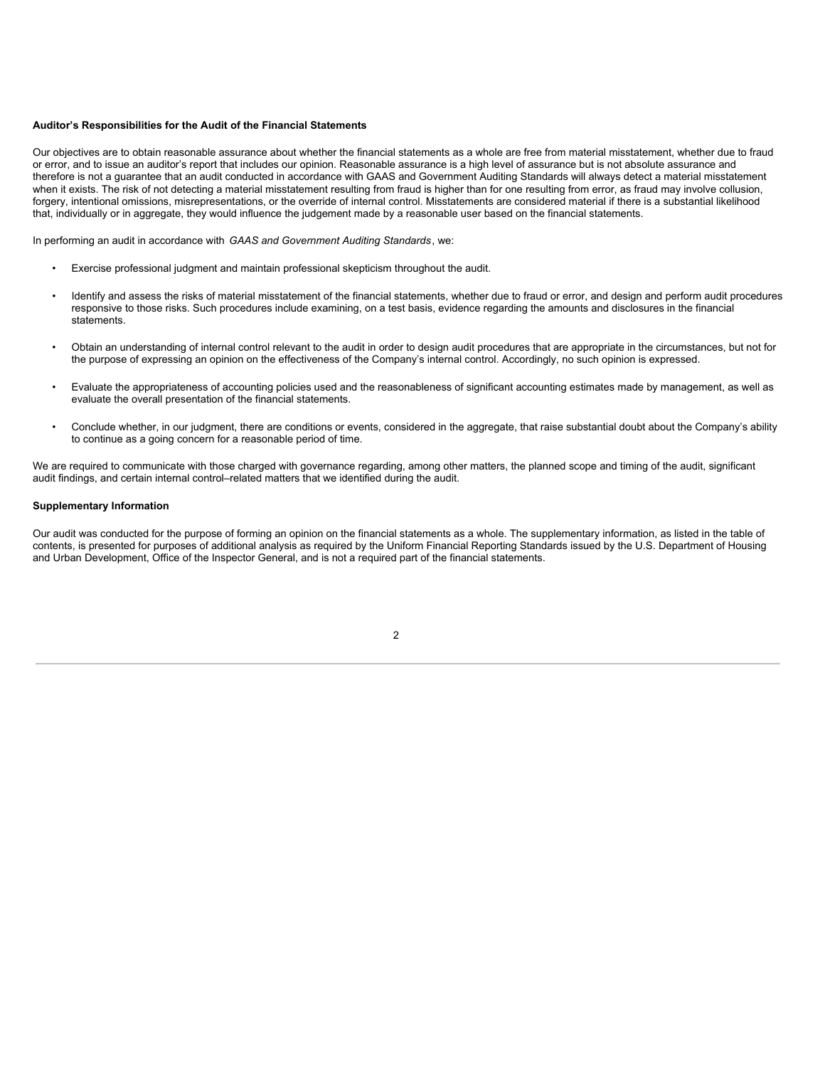#### **Auditor's Responsibilities for the Audit of the Financial Statements**

Our objectives are to obtain reasonable assurance about whether the financial statements as a whole are free from material misstatement, whether due to fraud or error, and to issue an auditor's report that includes our opinion. Reasonable assurance is a high level of assurance but is not absolute assurance and therefore is not a guarantee that an audit conducted in accordance with GAAS and Government Auditing Standards will always detect a material misstatement when it exists. The risk of not detecting a material misstatement resulting from fraud is higher than for one resulting from error, as fraud may involve collusion, forgery, intentional omissions, misrepresentations, or the override of internal control. Misstatements are considered material if there is a substantial likelihood that, individually or in aggregate, they would influence the judgement made by a reasonable user based on the financial statements.

In performing an audit in accordance with *GAAS and Government Auditing Standards*, we:

- Exercise professional judgment and maintain professional skepticism throughout the audit.
- Identify and assess the risks of material misstatement of the financial statements, whether due to fraud or error, and design and perform audit procedures responsive to those risks. Such procedures include examining, on a test basis, evidence regarding the amounts and disclosures in the financial statements.
- Obtain an understanding of internal control relevant to the audit in order to design audit procedures that are appropriate in the circumstances, but not for the purpose of expressing an opinion on the effectiveness of the Company's internal control. Accordingly, no such opinion is expressed.
- Evaluate the appropriateness of accounting policies used and the reasonableness of significant accounting estimates made by management, as well as evaluate the overall presentation of the financial statements.
- Conclude whether, in our judgment, there are conditions or events, considered in the aggregate, that raise substantial doubt about the Company's ability to continue as a going concern for a reasonable period of time.

We are required to communicate with those charged with governance regarding, among other matters, the planned scope and timing of the audit, significant audit findings, and certain internal control–related matters that we identified during the audit.

#### **Supplementary Information**

Our audit was conducted for the purpose of forming an opinion on the financial statements as a whole. The supplementary information, as listed in the table of contents, is presented for purposes of additional analysis as required by the Uniform Financial Reporting Standards issued by the U.S. Department of Housing and Urban Development, Office of the Inspector General, and is not a required part of the financial statements.

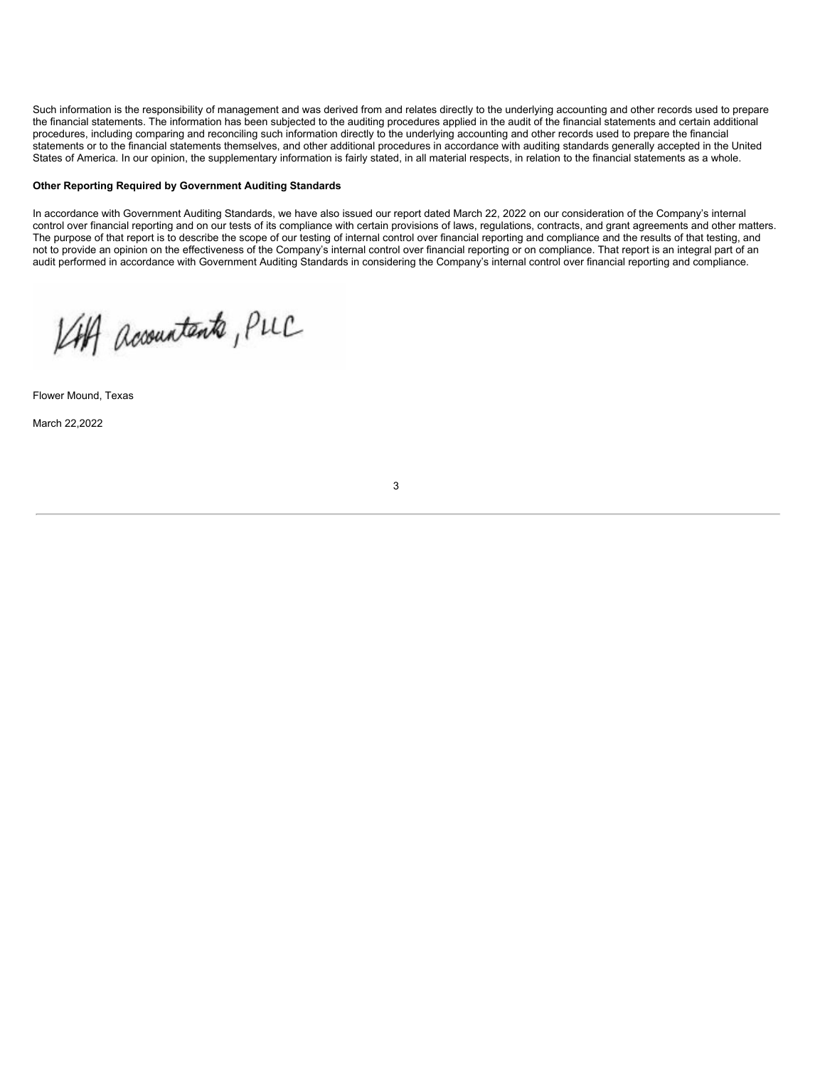Such information is the responsibility of management and was derived from and relates directly to the underlying accounting and other records used to prepare the financial statements. The information has been subjected to the auditing procedures applied in the audit of the financial statements and certain additional procedures, including comparing and reconciling such information directly to the underlying accounting and other records used to prepare the financial statements or to the financial statements themselves, and other additional procedures in accordance with auditing standards generally accepted in the United States of America. In our opinion, the supplementary information is fairly stated, in all material respects, in relation to the financial statements as a whole.

#### **Other Reporting Required by Government Auditing Standards**

In accordance with Government Auditing Standards, we have also issued our report dated March 22, 2022 on our consideration of the Company's internal control over financial reporting and on our tests of its compliance with certain provisions of laws, regulations, contracts, and grant agreements and other matters. The purpose of that report is to describe the scope of our testing of internal control over financial reporting and compliance and the results of that testing, and not to provide an opinion on the effectiveness of the Company's internal control over financial reporting or on compliance. That report is an integral part of an audit performed in accordance with Government Auditing Standards in considering the Company's internal control over financial reporting and compliance.

KAA accountants, PUC

Flower Mound, Texas

<span id="page-7-0"></span>March 22,2022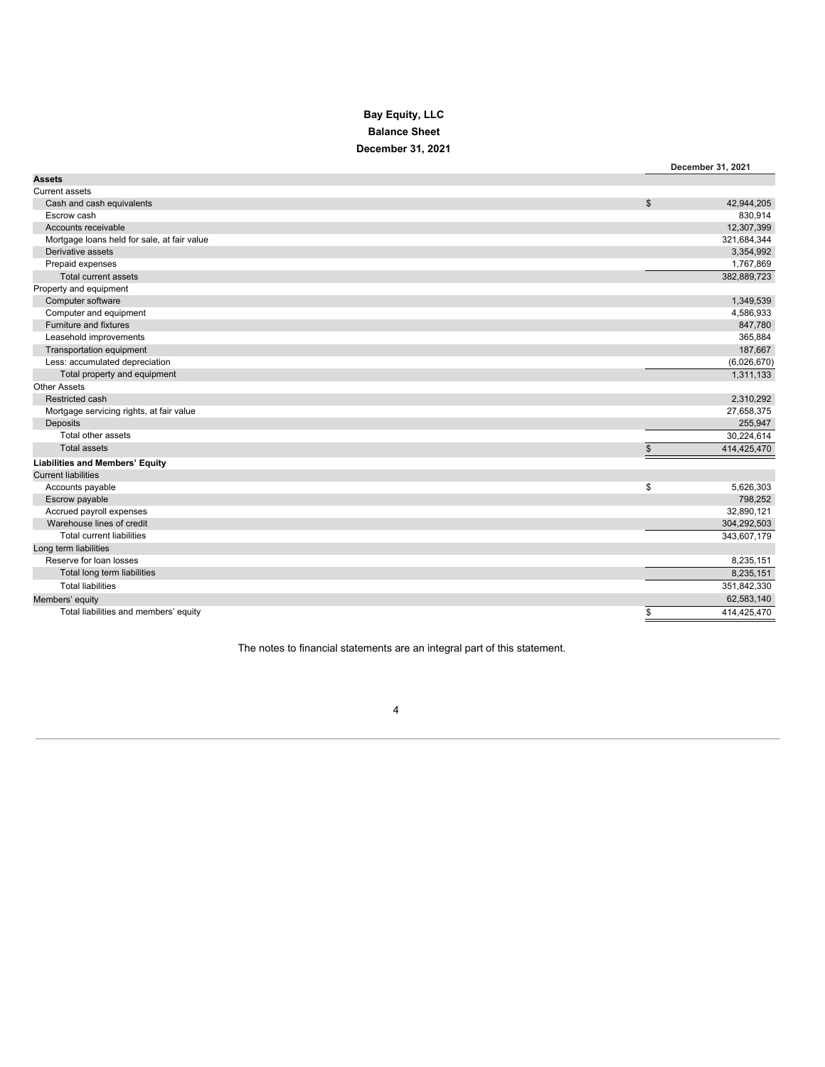## **Bay Equity, LLC Balance Sheet December 31, 2021**

**December 31, 2021**

| <b>Assets</b>                               |                            |
|---------------------------------------------|----------------------------|
| Current assets                              |                            |
| Cash and cash equivalents                   | $\mathbb{S}$<br>42.944.205 |
| Escrow cash                                 | 830,914                    |
| Accounts receivable                         | 12,307,399                 |
| Mortgage loans held for sale, at fair value | 321,684,344                |
| Derivative assets                           | 3,354,992                  |
| Prepaid expenses                            | 1,767,869                  |
| Total current assets                        | 382,889,723                |
| Property and equipment                      |                            |
| Computer software                           | 1,349,539                  |
| Computer and equipment                      | 4,586,933                  |
| Furniture and fixtures                      | 847,780                    |
| Leasehold improvements                      | 365,884                    |
| Transportation equipment                    | 187,667                    |
| Less: accumulated depreciation              | (6,026,670)                |
| Total property and equipment                | 1,311,133                  |
| <b>Other Assets</b>                         |                            |
| Restricted cash                             | 2,310,292                  |
| Mortgage servicing rights, at fair value    | 27,658,375                 |
| Deposits                                    | 255,947                    |
| Total other assets                          | 30,224,614                 |
| <b>Total assets</b>                         | \$<br>414,425,470          |
| <b>Liabilities and Members' Equity</b>      |                            |
| <b>Current liabilities</b>                  |                            |
| Accounts payable                            | \$<br>5,626,303            |
| Escrow payable                              | 798,252                    |
| Accrued payroll expenses                    | 32,890,121                 |
| Warehouse lines of credit                   | 304,292,503                |
| <b>Total current liabilities</b>            | 343,607,179                |
| Long term liabilities                       |                            |
| Reserve for loan losses                     | 8,235,151                  |
| Total long term liabilities                 | 8,235,151                  |
| <b>Total liabilities</b>                    | 351,842,330                |
| Members' equity                             | 62,583,140                 |
| Total liabilities and members' equity       | \$<br>414.425.470          |

<span id="page-8-0"></span>The notes to financial statements are an integral part of this statement.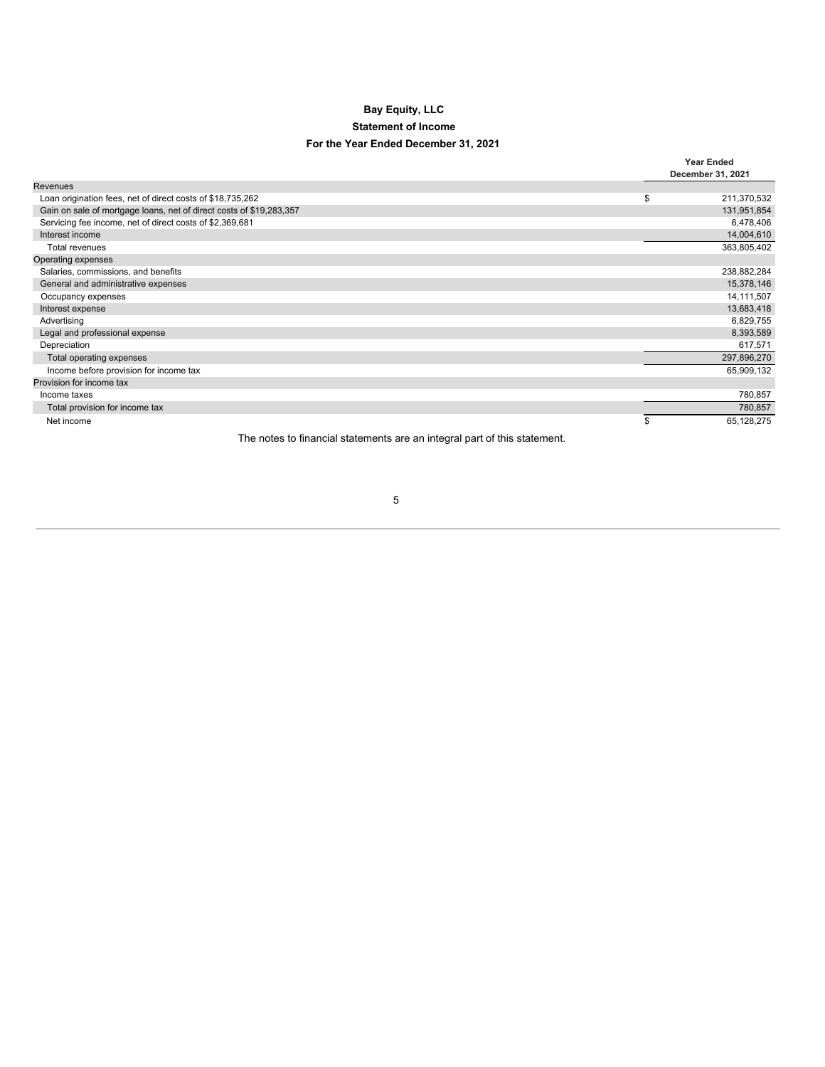## **Bay Equity, LLC**

## **Statement of Income For the Year Ended December 31, 2021**

|                                                                     |    | <b>Year Ended</b><br>December 31, 2021 |  |
|---------------------------------------------------------------------|----|----------------------------------------|--|
| <b>Revenues</b>                                                     |    |                                        |  |
| Loan origination fees, net of direct costs of \$18,735,262          | ა  | 211,370,532                            |  |
| Gain on sale of mortgage loans, net of direct costs of \$19,283,357 |    | 131,951,854                            |  |
| Servicing fee income, net of direct costs of \$2,369,681            |    | 6,478,406                              |  |
| Interest income                                                     |    | 14,004,610                             |  |
| Total revenues                                                      |    | 363,805,402                            |  |
| Operating expenses                                                  |    |                                        |  |
| Salaries, commissions, and benefits                                 |    | 238,882,284                            |  |
| General and administrative expenses                                 |    | 15,378,146                             |  |
| Occupancy expenses                                                  |    | 14,111,507                             |  |
| Interest expense                                                    |    | 13,683,418                             |  |
| Advertising                                                         |    | 6,829,755                              |  |
| Legal and professional expense                                      |    | 8,393,589                              |  |
| Depreciation                                                        |    | 617,571                                |  |
| Total operating expenses                                            |    | 297,896,270                            |  |
| Income before provision for income tax                              |    | 65,909,132                             |  |
| Provision for income tax                                            |    |                                        |  |
| Income taxes                                                        |    | 780,857                                |  |
| Total provision for income tax                                      |    | 780,857                                |  |
| Net income                                                          | \$ | 65,128,275                             |  |

<span id="page-9-0"></span>The notes to financial statements are an integral part of this statement.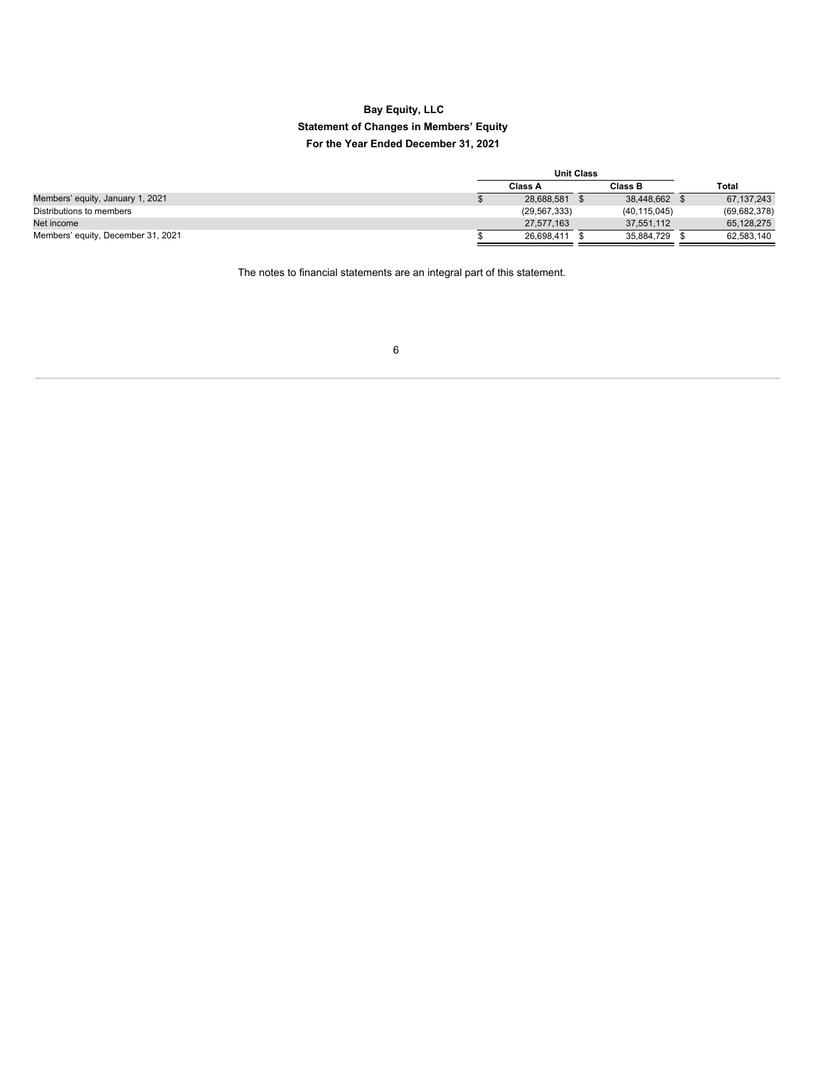## **Bay Equity, LLC Statement of Changes in Members' Equity For the Year Ended December 31, 2021**

<span id="page-10-0"></span>

|                                    | <b>Unit Class</b> |                |  |                |              |
|------------------------------------|-------------------|----------------|--|----------------|--------------|
|                                    |                   | <b>Class A</b> |  | Class B        | Total        |
| Members' equity, January 1, 2021   |                   | 28.688.581     |  | 38.448.662     | 67,137,243   |
| Distributions to members           |                   | (29, 567, 333) |  | (40, 115, 045) | (69.682.378) |
| Net income                         |                   | 27.577.163     |  | 37.551.112     | 65.128.275   |
| Members' equity, December 31, 2021 |                   | 26.698.411     |  | 35.884.729     | 62.583.140   |
|                                    |                   |                |  |                |              |

The notes to financial statements are an integral part of this statement.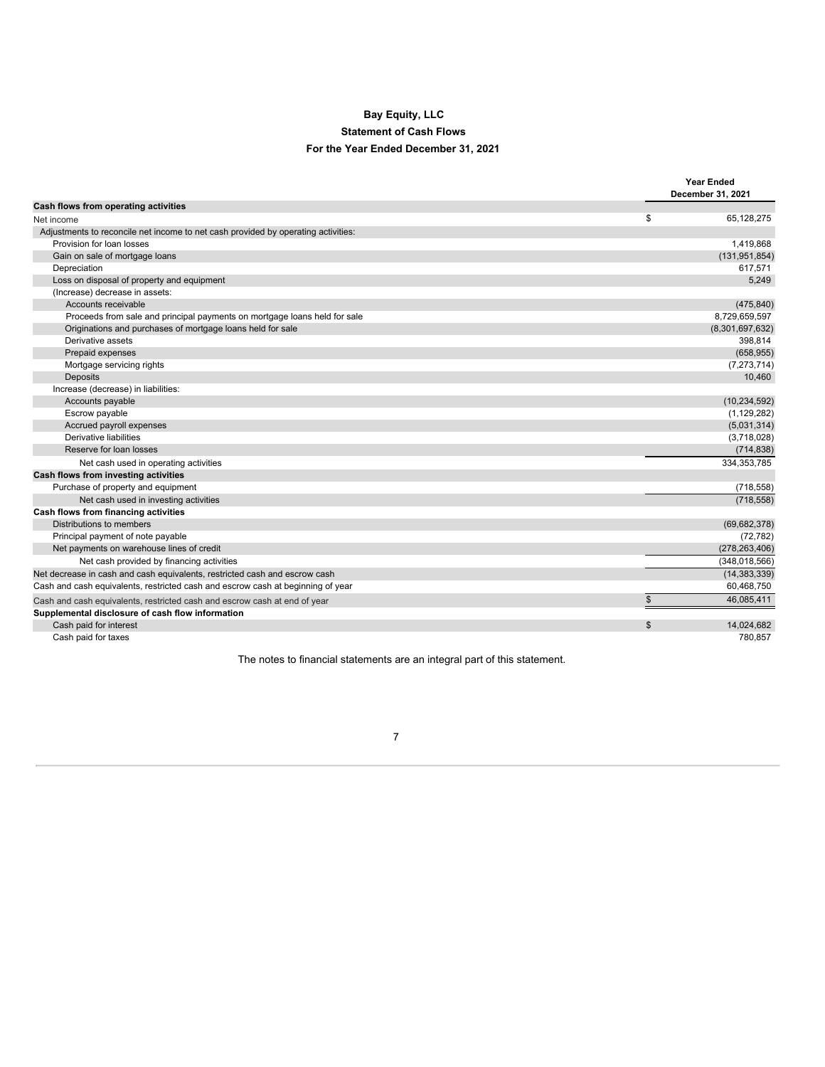## **Bay Equity, LLC**

## **Statement of Cash Flows**

## **For the Year Ended December 31, 2021**

|                                                                                   |    | <b>Year Ended</b><br><b>December 31, 2021</b> |  |
|-----------------------------------------------------------------------------------|----|-----------------------------------------------|--|
| Cash flows from operating activities                                              |    |                                               |  |
| Net income                                                                        | \$ | 65,128,275                                    |  |
| Adjustments to reconcile net income to net cash provided by operating activities: |    |                                               |  |
| Provision for loan losses                                                         |    | 1,419,868                                     |  |
| Gain on sale of mortgage loans                                                    |    | (131, 951, 854)                               |  |
| Depreciation                                                                      |    | 617,571                                       |  |
| Loss on disposal of property and equipment                                        |    | 5,249                                         |  |
| (Increase) decrease in assets:                                                    |    |                                               |  |
| Accounts receivable                                                               |    | (475, 840)                                    |  |
| Proceeds from sale and principal payments on mortgage loans held for sale         |    | 8,729,659,597                                 |  |
| Originations and purchases of mortgage loans held for sale                        |    | (8,301,697,632)                               |  |
| Derivative assets                                                                 |    | 398,814                                       |  |
| Prepaid expenses                                                                  |    | (658, 955)                                    |  |
| Mortgage servicing rights                                                         |    | (7, 273, 714)                                 |  |
| Deposits                                                                          |    | 10,460                                        |  |
| Increase (decrease) in liabilities:                                               |    |                                               |  |
| Accounts payable                                                                  |    | (10, 234, 592)                                |  |
| Escrow payable                                                                    |    | (1, 129, 282)                                 |  |
| Accrued payroll expenses                                                          |    | (5,031,314)                                   |  |
| Derivative liabilities                                                            |    | (3,718,028)                                   |  |
| Reserve for loan losses                                                           |    | (714, 838)                                    |  |
| Net cash used in operating activities                                             |    | 334, 353, 785                                 |  |
| Cash flows from investing activities                                              |    |                                               |  |
| Purchase of property and equipment                                                |    | (718, 558)                                    |  |
| Net cash used in investing activities                                             |    | (718, 558)                                    |  |
| Cash flows from financing activities                                              |    |                                               |  |
| Distributions to members                                                          |    | (69, 682, 378)                                |  |
| Principal payment of note payable                                                 |    | (72, 782)                                     |  |
| Net payments on warehouse lines of credit                                         |    | (278, 263, 406)                               |  |
| Net cash provided by financing activities                                         |    | (348, 018, 566)                               |  |
| Net decrease in cash and cash equivalents, restricted cash and escrow cash        |    | (14, 383, 339)                                |  |
| Cash and cash equivalents, restricted cash and escrow cash at beginning of year   |    | 60,468,750                                    |  |
| Cash and cash equivalents, restricted cash and escrow cash at end of year         | \$ | 46,085,411                                    |  |
| Supplemental disclosure of cash flow information                                  |    |                                               |  |
| Cash paid for interest                                                            | \$ | 14,024,682                                    |  |
| Cash paid for taxes                                                               |    | 780.857                                       |  |

<span id="page-11-0"></span>The notes to financial statements are an integral part of this statement.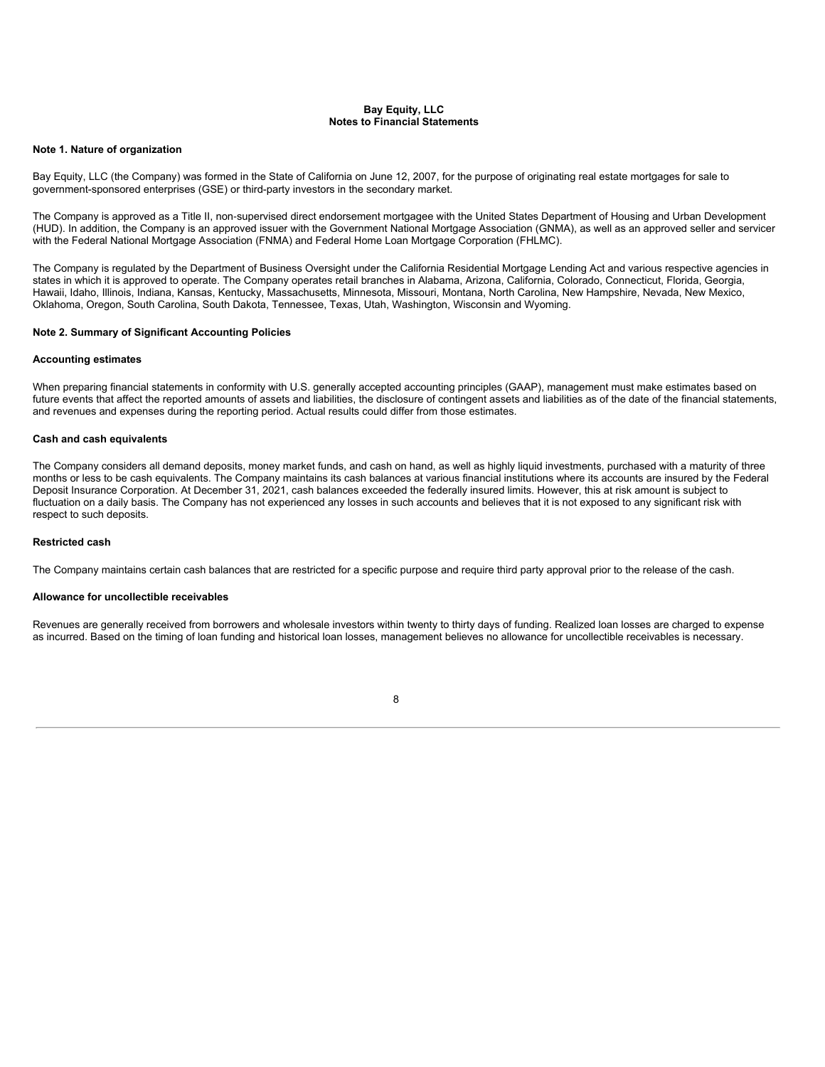#### **Bay Equity, LLC Notes to Financial Statements**

#### **Note 1. Nature of organization**

Bay Equity, LLC (the Company) was formed in the State of California on June 12, 2007, for the purpose of originating real estate mortgages for sale to government-sponsored enterprises (GSE) or third-party investors in the secondary market.

The Company is approved as a Title II, non-supervised direct endorsement mortgagee with the United States Department of Housing and Urban Development (HUD). In addition, the Company is an approved issuer with the Government National Mortgage Association (GNMA), as well as an approved seller and servicer with the Federal National Mortgage Association (FNMA) and Federal Home Loan Mortgage Corporation (FHLMC).

The Company is regulated by the Department of Business Oversight under the California Residential Mortgage Lending Act and various respective agencies in states in which it is approved to operate. The Company operates retail branches in Alabama, Arizona, California, Colorado, Connecticut, Florida, Georgia, Hawaii, Idaho, Illinois, Indiana, Kansas, Kentucky, Massachusetts, Minnesota, Missouri, Montana, North Carolina, New Hampshire, Nevada, New Mexico, Oklahoma, Oregon, South Carolina, South Dakota, Tennessee, Texas, Utah, Washington, Wisconsin and Wyoming.

#### **Note 2. Summary of Significant Accounting Policies**

#### **Accounting estimates**

When preparing financial statements in conformity with U.S. generally accepted accounting principles (GAAP), management must make estimates based on future events that affect the reported amounts of assets and liabilities, the disclosure of contingent assets and liabilities as of the date of the financial statements, and revenues and expenses during the reporting period. Actual results could differ from those estimates.

#### **Cash and cash equivalents**

The Company considers all demand deposits, money market funds, and cash on hand, as well as highly liquid investments, purchased with a maturity of three months or less to be cash equivalents. The Company maintains its cash balances at various financial institutions where its accounts are insured by the Federal Deposit Insurance Corporation. At December 31, 2021, cash balances exceeded the federally insured limits. However, this at risk amount is subject to fluctuation on a daily basis. The Company has not experienced any losses in such accounts and believes that it is not exposed to any significant risk with respect to such deposits.

#### **Restricted cash**

The Company maintains certain cash balances that are restricted for a specific purpose and require third party approval prior to the release of the cash.

#### **Allowance for uncollectible receivables**

Revenues are generally received from borrowers and wholesale investors within twenty to thirty days of funding. Realized loan losses are charged to expense as incurred. Based on the timing of loan funding and historical loan losses, management believes no allowance for uncollectible receivables is necessary.

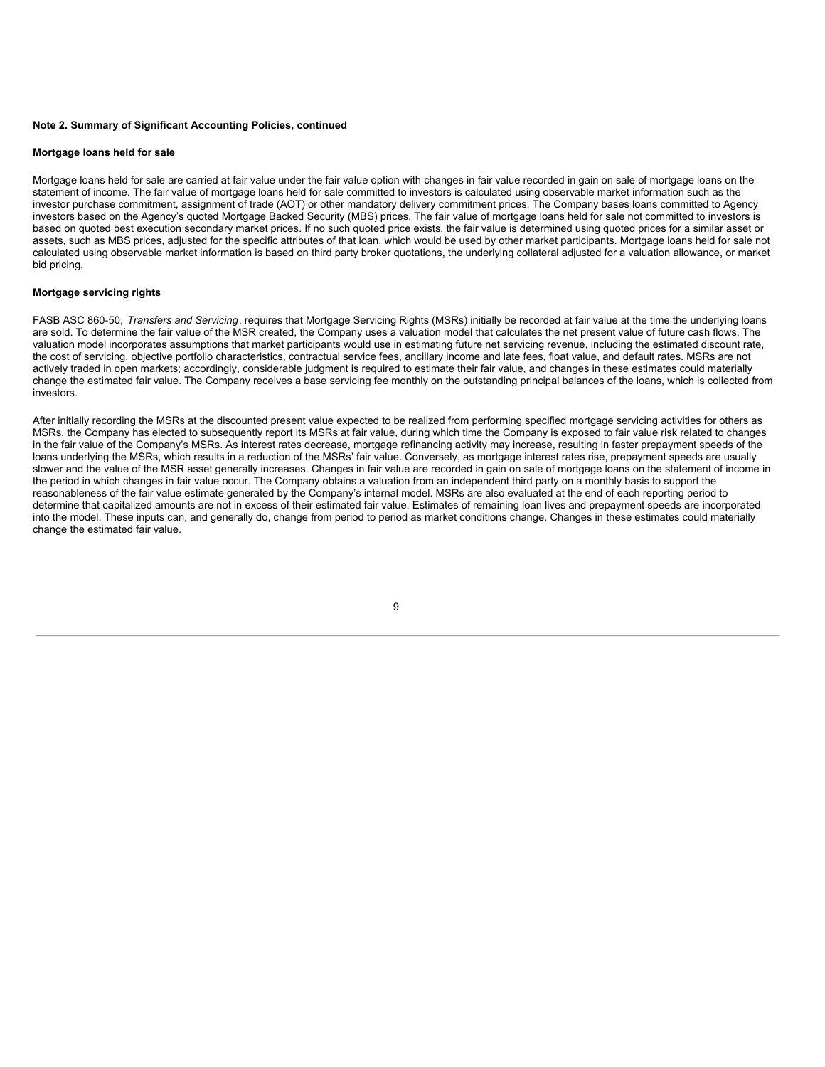#### **Mortgage loans held for sale**

Mortgage loans held for sale are carried at fair value under the fair value option with changes in fair value recorded in gain on sale of mortgage loans on the statement of income. The fair value of mortgage loans held for sale committed to investors is calculated using observable market information such as the investor purchase commitment, assignment of trade (AOT) or other mandatory delivery commitment prices. The Company bases loans committed to Agency investors based on the Agency's quoted Mortgage Backed Security (MBS) prices. The fair value of mortgage loans held for sale not committed to investors is based on quoted best execution secondary market prices. If no such quoted price exists, the fair value is determined using quoted prices for a similar asset or assets, such as MBS prices, adjusted for the specific attributes of that loan, which would be used by other market participants. Mortgage loans held for sale not calculated using observable market information is based on third party broker quotations, the underlying collateral adjusted for a valuation allowance, or market bid pricing.

#### **Mortgage servicing rights**

FASB ASC 860‐50, *Transfers and Servicing*, requires that Mortgage Servicing Rights (MSRs) initially be recorded at fair value at the time the underlying loans are sold. To determine the fair value of the MSR created, the Company uses a valuation model that calculates the net present value of future cash flows. The valuation model incorporates assumptions that market participants would use in estimating future net servicing revenue, including the estimated discount rate, the cost of servicing, objective portfolio characteristics, contractual service fees, ancillary income and late fees, float value, and default rates. MSRs are not actively traded in open markets; accordingly, considerable judgment is required to estimate their fair value, and changes in these estimates could materially change the estimated fair value. The Company receives a base servicing fee monthly on the outstanding principal balances of the loans, which is collected from investors.

After initially recording the MSRs at the discounted present value expected to be realized from performing specified mortgage servicing activities for others as MSRs, the Company has elected to subsequently report its MSRs at fair value, during which time the Company is exposed to fair value risk related to changes in the fair value of the Company's MSRs. As interest rates decrease, mortgage refinancing activity may increase, resulting in faster prepayment speeds of the loans underlying the MSRs, which results in a reduction of the MSRs' fair value. Conversely, as mortgage interest rates rise, prepayment speeds are usually slower and the value of the MSR asset generally increases. Changes in fair value are recorded in gain on sale of mortgage loans on the statement of income in the period in which changes in fair value occur. The Company obtains a valuation from an independent third party on a monthly basis to support the reasonableness of the fair value estimate generated by the Company's internal model. MSRs are also evaluated at the end of each reporting period to determine that capitalized amounts are not in excess of their estimated fair value. Estimates of remaining loan lives and prepayment speeds are incorporated into the model. These inputs can, and generally do, change from period to period as market conditions change. Changes in these estimates could materially change the estimated fair value.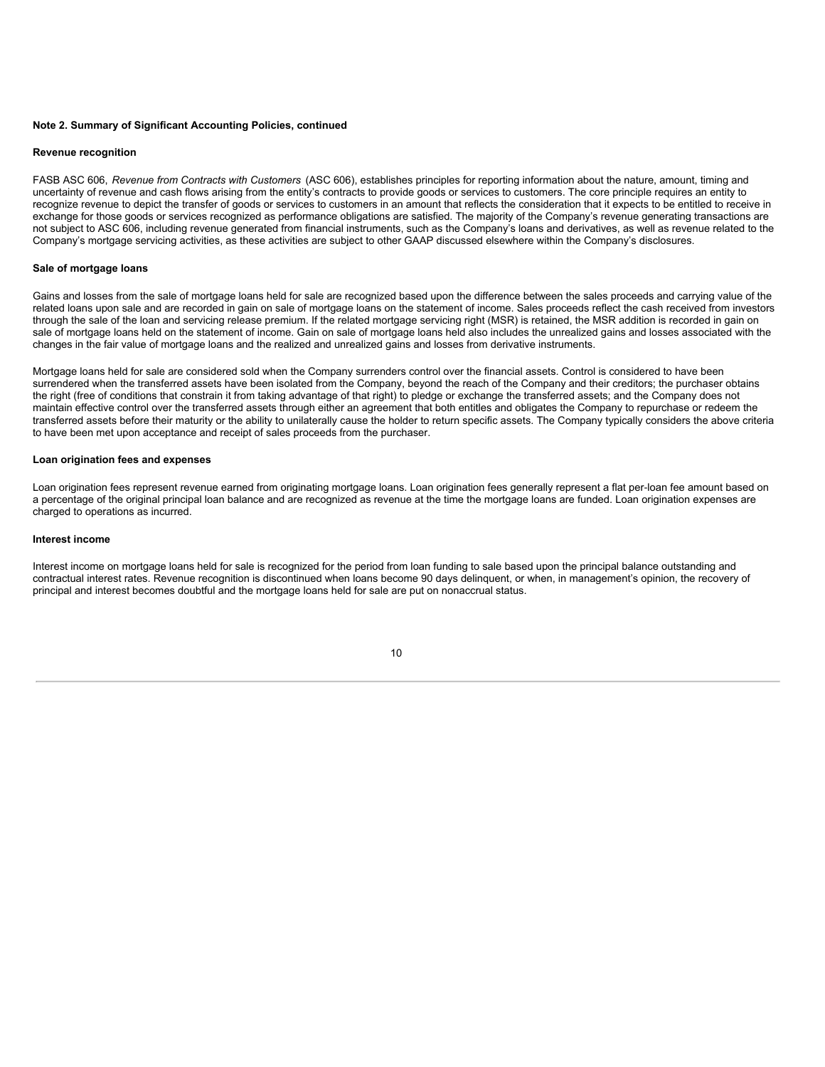#### **Revenue recognition**

FASB ASC 606, *Revenue from Contracts with Customers* (ASC 606), establishes principles for reporting information about the nature, amount, timing and uncertainty of revenue and cash flows arising from the entity's contracts to provide goods or services to customers. The core principle requires an entity to recognize revenue to depict the transfer of goods or services to customers in an amount that reflects the consideration that it expects to be entitled to receive in exchange for those goods or services recognized as performance obligations are satisfied. The majority of the Company's revenue generating transactions are not subject to ASC 606, including revenue generated from financial instruments, such as the Company's loans and derivatives, as well as revenue related to the Company's mortgage servicing activities, as these activities are subject to other GAAP discussed elsewhere within the Company's disclosures.

#### **Sale of mortgage loans**

Gains and losses from the sale of mortgage loans held for sale are recognized based upon the difference between the sales proceeds and carrying value of the related loans upon sale and are recorded in gain on sale of mortgage loans on the statement of income. Sales proceeds reflect the cash received from investors through the sale of the loan and servicing release premium. If the related mortgage servicing right (MSR) is retained, the MSR addition is recorded in gain on sale of mortgage loans held on the statement of income. Gain on sale of mortgage loans held also includes the unrealized gains and losses associated with the changes in the fair value of mortgage loans and the realized and unrealized gains and losses from derivative instruments.

Mortgage loans held for sale are considered sold when the Company surrenders control over the financial assets. Control is considered to have been surrendered when the transferred assets have been isolated from the Company, beyond the reach of the Company and their creditors; the purchaser obtains the right (free of conditions that constrain it from taking advantage of that right) to pledge or exchange the transferred assets; and the Company does not maintain effective control over the transferred assets through either an agreement that both entitles and obligates the Company to repurchase or redeem the transferred assets before their maturity or the ability to unilaterally cause the holder to return specific assets. The Company typically considers the above criteria to have been met upon acceptance and receipt of sales proceeds from the purchaser.

#### **Loan origination fees and expenses**

Loan origination fees represent revenue earned from originating mortgage loans. Loan origination fees generally represent a flat per-loan fee amount based on a percentage of the original principal loan balance and are recognized as revenue at the time the mortgage loans are funded. Loan origination expenses are charged to operations as incurred.

#### **Interest income**

Interest income on mortgage loans held for sale is recognized for the period from loan funding to sale based upon the principal balance outstanding and contractual interest rates. Revenue recognition is discontinued when loans become 90 days delinquent, or when, in management's opinion, the recovery of principal and interest becomes doubtful and the mortgage loans held for sale are put on nonaccrual status.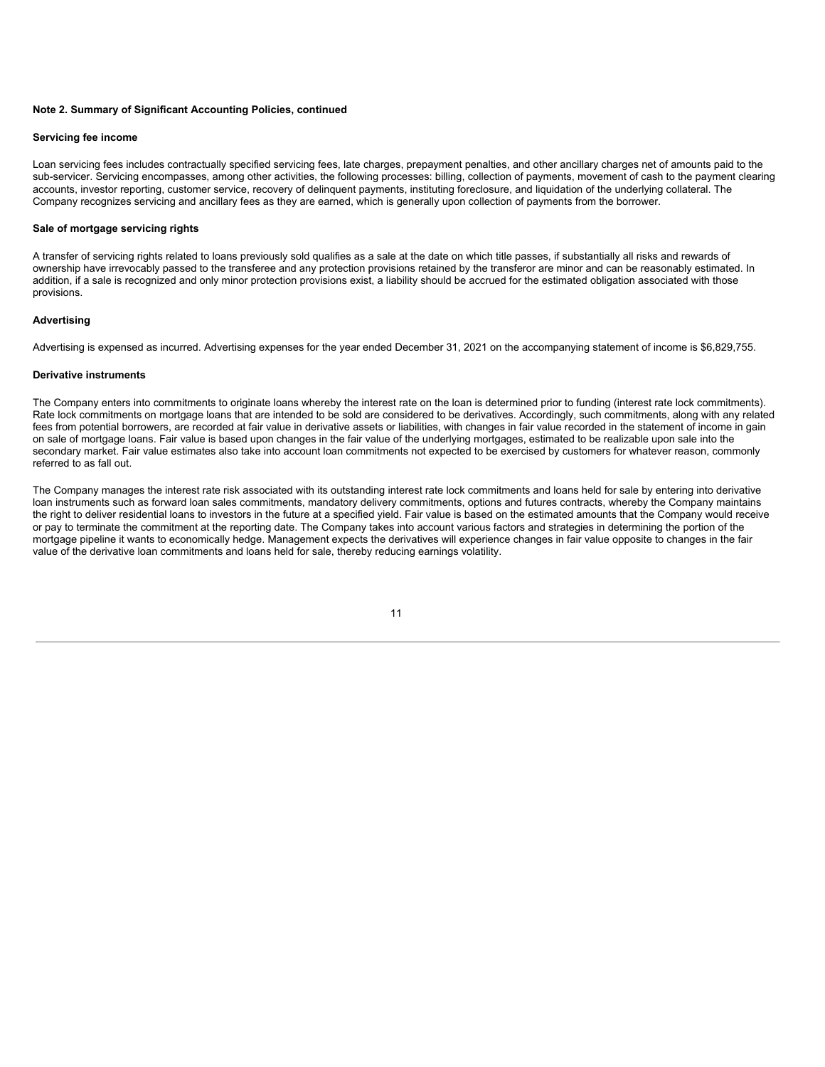#### **Servicing fee income**

Loan servicing fees includes contractually specified servicing fees, late charges, prepayment penalties, and other ancillary charges net of amounts paid to the sub-servicer. Servicing encompasses, among other activities, the following processes: billing, collection of payments, movement of cash to the payment clearing accounts, investor reporting, customer service, recovery of delinquent payments, instituting foreclosure, and liquidation of the underlying collateral. The Company recognizes servicing and ancillary fees as they are earned, which is generally upon collection of payments from the borrower.

#### **Sale of mortgage servicing rights**

A transfer of servicing rights related to loans previously sold qualifies as a sale at the date on which title passes, if substantially all risks and rewards of ownership have irrevocably passed to the transferee and any protection provisions retained by the transferor are minor and can be reasonably estimated. In addition, if a sale is recognized and only minor protection provisions exist, a liability should be accrued for the estimated obligation associated with those provisions.

#### **Advertising**

Advertising is expensed as incurred. Advertising expenses for the year ended December 31, 2021 on the accompanying statement of income is \$6,829,755.

#### **Derivative instruments**

The Company enters into commitments to originate loans whereby the interest rate on the loan is determined prior to funding (interest rate lock commitments). Rate lock commitments on mortgage loans that are intended to be sold are considered to be derivatives. Accordingly, such commitments, along with any related fees from potential borrowers, are recorded at fair value in derivative assets or liabilities, with changes in fair value recorded in the statement of income in gain on sale of mortgage loans. Fair value is based upon changes in the fair value of the underlying mortgages, estimated to be realizable upon sale into the secondary market. Fair value estimates also take into account loan commitments not expected to be exercised by customers for whatever reason, commonly referred to as fall out.

The Company manages the interest rate risk associated with its outstanding interest rate lock commitments and loans held for sale by entering into derivative loan instruments such as forward loan sales commitments, mandatory delivery commitments, options and futures contracts, whereby the Company maintains the right to deliver residential loans to investors in the future at a specified yield. Fair value is based on the estimated amounts that the Company would receive or pay to terminate the commitment at the reporting date. The Company takes into account various factors and strategies in determining the portion of the mortgage pipeline it wants to economically hedge. Management expects the derivatives will experience changes in fair value opposite to changes in the fair value of the derivative loan commitments and loans held for sale, thereby reducing earnings volatility.

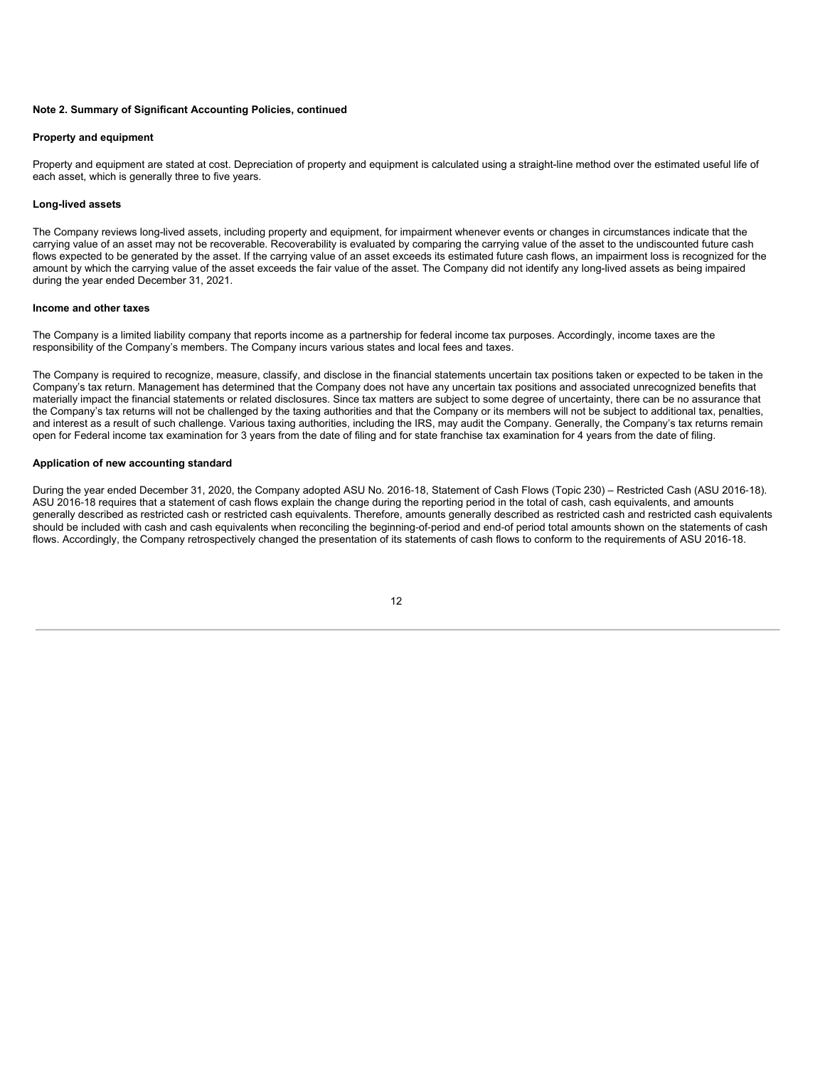#### **Property and equipment**

Property and equipment are stated at cost. Depreciation of property and equipment is calculated using a straight-line method over the estimated useful life of each asset, which is generally three to five years.

#### **Long-lived assets**

The Company reviews long-lived assets, including property and equipment, for impairment whenever events or changes in circumstances indicate that the carrying value of an asset may not be recoverable. Recoverability is evaluated by comparing the carrying value of the asset to the undiscounted future cash flows expected to be generated by the asset. If the carrying value of an asset exceeds its estimated future cash flows, an impairment loss is recognized for the amount by which the carrying value of the asset exceeds the fair value of the asset. The Company did not identify any long-lived assets as being impaired during the year ended December 31, 2021.

#### **Income and other taxes**

The Company is a limited liability company that reports income as a partnership for federal income tax purposes. Accordingly, income taxes are the responsibility of the Company's members. The Company incurs various states and local fees and taxes.

The Company is required to recognize, measure, classify, and disclose in the financial statements uncertain tax positions taken or expected to be taken in the Company's tax return. Management has determined that the Company does not have any uncertain tax positions and associated unrecognized benefits that materially impact the financial statements or related disclosures. Since tax matters are subject to some degree of uncertainty, there can be no assurance that the Company's tax returns will not be challenged by the taxing authorities and that the Company or its members will not be subject to additional tax, penalties, and interest as a result of such challenge. Various taxing authorities, including the IRS, may audit the Company. Generally, the Company's tax returns remain open for Federal income tax examination for 3 years from the date of filing and for state franchise tax examination for 4 years from the date of filing.

#### **Application of new accounting standard**

During the year ended December 31, 2020, the Company adopted ASU No. 2016‐18, Statement of Cash Flows (Topic 230) – Restricted Cash (ASU 2016‐18). ASU 2016‐18 requires that a statement of cash flows explain the change during the reporting period in the total of cash, cash equivalents, and amounts generally described as restricted cash or restricted cash equivalents. Therefore, amounts generally described as restricted cash and restricted cash equivalents should be included with cash and cash equivalents when reconciling the beginning-of-period and end-of period total amounts shown on the statements of cash flows. Accordingly, the Company retrospectively changed the presentation of its statements of cash flows to conform to the requirements of ASU 2016-18.

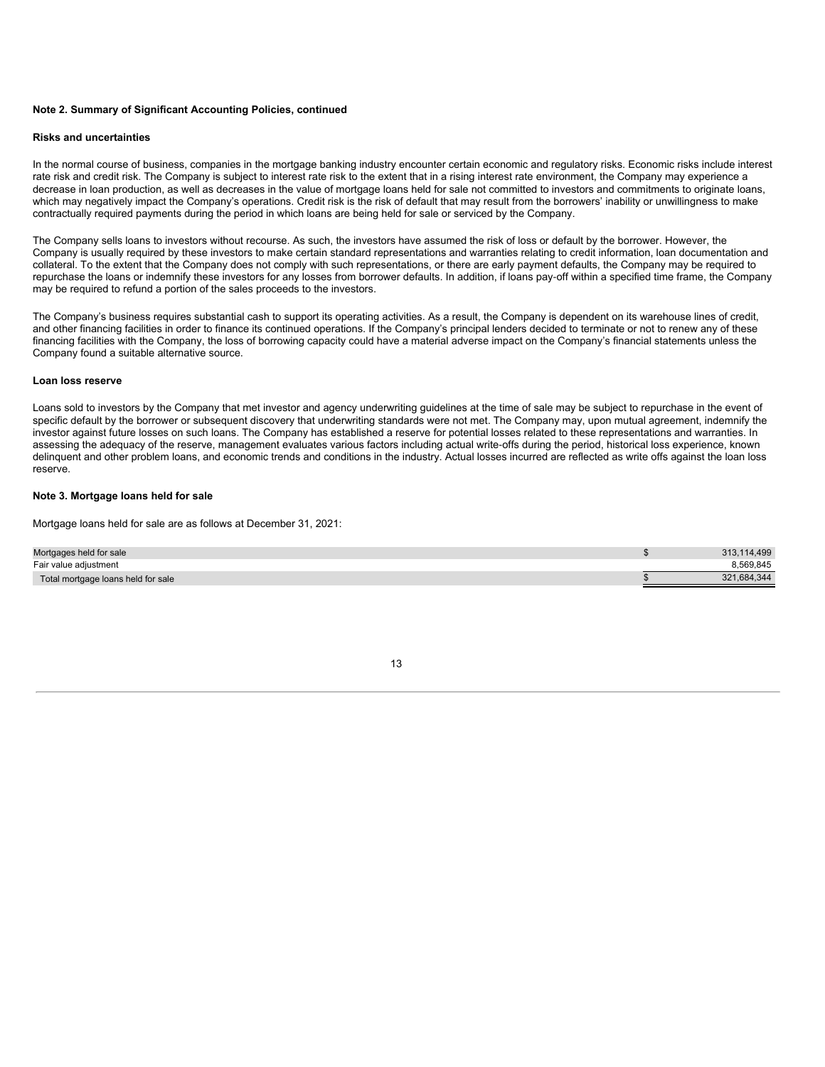#### **Risks and uncertainties**

In the normal course of business, companies in the mortgage banking industry encounter certain economic and regulatory risks. Economic risks include interest rate risk and credit risk. The Company is subject to interest rate risk to the extent that in a rising interest rate environment, the Company may experience a decrease in loan production, as well as decreases in the value of mortgage loans held for sale not committed to investors and commitments to originate loans, which may negatively impact the Company's operations. Credit risk is the risk of default that may result from the borrowers' inability or unwillingness to make contractually required payments during the period in which loans are being held for sale or serviced by the Company.

The Company sells loans to investors without recourse. As such, the investors have assumed the risk of loss or default by the borrower. However, the Company is usually required by these investors to make certain standard representations and warranties relating to credit information, loan documentation and collateral. To the extent that the Company does not comply with such representations, or there are early payment defaults, the Company may be required to repurchase the loans or indemnify these investors for any losses from borrower defaults. In addition, if loans pay‐off within a specified time frame, the Company may be required to refund a portion of the sales proceeds to the investors.

The Company's business requires substantial cash to support its operating activities. As a result, the Company is dependent on its warehouse lines of credit, and other financing facilities in order to finance its continued operations. If the Company's principal lenders decided to terminate or not to renew any of these financing facilities with the Company, the loss of borrowing capacity could have a material adverse impact on the Company's financial statements unless the Company found a suitable alternative source.

#### **Loan loss reserve**

Loans sold to investors by the Company that met investor and agency underwriting guidelines at the time of sale may be subject to repurchase in the event of specific default by the borrower or subsequent discovery that underwriting standards were not met. The Company may, upon mutual agreement, indemnify the investor against future losses on such loans. The Company has established a reserve for potential losses related to these representations and warranties. In assessing the adequacy of the reserve, management evaluates various factors including actual write-offs during the period, historical loss experience, known delinquent and other problem loans, and economic trends and conditions in the industry. Actual losses incurred are reflected as write offs against the loan loss reserve.

#### **Note 3. Mortgage loans held for sale**

Mortgage loans held for sale are as follows at December 31, 2021:

| Mortgages held for sale            | 114.499 |
|------------------------------------|---------|
| Fair value adiustment              | 569.845 |
| Total mortgage loans held for sale | 344     |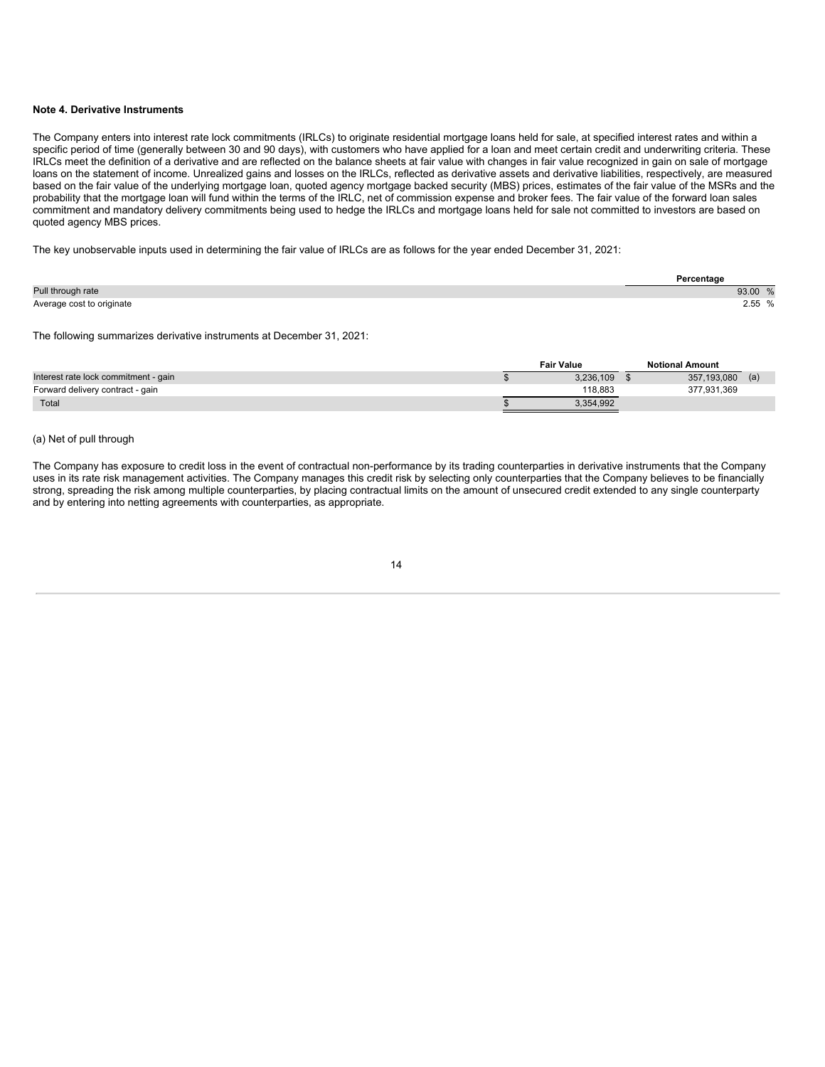#### **Note 4. Derivative Instruments**

The Company enters into interest rate lock commitments (IRLCs) to originate residential mortgage loans held for sale, at specified interest rates and within a specific period of time (generally between 30 and 90 days), with customers who have applied for a loan and meet certain credit and underwriting criteria. These IRLCs meet the definition of a derivative and are reflected on the balance sheets at fair value with changes in fair value recognized in gain on sale of mortgage loans on the statement of income. Unrealized gains and losses on the IRLCs, reflected as derivative assets and derivative liabilities, respectively, are measured based on the fair value of the underlying mortgage loan, quoted agency mortgage backed security (MBS) prices, estimates of the fair value of the MSRs and the probability that the mortgage loan will fund within the terms of the IRLC, net of commission expense and broker fees. The fair value of the forward loan sales commitment and mandatory delivery commitments being used to hedge the IRLCs and mortgage loans held for sale not committed to investors are based on quoted agency MBS prices.

The key unobservable inputs used in determining the fair value of IRLCs are as follows for the year ended December 31, 2021:

| Pull through rate        | 93.00          |
|--------------------------|----------------|
| t to originate<br>Averac | $\sim$<br>2.55 |

The following summarizes derivative instruments at December 31, 2021:

|                                      | <b>Fair Value</b> | <b>Notional Amount</b> |    |
|--------------------------------------|-------------------|------------------------|----|
| Interest rate lock commitment - gain | 3.236.109         | 357.193.080            | (a |
| Forward delivery contract - gain     | 118.883           | 377,931,369            |    |
| Total                                | .354.992          |                        |    |

#### (a) Net of pull through

The Company has exposure to credit loss in the event of contractual non-performance by its trading counterparties in derivative instruments that the Company uses in its rate risk management activities. The Company manages this credit risk by selecting only counterparties that the Company believes to be financially strong, spreading the risk among multiple counterparties, by placing contractual limits on the amount of unsecured credit extended to any single counterparty and by entering into netting agreements with counterparties, as appropriate.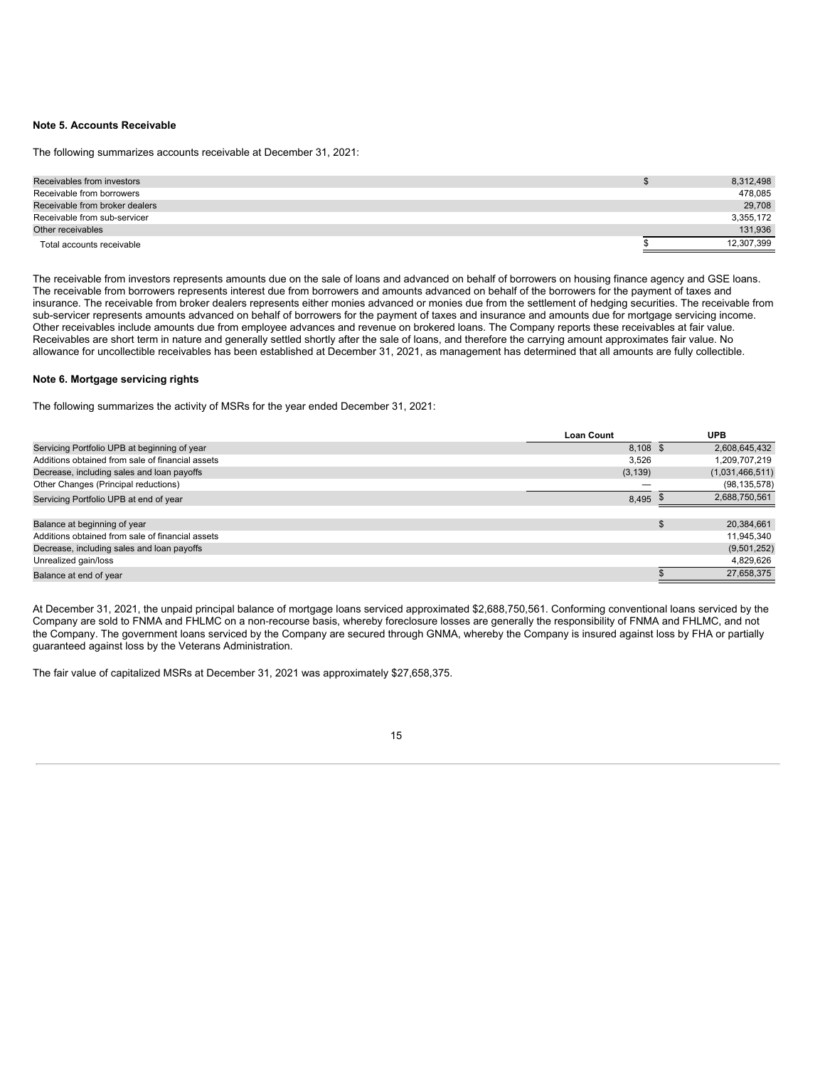#### **Note 5. Accounts Receivable**

The following summarizes accounts receivable at December 31, 2021:

| Receivables from investors     | 8,312,498  |
|--------------------------------|------------|
| Receivable from borrowers      | 478,085    |
| Receivable from broker dealers | 29,708     |
| Receivable from sub-servicer   | 3,355,172  |
| Other receivables              | 131.936    |
| Total accounts receivable      | 12.307.399 |

The receivable from investors represents amounts due on the sale of loans and advanced on behalf of borrowers on housing finance agency and GSE loans. The receivable from borrowers represents interest due from borrowers and amounts advanced on behalf of the borrowers for the payment of taxes and insurance. The receivable from broker dealers represents either monies advanced or monies due from the settlement of hedging securities. The receivable from sub-servicer represents amounts advanced on behalf of borrowers for the payment of taxes and insurance and amounts due for mortgage servicing income. Other receivables include amounts due from employee advances and revenue on brokered loans. The Company reports these receivables at fair value. Receivables are short term in nature and generally settled shortly after the sale of loans, and therefore the carrying amount approximates fair value. No allowance for uncollectible receivables has been established at December 31, 2021, as management has determined that all amounts are fully collectible.

#### **Note 6. Mortgage servicing rights**

The following summarizes the activity of MSRs for the year ended December 31, 2021:

|                                                  | <b>Loan Count</b> | <b>UPB</b>      |
|--------------------------------------------------|-------------------|-----------------|
| Servicing Portfolio UPB at beginning of year     | $8,108$ \$        | 2,608,645,432   |
| Additions obtained from sale of financial assets | 3.526             | 1,209,707,219   |
| Decrease, including sales and loan payoffs       | (3, 139)          | (1,031,466,511) |
| Other Changes (Principal reductions)             |                   | (98, 135, 578)  |
| Servicing Portfolio UPB at end of year           | 8.495             | 2,688,750,561   |
|                                                  |                   |                 |
| Balance at beginning of year                     |                   | 20,384,661      |
| Additions obtained from sale of financial assets |                   | 11.945.340      |
| Decrease, including sales and loan payoffs       |                   | (9,501,252)     |
| Unrealized gain/loss                             |                   | 4,829,626       |
| Balance at end of year                           |                   | 27,658,375      |

At December 31, 2021, the unpaid principal balance of mortgage loans serviced approximated \$2,688,750,561. Conforming conventional loans serviced by the Company are sold to FNMA and FHLMC on a non‐recourse basis, whereby foreclosure losses are generally the responsibility of FNMA and FHLMC, and not the Company. The government loans serviced by the Company are secured through GNMA, whereby the Company is insured against loss by FHA or partially guaranteed against loss by the Veterans Administration.

The fair value of capitalized MSRs at December 31, 2021 was approximately \$27,658,375.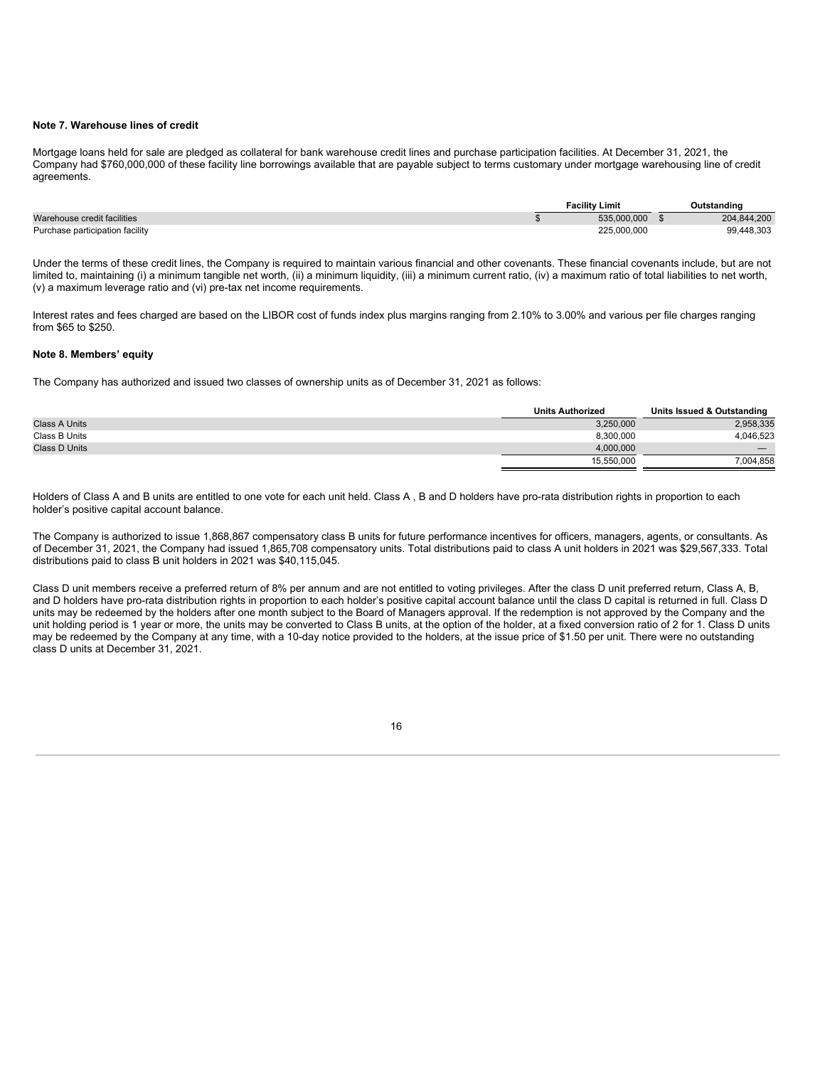#### **Note 7. Warehouse lines of credit**

Mortgage loans held for sale are pledged as collateral for bank warehouse credit lines and purchase participation facilities. At December 31, 2021, the Company had \$760,000,000 of these facility line borrowings available that are payable subject to terms customary under mortgage warehousing line of credit agreements.

|                                 | Facilitv Limit   | )utstanding |
|---------------------------------|------------------|-------------|
| Warehouse credit facilities     | 5.000.000<br>535 | .844.200    |
| Purchase participation facility | 225,000,000      | 99,448,303  |

Under the terms of these credit lines, the Company is required to maintain various financial and other covenants. These financial covenants include, but are not limited to, maintaining (i) a minimum tangible net worth, (ii) a minimum liquidity, (iii) a minimum current ratio, (iv) a maximum ratio of total liabilities to net worth, (v) a maximum leverage ratio and (vi) pre-tax net income requirements.

Interest rates and fees charged are based on the LIBOR cost of funds index plus margins ranging from 2.10% to 3.00% and various per file charges ranging from \$65 to \$250.

#### **Note 8. Members' equity**

The Company has authorized and issued two classes of ownership units as of December 31, 2021 as follows:

|                      | <b>Units Authorized</b> | Units Issued & Outstanding |
|----------------------|-------------------------|----------------------------|
| <b>Class A Units</b> | 3.250.000               | 2,958,335                  |
| Class B Units        | 8.300.000               | 4,046,523                  |
| Class D Units        | 1.000.000               |                            |
|                      | 15.550.000              | 7,004,858                  |
|                      |                         |                            |

Holders of Class A and B units are entitled to one vote for each unit held. Class A , B and D holders have pro-rata distribution rights in proportion to each holder's positive capital account balance.

The Company is authorized to issue 1,868,867 compensatory class B units for future performance incentives for officers, managers, agents, or consultants. As of December 31, 2021, the Company had issued 1,865,708 compensatory units. Total distributions paid to class A unit holders in 2021 was \$29,567,333. Total distributions paid to class B unit holders in 2021 was \$40,115,045.

Class D unit members receive a preferred return of 8% per annum and are not entitled to voting privileges. After the class D unit preferred return, Class A, B, and D holders have pro-rata distribution rights in proportion to each holder's positive capital account balance until the class D capital is returned in full. Class D units may be redeemed by the holders after one month subject to the Board of Managers approval. If the redemption is not approved by the Company and the unit holding period is 1 year or more, the units may be converted to Class B units, at the option of the holder, at a fixed conversion ratio of 2 for 1. Class D units may be redeemed by the Company at any time, with a 10-day notice provided to the holders, at the issue price of \$1.50 per unit. There were no outstanding class D units at December 31, 2021.

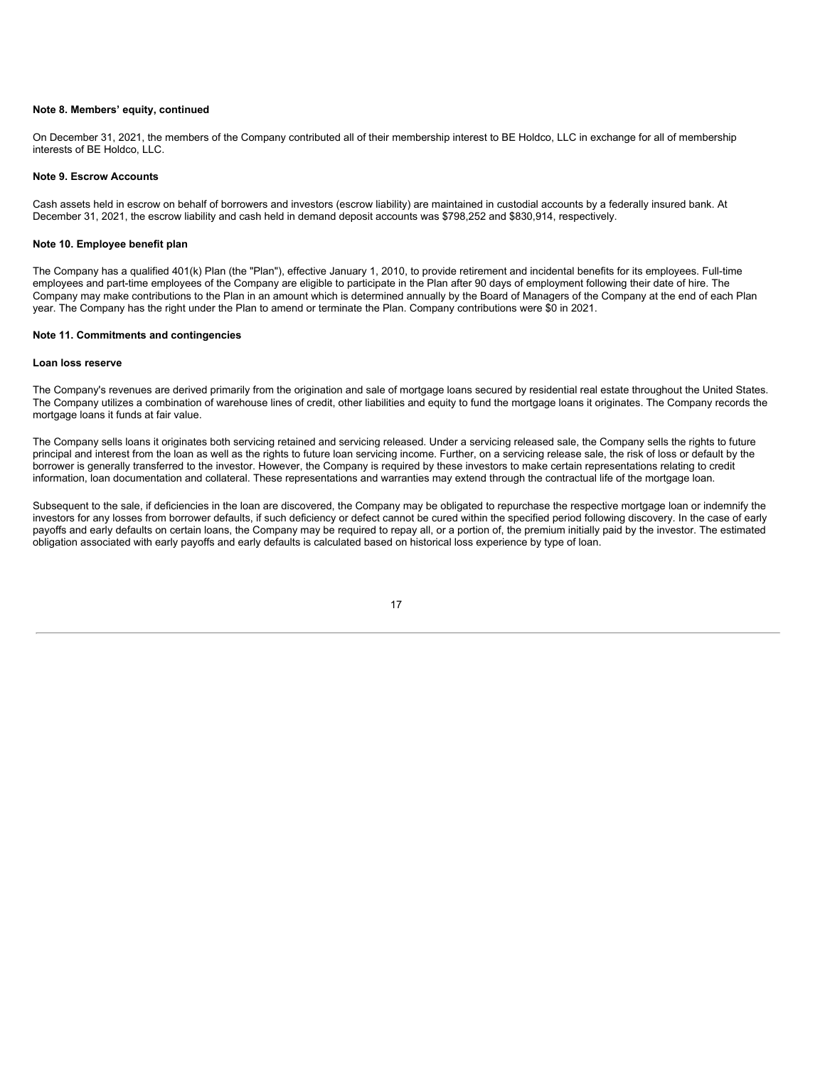#### <span id="page-21-0"></span>**Note 8. Members' equity, continued**

On December 31, 2021, the members of the Company contributed all of their membership interest to BE Holdco, LLC in exchange for all of membership interests of BE Holdco, LLC.

#### **Note 9. Escrow Accounts**

Cash assets held in escrow on behalf of borrowers and investors (escrow liability) are maintained in custodial accounts by a federally insured bank. At December 31, 2021, the escrow liability and cash held in demand deposit accounts was \$798,252 and \$830,914, respectively.

#### **Note 10. Employee benefit plan**

The Company has a qualified 401(k) Plan (the "Plan"), effective January 1, 2010, to provide retirement and incidental benefits for its employees. Full-time employees and part-time employees of the Company are eligible to participate in the Plan after 90 days of employment following their date of hire. The Company may make contributions to the Plan in an amount which is determined annually by the Board of Managers of the Company at the end of each Plan year. The Company has the right under the Plan to amend or terminate the Plan. Company contributions were \$0 in 2021.

#### **Note 11. Commitments and contingencies**

#### **Loan loss reserve**

The Company's revenues are derived primarily from the origination and sale of mortgage loans secured by residential real estate throughout the United States. The Company utilizes a combination of warehouse lines of credit, other liabilities and equity to fund the mortgage loans it originates. The Company records the mortgage loans it funds at fair value.

The Company sells loans it originates both servicing retained and servicing released. Under a servicing released sale, the Company sells the rights to future principal and interest from the loan as well as the rights to future loan servicing income. Further, on a servicing release sale, the risk of loss or default by the borrower is generally transferred to the investor. However, the Company is required by these investors to make certain representations relating to credit information, loan documentation and collateral. These representations and warranties may extend through the contractual life of the mortgage loan.

Subsequent to the sale, if deficiencies in the loan are discovered, the Company may be obligated to repurchase the respective mortgage loan or indemnify the investors for any losses from borrower defaults, if such deficiency or defect cannot be cured within the specified period following discovery. In the case of early payoffs and early defaults on certain loans, the Company may be required to repay all, or a portion of, the premium initially paid by the investor. The estimated obligation associated with early payoffs and early defaults is calculated based on historical loss experience by type of loan.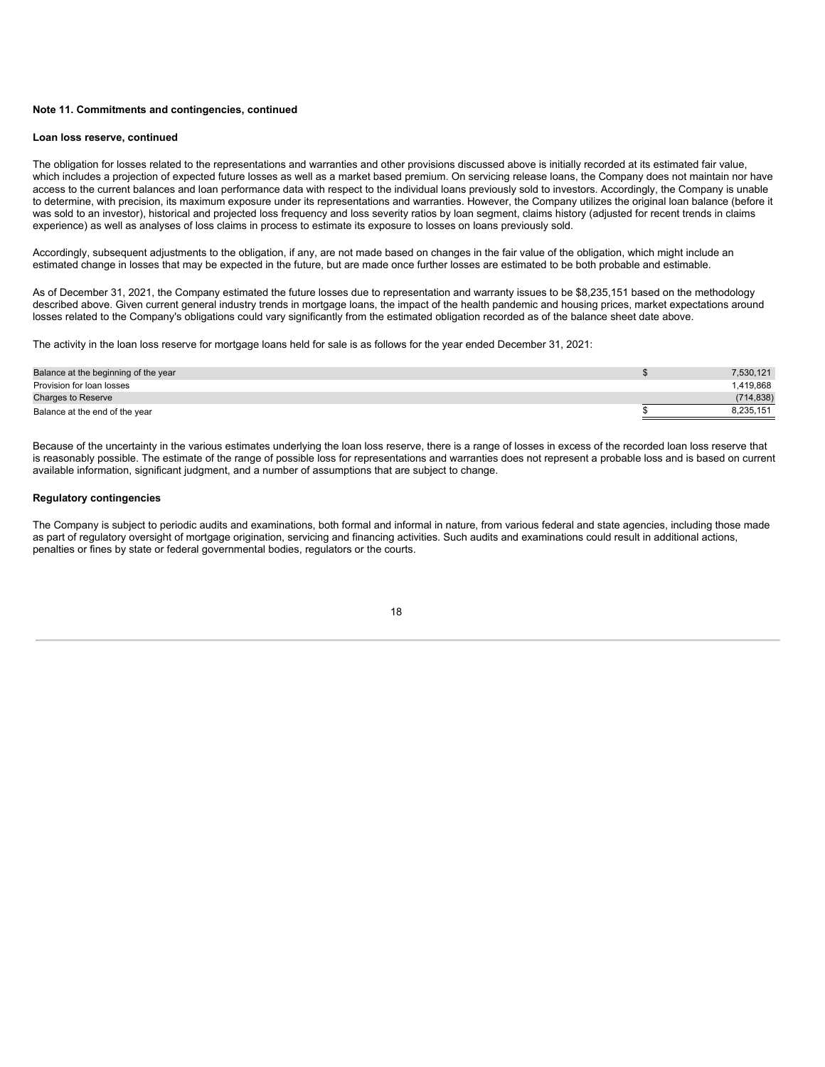#### **Note 11. Commitments and contingencies, continued**

#### **Loan loss reserve, continued**

The obligation for losses related to the representations and warranties and other provisions discussed above is initially recorded at its estimated fair value, which includes a projection of expected future losses as well as a market based premium. On servicing release loans, the Company does not maintain nor have access to the current balances and loan performance data with respect to the individual loans previously sold to investors. Accordingly, the Company is unable to determine, with precision, its maximum exposure under its representations and warranties. However, the Company utilizes the original loan balance (before it was sold to an investor), historical and projected loss frequency and loss severity ratios by loan segment, claims history (adjusted for recent trends in claims experience) as well as analyses of loss claims in process to estimate its exposure to losses on loans previously sold.

Accordingly, subsequent adjustments to the obligation, if any, are not made based on changes in the fair value of the obligation, which might include an estimated change in losses that may be expected in the future, but are made once further losses are estimated to be both probable and estimable.

As of December 31, 2021, the Company estimated the future losses due to representation and warranty issues to be \$8,235,151 based on the methodology described above. Given current general industry trends in mortgage loans, the impact of the health pandemic and housing prices, market expectations around losses related to the Company's obligations could vary significantly from the estimated obligation recorded as of the balance sheet date above.

The activity in the loan loss reserve for mortgage loans held for sale is as follows for the year ended December 31, 2021:

| Balance at the beginning of the year | 7,530,121  |
|--------------------------------------|------------|
| Provision for loan losses            | l.419.868  |
| Charges to Reserve                   | (714, 838) |
| Balance at the end of the year       | 8.235.151  |

Because of the uncertainty in the various estimates underlying the loan loss reserve, there is a range of losses in excess of the recorded loan loss reserve that is reasonably possible. The estimate of the range of possible loss for representations and warranties does not represent a probable loss and is based on current available information, significant judgment, and a number of assumptions that are subject to change.

#### **Regulatory contingencies**

The Company is subject to periodic audits and examinations, both formal and informal in nature, from various federal and state agencies, including those made as part of regulatory oversight of mortgage origination, servicing and financing activities. Such audits and examinations could result in additional actions, penalties or fines by state or federal governmental bodies, regulators or the courts.

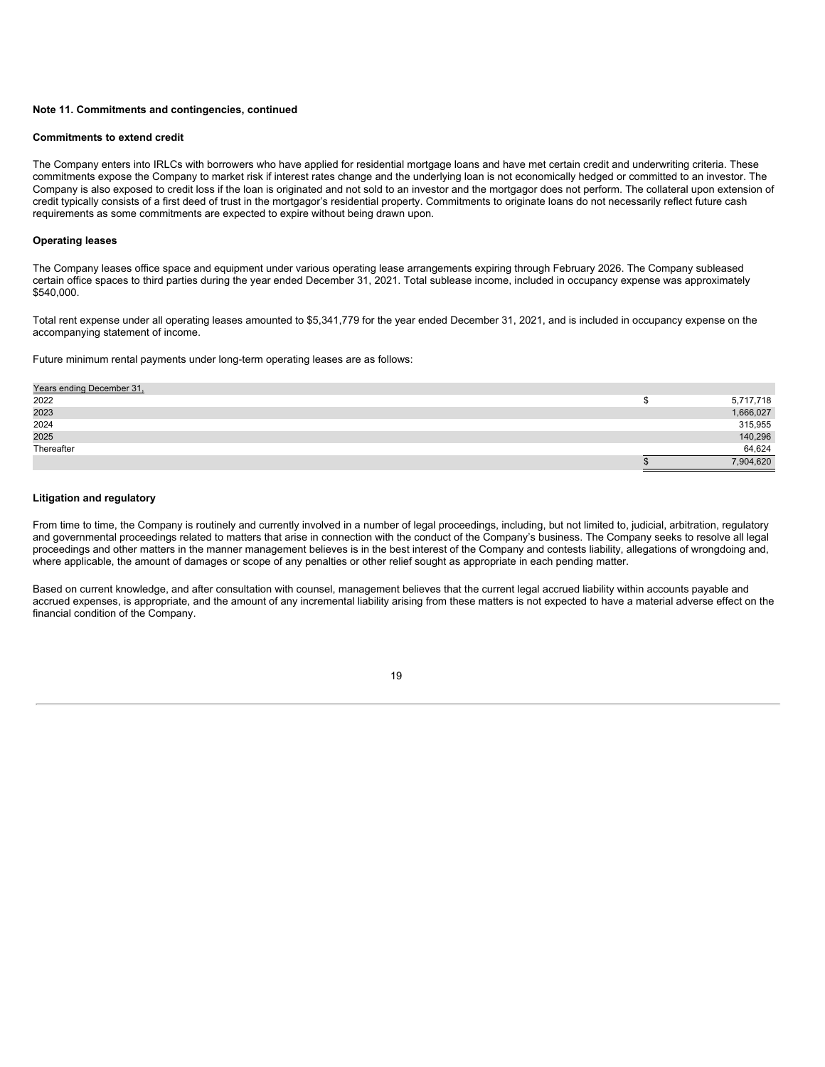#### **Note 11. Commitments and contingencies, continued**

#### **Commitments to extend credit**

The Company enters into IRLCs with borrowers who have applied for residential mortgage loans and have met certain credit and underwriting criteria. These commitments expose the Company to market risk if interest rates change and the underlying loan is not economically hedged or committed to an investor. The Company is also exposed to credit loss if the loan is originated and not sold to an investor and the mortgagor does not perform. The collateral upon extension of credit typically consists of a first deed of trust in the mortgagor's residential property. Commitments to originate loans do not necessarily reflect future cash requirements as some commitments are expected to expire without being drawn upon.

#### **Operating leases**

The Company leases office space and equipment under various operating lease arrangements expiring through February 2026. The Company subleased certain office spaces to third parties during the year ended December 31, 2021. Total sublease income, included in occupancy expense was approximately \$540,000.

Total rent expense under all operating leases amounted to \$5,341,779 for the year ended December 31, 2021, and is included in occupancy expense on the accompanying statement of income.

Future minimum rental payments under long-term operating leases are as follows:

| Years ending December 31, |           |
|---------------------------|-----------|
| 2022                      | 5,717,718 |
| 2023                      | 1,666,027 |
| 2024                      | 315,955   |
| 2025                      | 140,296   |
| Thereafter                | 64,624    |
|                           | .904.620  |

#### **Litigation and regulatory**

From time to time, the Company is routinely and currently involved in a number of legal proceedings, including, but not limited to, judicial, arbitration, regulatory and governmental proceedings related to matters that arise in connection with the conduct of the Company's business. The Company seeks to resolve all legal proceedings and other matters in the manner management believes is in the best interest of the Company and contests liability, allegations of wrongdoing and, where applicable, the amount of damages or scope of any penalties or other relief sought as appropriate in each pending matter.

Based on current knowledge, and after consultation with counsel, management believes that the current legal accrued liability within accounts payable and accrued expenses, is appropriate, and the amount of any incremental liability arising from these matters is not expected to have a material adverse effect on the financial condition of the Company.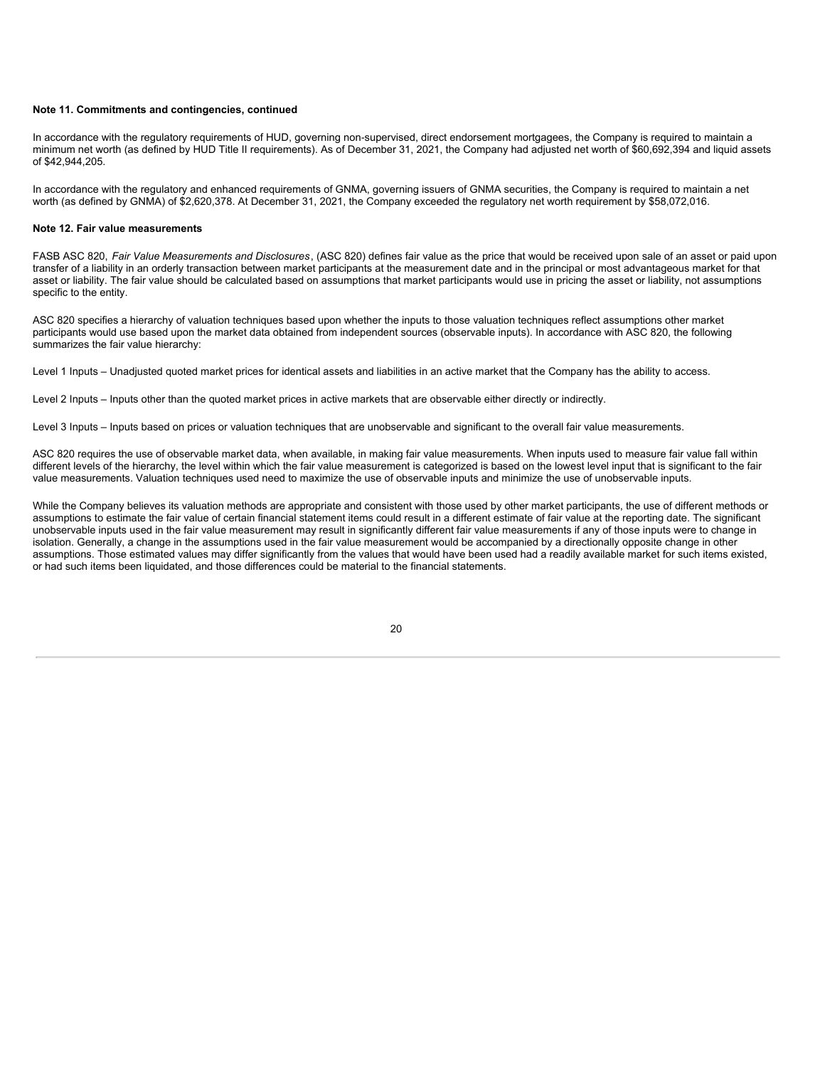#### **Note 11. Commitments and contingencies, continued**

In accordance with the regulatory requirements of HUD, governing non-supervised, direct endorsement mortgagees, the Company is required to maintain a minimum net worth (as defined by HUD Title II requirements). As of December 31, 2021, the Company had adjusted net worth of \$60,692,394 and liquid assets of \$42,944,205.

In accordance with the regulatory and enhanced requirements of GNMA, governing issuers of GNMA securities, the Company is required to maintain a net worth (as defined by GNMA) of \$2,620,378. At December 31, 2021, the Company exceeded the regulatory net worth requirement by \$58,072,016.

#### **Note 12. Fair value measurements**

FASB ASC 820, *Fair Value Measurements and Disclosures*, (ASC 820) defines fair value as the price that would be received upon sale of an asset or paid upon transfer of a liability in an orderly transaction between market participants at the measurement date and in the principal or most advantageous market for that asset or liability. The fair value should be calculated based on assumptions that market participants would use in pricing the asset or liability, not assumptions specific to the entity.

ASC 820 specifies a hierarchy of valuation techniques based upon whether the inputs to those valuation techniques reflect assumptions other market participants would use based upon the market data obtained from independent sources (observable inputs). In accordance with ASC 820, the following summarizes the fair value hierarchy:

Level 1 Inputs – Unadjusted quoted market prices for identical assets and liabilities in an active market that the Company has the ability to access.

Level 2 Inputs – Inputs other than the quoted market prices in active markets that are observable either directly or indirectly.

Level 3 Inputs – Inputs based on prices or valuation techniques that are unobservable and significant to the overall fair value measurements.

ASC 820 requires the use of observable market data, when available, in making fair value measurements. When inputs used to measure fair value fall within different levels of the hierarchy, the level within which the fair value measurement is categorized is based on the lowest level input that is significant to the fair value measurements. Valuation techniques used need to maximize the use of observable inputs and minimize the use of unobservable inputs.

While the Company believes its valuation methods are appropriate and consistent with those used by other market participants, the use of different methods or assumptions to estimate the fair value of certain financial statement items could result in a different estimate of fair value at the reporting date. The significant unobservable inputs used in the fair value measurement may result in significantly different fair value measurements if any of those inputs were to change in isolation. Generally, a change in the assumptions used in the fair value measurement would be accompanied by a directionally opposite change in other assumptions. Those estimated values may differ significantly from the values that would have been used had a readily available market for such items existed, or had such items been liquidated, and those differences could be material to the financial statements.

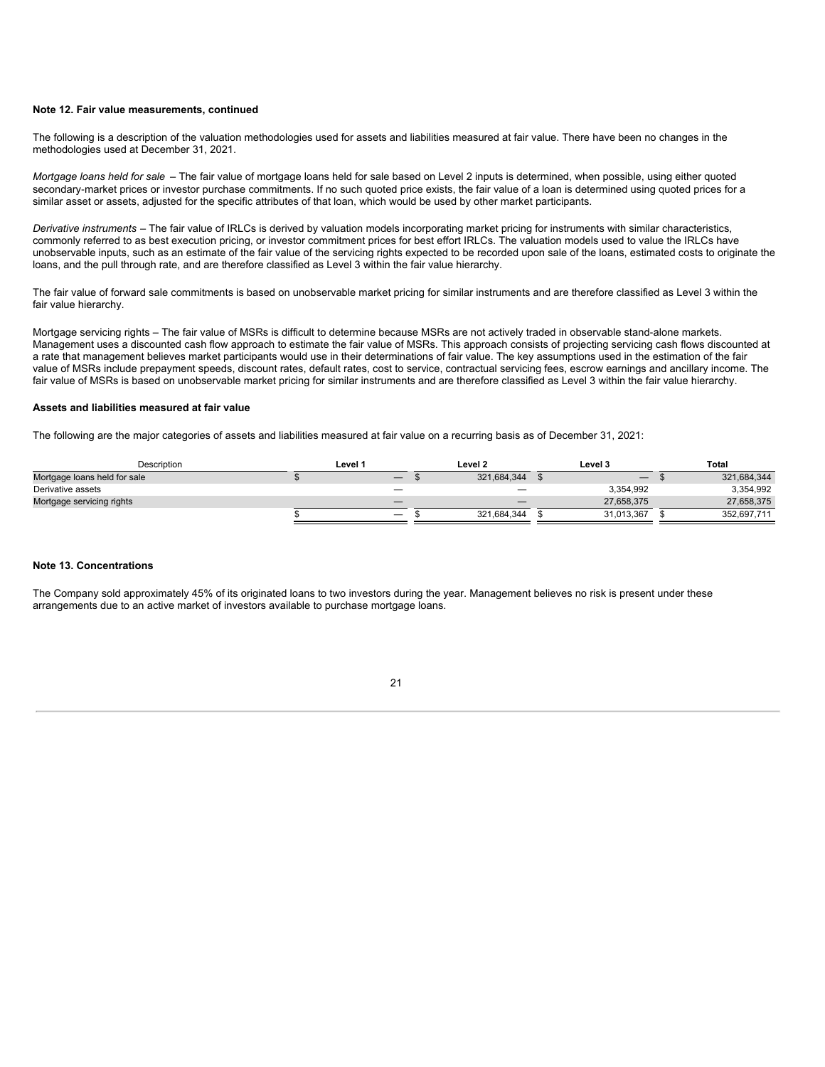#### **Note 12. Fair value measurements, continued**

The following is a description of the valuation methodologies used for assets and liabilities measured at fair value. There have been no changes in the methodologies used at December 31, 2021.

*Mortgage loans held for sale* – The fair value of mortgage loans held for sale based on Level 2 inputs is determined, when possible, using either quoted secondary-market prices or investor purchase commitments. If no such quoted price exists, the fair value of a loan is determined using quoted prices for a similar asset or assets, adjusted for the specific attributes of that loan, which would be used by other market participants.

*Derivative instruments* – The fair value of IRLCs is derived by valuation models incorporating market pricing for instruments with similar characteristics, commonly referred to as best execution pricing, or investor commitment prices for best effort IRLCs. The valuation models used to value the IRLCs have unobservable inputs, such as an estimate of the fair value of the servicing rights expected to be recorded upon sale of the loans, estimated costs to originate the loans, and the pull through rate, and are therefore classified as Level 3 within the fair value hierarchy.

The fair value of forward sale commitments is based on unobservable market pricing for similar instruments and are therefore classified as Level 3 within the fair value hierarchy.

Mortgage servicing rights – The fair value of MSRs is difficult to determine because MSRs are not actively traded in observable stand‐alone markets. Management uses a discounted cash flow approach to estimate the fair value of MSRs. This approach consists of projecting servicing cash flows discounted at a rate that management believes market participants would use in their determinations of fair value. The key assumptions used in the estimation of the fair value of MSRs include prepayment speeds, discount rates, default rates, cost to service, contractual servicing fees, escrow earnings and ancillary income. The fair value of MSRs is based on unobservable market pricing for similar instruments and are therefore classified as Level 3 within the fair value hierarchy.

#### **Assets and liabilities measured at fair value**

The following are the major categories of assets and liabilities measured at fair value on a recurring basis as of December 31, 2021:

| Description                  | Level 1 |                                 | Level 2     | Level 3    | Total       |
|------------------------------|---------|---------------------------------|-------------|------------|-------------|
| Mortgage loans held for sale |         | $\hspace{0.1mm}-\hspace{0.1mm}$ | 321.684.344 |            | 321.684.344 |
| Derivative assets            |         | $\overline{\phantom{m}}$        |             | 3.354.992  | 3.354.992   |
| Mortgage servicing rights    |         | $\overline{\phantom{a}}$        | _           | 27,658,375 | 27,658,375  |
|                              |         | $\overline{\phantom{m}}$        | 321.684.344 | 31.013.367 | 352.697.711 |

#### **Note 13. Concentrations**

The Company sold approximately 45% of its originated loans to two investors during the year. Management believes no risk is present under these arrangements due to an active market of investors available to purchase mortgage loans.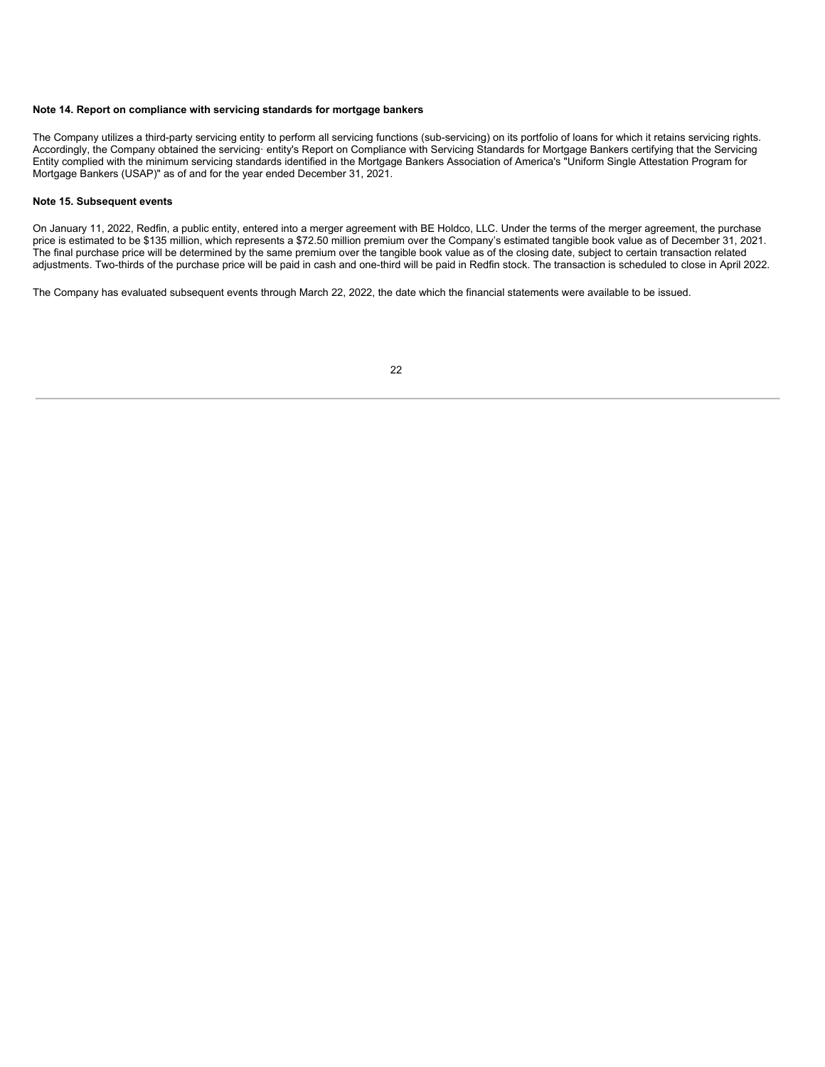#### **Note 14. Report on compliance with servicing standards for mortgage bankers**

The Company utilizes a third-party servicing entity to perform all servicing functions (sub-servicing) on its portfolio of loans for which it retains servicing rights. Accordingly, the Company obtained the servicing· entity's Report on Compliance with Servicing Standards for Mortgage Bankers certifying that the Servicing Entity complied with the minimum servicing standards identified in the Mortgage Bankers Association of America's "Uniform Single Attestation Program for Mortgage Bankers (USAP)" as of and for the year ended December 31, 2021.

#### **Note 15. Subsequent events**

On January 11, 2022, Redfin, a public entity, entered into a merger agreement with BE Holdco, LLC. Under the terms of the merger agreement, the purchase price is estimated to be \$135 million, which represents a \$72.50 million premium over the Company's estimated tangible book value as of December 31, 2021. The final purchase price will be determined by the same premium over the tangible book value as of the closing date, subject to certain transaction related adjustments. Two-thirds of the purchase price will be paid in cash and one-third will be paid in Redfin stock. The transaction is scheduled to close in April 2022.

<span id="page-26-0"></span>The Company has evaluated subsequent events through March 22, 2022, the date which the financial statements were available to be issued.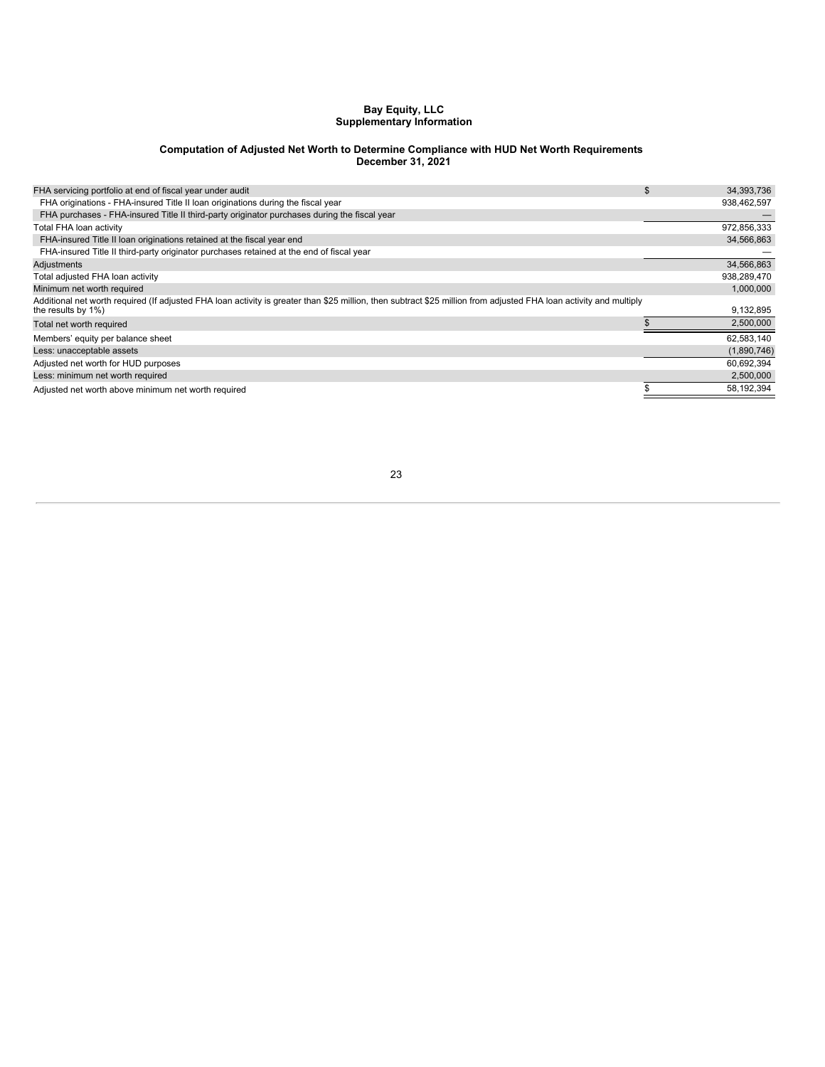#### **Bay Equity, LLC Supplementary Information**

#### **Computation of Adjusted Net Worth to Determine Compliance with HUD Net Worth Requirements December 31, 2021**

<span id="page-27-1"></span><span id="page-27-0"></span>

| FHA servicing portfolio at end of fiscal year under audit                                                                                                                                | \$<br>34,393,736 |
|------------------------------------------------------------------------------------------------------------------------------------------------------------------------------------------|------------------|
| FHA originations - FHA-insured Title II loan originations during the fiscal year                                                                                                         | 938,462,597      |
| FHA purchases - FHA-insured Title II third-party originator purchases during the fiscal year                                                                                             |                  |
| Total FHA loan activity                                                                                                                                                                  | 972,856,333      |
| FHA-insured Title II loan originations retained at the fiscal year end                                                                                                                   | 34,566,863       |
| FHA-insured Title II third-party originator purchases retained at the end of fiscal year                                                                                                 |                  |
| Adjustments                                                                                                                                                                              | 34,566,863       |
| Total adjusted FHA loan activity                                                                                                                                                         | 938,289,470      |
| Minimum net worth required                                                                                                                                                               | 1,000,000        |
| Additional net worth required (If adjusted FHA loan activity is greater than \$25 million, then subtract \$25 million from adjusted FHA loan activity and multiply<br>the results by 1%) | 9,132,895        |
| Total net worth required                                                                                                                                                                 | 2,500,000        |
| Members' equity per balance sheet                                                                                                                                                        | 62,583,140       |
| Less: unacceptable assets                                                                                                                                                                | (1,890,746)      |
| Adjusted net worth for HUD purposes                                                                                                                                                      | 60,692,394       |
| Less: minimum net worth required                                                                                                                                                         | 2,500,000        |
| Adjusted net worth above minimum net worth required                                                                                                                                      | 58,192,394       |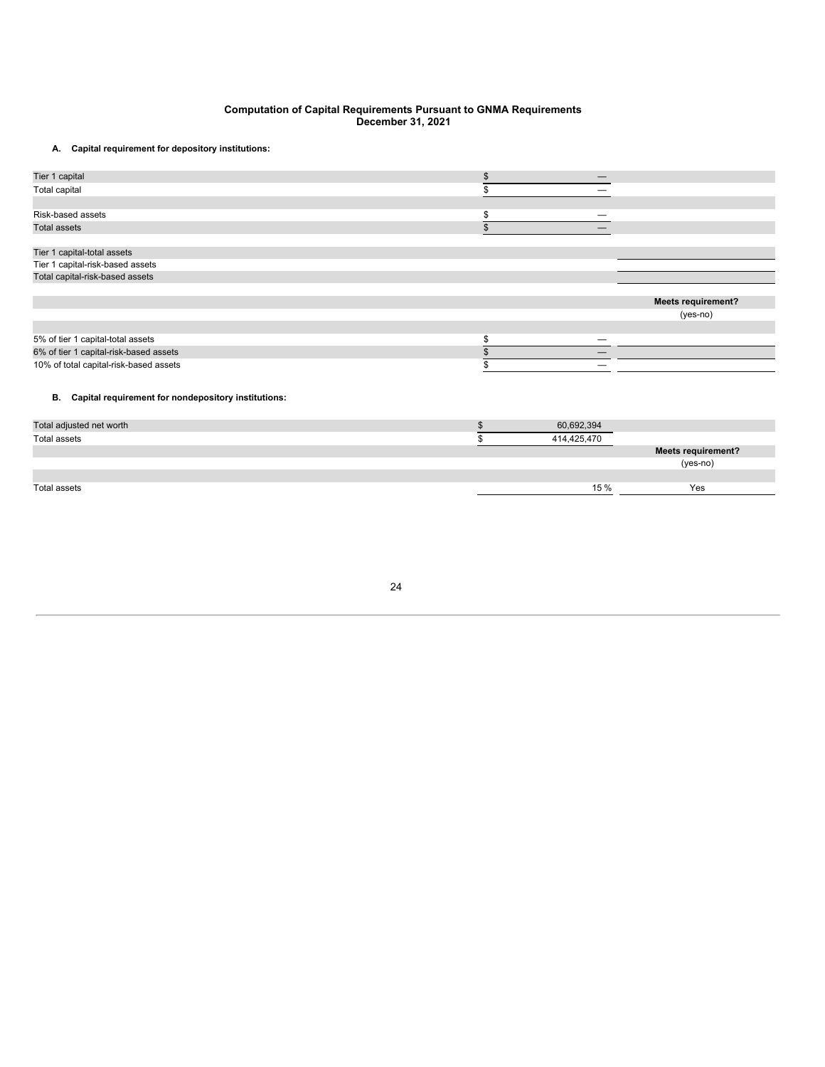#### **Computation of Capital Requirements Pursuant to GNMA Requirements December 31, 2021**

## **A. Capital requirement for depository institutions:**

| Tier 1 capital                         | — |                           |
|----------------------------------------|---|---------------------------|
| Total capital                          |   |                           |
|                                        |   |                           |
| Risk-based assets                      |   |                           |
| <b>Total assets</b>                    |   |                           |
|                                        |   |                           |
| Tier 1 capital-total assets            |   |                           |
| Tier 1 capital-risk-based assets       |   |                           |
| Total capital-risk-based assets        |   |                           |
|                                        |   |                           |
|                                        |   | <b>Meets requirement?</b> |
|                                        |   | (yes-no)                  |
|                                        |   |                           |
| 5% of tier 1 capital-total assets      |   |                           |
| 6% of tier 1 capital-risk-based assets |   |                           |
| 10% of total capital-risk-based assets |   |                           |

#### **B. Capital requirement for nondepository institutions:**

<span id="page-28-0"></span>

| Total adjusted net worth | 60,692,394  |                           |
|--------------------------|-------------|---------------------------|
| Total assets             | 414,425,470 |                           |
|                          |             | <b>Meets requirement?</b> |
|                          |             | $(yes-no)$                |
|                          |             |                           |
| Total assets             | 15 %        | Yes                       |
|                          |             |                           |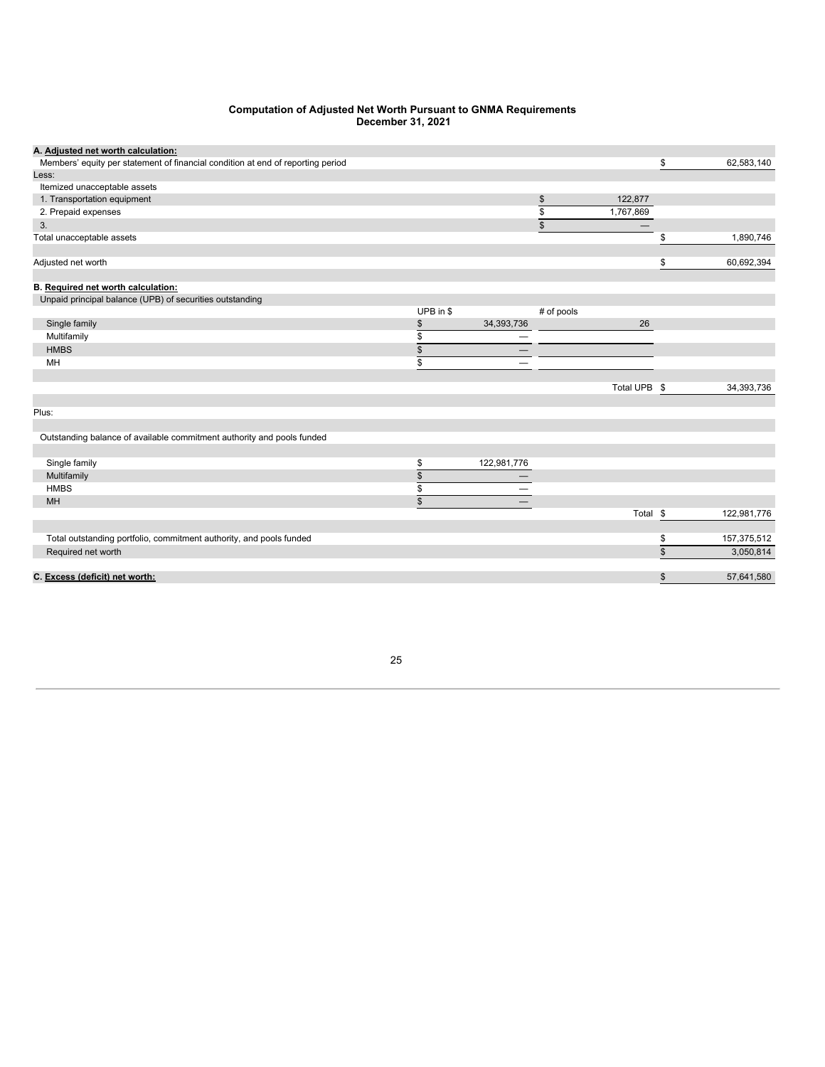#### **Computation of Adjusted Net Worth Pursuant to GNMA Requirements December 31, 2021**

<span id="page-29-0"></span>

| A. Adjusted net worth calculation:                                              |                 |                                  |                         |                   |                         |             |
|---------------------------------------------------------------------------------|-----------------|----------------------------------|-------------------------|-------------------|-------------------------|-------------|
| Members' equity per statement of financial condition at end of reporting period |                 |                                  |                         |                   | \$                      | 62,583,140  |
| Less:                                                                           |                 |                                  |                         |                   |                         |             |
| Itemized unacceptable assets                                                    |                 |                                  |                         |                   |                         |             |
| 1. Transportation equipment                                                     |                 |                                  | \$                      | 122,877           |                         |             |
| 2. Prepaid expenses                                                             |                 |                                  | \$                      | 1,767,869         |                         |             |
| 3.                                                                              |                 |                                  | $\sqrt[6]{\frac{1}{2}}$ | $\qquad \qquad -$ |                         |             |
| Total unacceptable assets                                                       |                 |                                  |                         |                   | \$                      | 1,890,746   |
| Adjusted net worth                                                              |                 |                                  |                         |                   | \$                      | 60,692,394  |
| B. Required net worth calculation:                                              |                 |                                  |                         |                   |                         |             |
| Unpaid principal balance (UPB) of securities outstanding                        |                 |                                  |                         |                   |                         |             |
|                                                                                 | UPB in \$       |                                  | # of pools              |                   |                         |             |
| Single family                                                                   | \$              | 34,393,736                       |                         | 26                |                         |             |
| Multifamily                                                                     | \$              |                                  |                         |                   |                         |             |
| <b>HMBS</b>                                                                     | \$              |                                  |                         |                   |                         |             |
| MH                                                                              |                 |                                  |                         |                   |                         |             |
|                                                                                 | \$              |                                  |                         |                   |                         |             |
|                                                                                 |                 |                                  |                         |                   |                         |             |
|                                                                                 |                 |                                  |                         | Total UPB \$      |                         | 34,393,736  |
| Plus:                                                                           |                 |                                  |                         |                   |                         |             |
|                                                                                 |                 |                                  |                         |                   |                         |             |
| Outstanding balance of available commitment authority and pools funded          |                 |                                  |                         |                   |                         |             |
| Single family                                                                   | \$              | 122,981,776                      |                         |                   |                         |             |
| Multifamily                                                                     | \$              |                                  |                         |                   |                         |             |
| <b>HMBS</b>                                                                     | \$              | $\overbrace{\phantom{12322111}}$ |                         |                   |                         |             |
| MH                                                                              | $\overline{\$}$ |                                  |                         |                   |                         |             |
|                                                                                 |                 |                                  |                         | Total \$          |                         | 122,981,776 |
|                                                                                 |                 |                                  |                         |                   |                         |             |
| Total outstanding portfolio, commitment authority, and pools funded             |                 |                                  |                         |                   | \$                      | 157,375,512 |
| Required net worth                                                              |                 |                                  |                         |                   | $\overline{\mathbb{S}}$ | 3,050,814   |
| C. Excess (deficit) net worth:                                                  |                 |                                  |                         |                   | \$                      | 57,641,580  |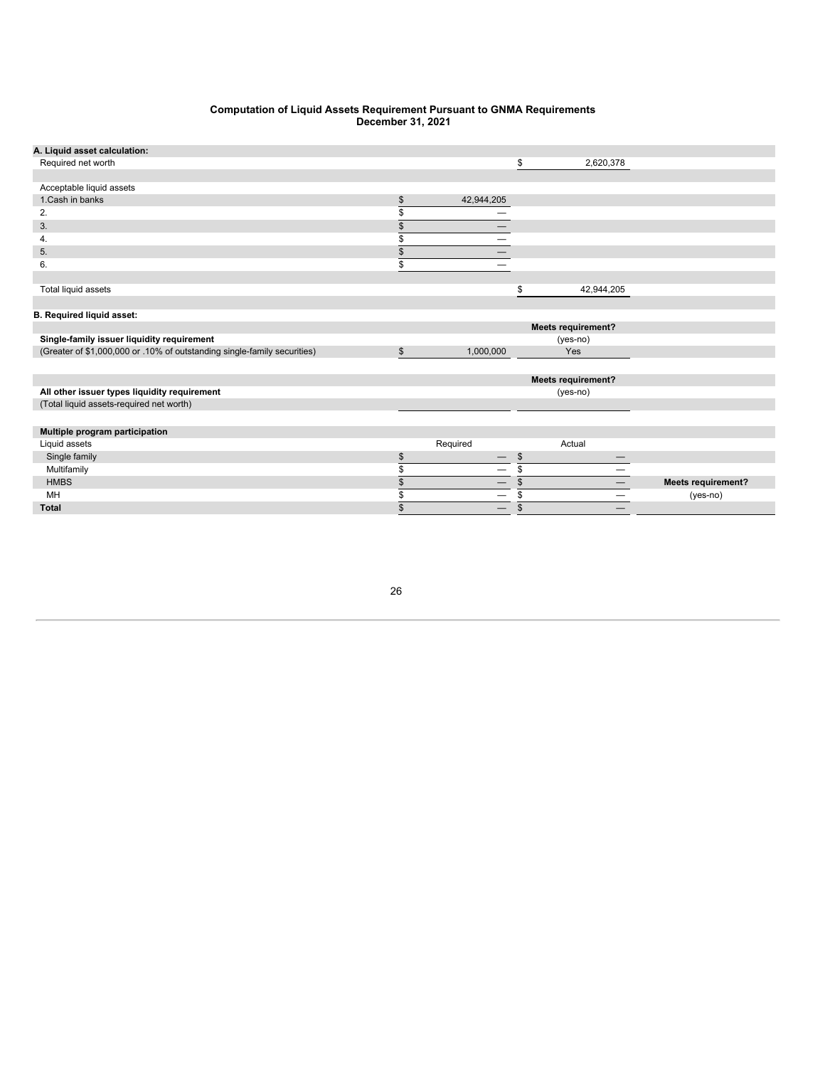#### **Computation of Liquid Assets Requirement Pursuant to GNMA Requirements December 31, 2021**

<span id="page-30-0"></span>

| A. Liquid asset calculation:                                             |                |                          |               |                           |                           |
|--------------------------------------------------------------------------|----------------|--------------------------|---------------|---------------------------|---------------------------|
| Required net worth                                                       |                |                          | \$            | 2,620,378                 |                           |
|                                                                          |                |                          |               |                           |                           |
| Acceptable liquid assets                                                 |                |                          |               |                           |                           |
| 1. Cash in banks                                                         | \$             | 42,944,205               |               |                           |                           |
| 2.                                                                       | \$             | $\overline{\phantom{0}}$ |               |                           |                           |
| 3.                                                                       |                |                          |               |                           |                           |
| 4.                                                                       |                |                          |               |                           |                           |
| 5.                                                                       |                |                          |               |                           |                           |
| 6.                                                                       | \$             |                          |               |                           |                           |
|                                                                          |                |                          |               |                           |                           |
| Total liquid assets                                                      |                |                          | \$            | 42,944,205                |                           |
|                                                                          |                |                          |               |                           |                           |
| <b>B. Required liquid asset:</b>                                         |                |                          |               |                           |                           |
|                                                                          |                |                          |               | <b>Meets requirement?</b> |                           |
| Single-family issuer liquidity requirement                               |                |                          |               | $(yes-no)$                |                           |
| (Greater of \$1,000,000 or .10% of outstanding single-family securities) | $\mathfrak{s}$ | 1,000,000                |               | Yes                       |                           |
|                                                                          |                |                          |               |                           |                           |
|                                                                          |                |                          |               | <b>Meets requirement?</b> |                           |
| All other issuer types liquidity requirement                             |                |                          |               | $(yes-no)$                |                           |
| (Total liquid assets-required net worth)                                 |                |                          |               |                           |                           |
|                                                                          |                |                          |               |                           |                           |
| Multiple program participation                                           |                |                          |               |                           |                           |
| Liquid assets                                                            |                | Required                 |               | Actual                    |                           |
| Single family                                                            | \$             | $\overline{\phantom{0}}$ | $\frac{3}{2}$ | $\hspace{0.05cm}$         |                           |
| Multifamily                                                              | \$             | $\qquad \qquad$          | \$            |                           |                           |
| <b>HMBS</b>                                                              | \$             | —                        | \$            |                           | <b>Meets requirement?</b> |
| MH                                                                       |                | —                        | \$            |                           | (yes-no)                  |
| <b>Total</b>                                                             | \$             | $\qquad \qquad -$        | \$            |                           |                           |
|                                                                          |                |                          |               |                           |                           |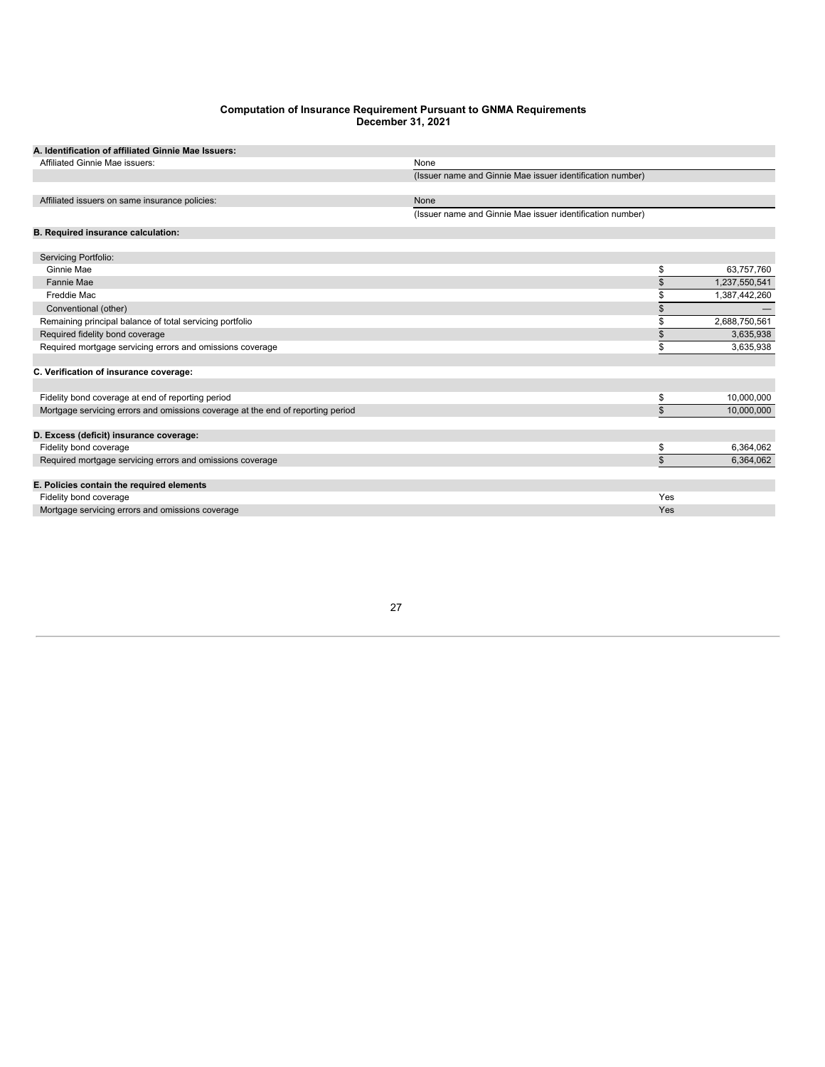#### **Computation of Insurance Requirement Pursuant to GNMA Requirements December 31, 2021**

<span id="page-31-0"></span>

| A. Identification of affiliated Ginnie Mae Issuers:                             |                                                           |               |               |
|---------------------------------------------------------------------------------|-----------------------------------------------------------|---------------|---------------|
| Affiliated Ginnie Mae issuers:                                                  | None                                                      |               |               |
|                                                                                 | (Issuer name and Ginnie Mae issuer identification number) |               |               |
|                                                                                 |                                                           |               |               |
| Affiliated issuers on same insurance policies:                                  | None                                                      |               |               |
|                                                                                 | (Issuer name and Ginnie Mae issuer identification number) |               |               |
| B. Required insurance calculation:                                              |                                                           |               |               |
| Servicing Portfolio:                                                            |                                                           |               |               |
| Ginnie Mae                                                                      |                                                           | \$            | 63,757,760    |
| <b>Fannie Mae</b>                                                               |                                                           |               | 1,237,550,541 |
| Freddie Mac                                                                     |                                                           |               | 1,387,442,260 |
| Conventional (other)                                                            |                                                           |               |               |
| Remaining principal balance of total servicing portfolio                        |                                                           |               | 2,688,750,561 |
| Required fidelity bond coverage                                                 |                                                           |               | 3,635,938     |
| Required mortgage servicing errors and omissions coverage                       |                                                           |               | 3,635,938     |
| C. Verification of insurance coverage:                                          |                                                           |               |               |
|                                                                                 |                                                           |               |               |
| Fidelity bond coverage at end of reporting period                               |                                                           | \$            | 10,000,000    |
| Mortgage servicing errors and omissions coverage at the end of reporting period |                                                           | $\mathcal{L}$ | 10,000,000    |
| D. Excess (deficit) insurance coverage:                                         |                                                           |               |               |
| Fidelity bond coverage                                                          |                                                           | \$            | 6,364,062     |
| Required mortgage servicing errors and omissions coverage                       |                                                           | \$            | 6,364,062     |
|                                                                                 |                                                           |               |               |
| E. Policies contain the required elements                                       |                                                           |               |               |
| Fidelity bond coverage                                                          |                                                           | Yes           |               |
| Mortgage servicing errors and omissions coverage                                |                                                           | Yes           |               |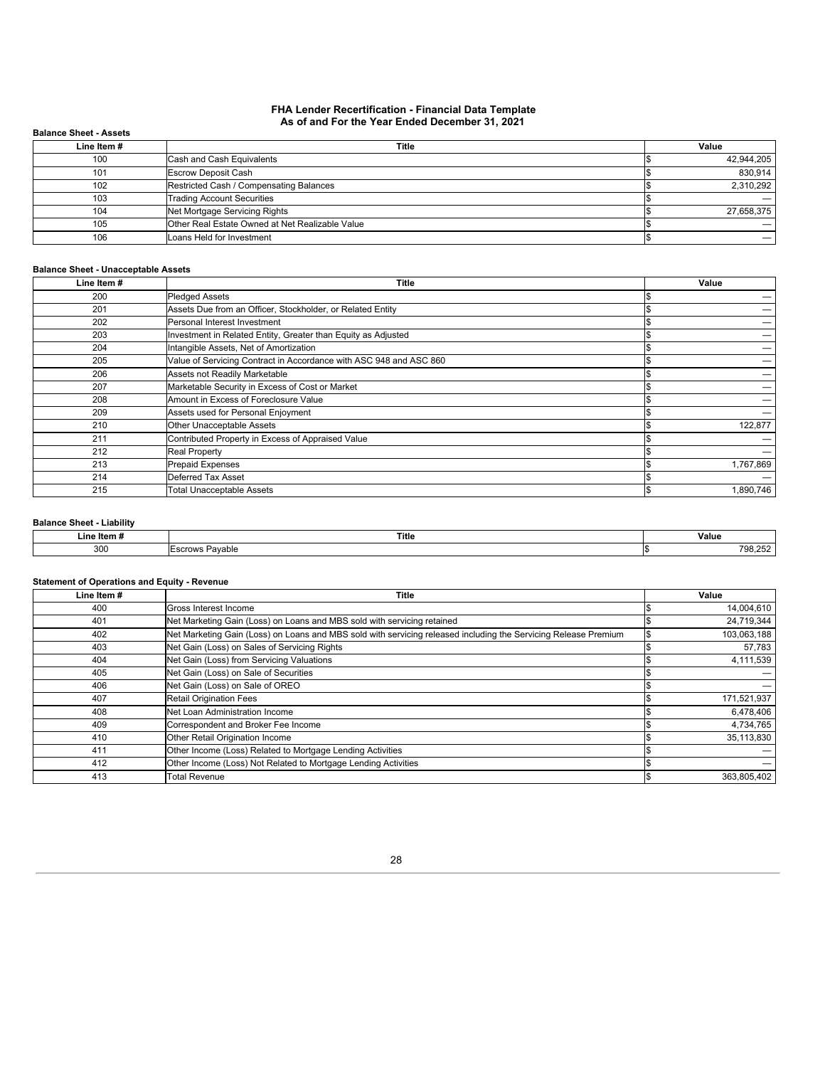#### **FHA Lender Recertification - Financial Data Template As of and For the Year Ended December 31, 2021**

| <b>Balance Sheet - Assets</b> |  |
|-------------------------------|--|
|-------------------------------|--|

| Parance Check Roocco |                                                 |            |
|----------------------|-------------------------------------------------|------------|
| Line Item#           | Title                                           | Value      |
| 100                  | Cash and Cash Equivalents                       | 42,944,205 |
| 101                  | <b>Escrow Deposit Cash</b>                      | 830,914    |
| 102                  | Restricted Cash / Compensating Balances         | 2,310,292  |
| 103                  | <b>Trading Account Securities</b>               |            |
| 104                  | Net Mortgage Servicing Rights                   | 27,658,375 |
| 105                  | Other Real Estate Owned at Net Realizable Value |            |
| 106                  | Loans Held for Investment                       |            |

#### **Balance Sheet - Unacceptable Assets**

| Line Item# | <b>Title</b>                                                       | Value     |
|------------|--------------------------------------------------------------------|-----------|
| 200        | <b>Pledged Assets</b>                                              |           |
| 201        | Assets Due from an Officer, Stockholder, or Related Entity         |           |
| 202        | Personal Interest Investment                                       |           |
| 203        | Investment in Related Entity, Greater than Equity as Adjusted      |           |
| 204        | Intangible Assets, Net of Amortization                             |           |
| 205        | Value of Servicing Contract in Accordance with ASC 948 and ASC 860 |           |
| 206        | Assets not Readily Marketable                                      |           |
| 207        | Marketable Security in Excess of Cost or Market                    |           |
| 208        | Amount in Excess of Foreclosure Value                              |           |
| 209        | Assets used for Personal Enjoyment                                 |           |
| 210        | Other Unacceptable Assets                                          | 122,877   |
| 211        | Contributed Property in Excess of Appraised Value                  |           |
| 212        | <b>Real Property</b>                                               |           |
| 213        | <b>Prepaid Expenses</b>                                            | 1,767,869 |
| 214        | Deferred Tax Asset                                                 |           |
| 215        | <b>Total Unacceptable Assets</b>                                   | 1,890,746 |

#### **Balance Sheet - Liability**

| Line Item $\vec{r}$ | Title                         | Value |
|---------------------|-------------------------------|-------|
| 300<br>.            | Pavable<br>0.050110<br>ה טעשו | 70٤   |

#### **Statement of Operations and Equity - Revenue**

| Line Item # | Title                                                                                                           | Value       |
|-------------|-----------------------------------------------------------------------------------------------------------------|-------------|
| 400         | Gross Interest Income                                                                                           | 14,004,610  |
| 401         | Net Marketing Gain (Loss) on Loans and MBS sold with servicing retained                                         | 24,719,344  |
| 402         | Net Marketing Gain (Loss) on Loans and MBS sold with servicing released including the Servicing Release Premium | 103,063,188 |
| 403         | Net Gain (Loss) on Sales of Servicing Rights                                                                    | 57,783      |
| 404         | Net Gain (Loss) from Servicing Valuations                                                                       | 4,111,539   |
| 405         | Net Gain (Loss) on Sale of Securities                                                                           |             |
| 406         | Net Gain (Loss) on Sale of OREO                                                                                 |             |
| 407         | <b>Retail Origination Fees</b>                                                                                  | 171,521,937 |
| 408         | Net Loan Administration Income                                                                                  | 6,478,406   |
| 409         | Correspondent and Broker Fee Income                                                                             | 4,734,765   |
| 410         | Other Retail Origination Income                                                                                 | 35,113,830  |
| 411         | Other Income (Loss) Related to Mortgage Lending Activities                                                      |             |
| 412         | Other Income (Loss) Not Related to Mortgage Lending Activities                                                  |             |
| 413         | <b>Total Revenue</b>                                                                                            | 363,805,402 |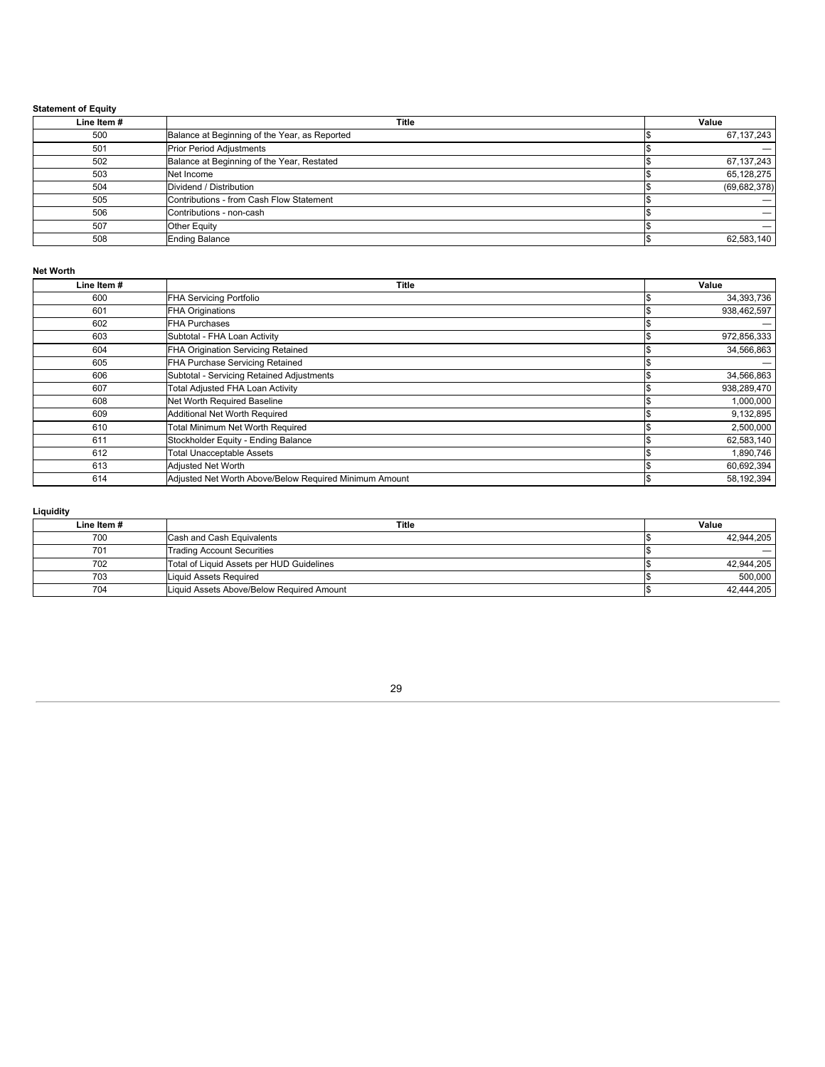## **Statement of Equity**

| Line Item # | Title                                         | Value          |
|-------------|-----------------------------------------------|----------------|
| 500         | Balance at Beginning of the Year, as Reported | 67,137,243     |
| 501         | <b>Prior Period Adjustments</b>               |                |
| 502         | Balance at Beginning of the Year, Restated    | 67,137,243     |
| 503         | Net Income                                    | 65,128,275     |
| 504         | Dividend / Distribution                       | (69, 682, 378) |
| 505         | Contributions - from Cash Flow Statement      |                |
| 506         | Contributions - non-cash                      |                |
| 507         | <b>Other Equity</b>                           |                |
| 508         | <b>Ending Balance</b>                         | 62,583,140     |

#### **Net Worth**

| Line Item # | <b>Title</b>                                           | Value       |
|-------------|--------------------------------------------------------|-------------|
| 600         | <b>FHA Servicing Portfolio</b>                         | 34,393,736  |
| 601         | <b>FHA Originations</b>                                | 938,462,597 |
| 602         | <b>FHA Purchases</b>                                   |             |
| 603         | Subtotal - FHA Loan Activity                           | 972,856,333 |
| 604         | FHA Origination Servicing Retained                     | 34,566,863  |
| 605         | FHA Purchase Servicing Retained                        |             |
| 606         | Subtotal - Servicing Retained Adjustments              | 34,566,863  |
| 607         | Total Adjusted FHA Loan Activity                       | 938,289,470 |
| 608         | Net Worth Required Baseline                            | 1,000,000   |
| 609         | Additional Net Worth Required                          | 9,132,895   |
| 610         | Total Minimum Net Worth Required                       | 2,500,000   |
| 611         | Stockholder Equity - Ending Balance                    | 62,583,140  |
| 612         | <b>Total Unacceptable Assets</b>                       | 1,890,746   |
| 613         | Adjusted Net Worth                                     | 60,692,394  |
| 614         | Adjusted Net Worth Above/Below Required Minimum Amount | 58,192,394  |

### **Liquidity**

<span id="page-33-0"></span>

| Line Item # | Title                                     | Value      |
|-------------|-------------------------------------------|------------|
| 700         | Cash and Cash Equivalents                 | 42.944.205 |
| 701         | <b>Trading Account Securities</b>         |            |
| 702         | Total of Liquid Assets per HUD Guidelines | 42.944.205 |
| 703         | Liquid Assets Required                    | 500.000    |
| 704         | Liquid Assets Above/Below Required Amount | 42,444,205 |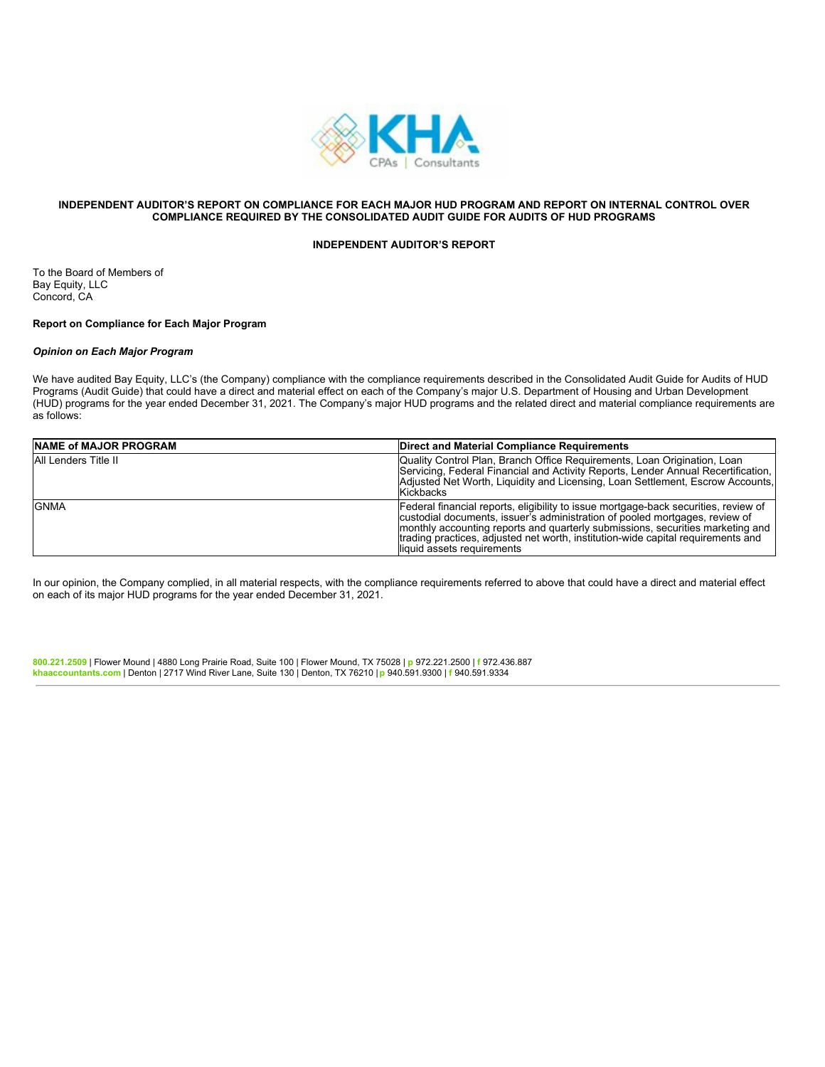

#### **INDEPENDENT AUDITOR'S REPORT ON COMPLIANCE FOR EACH MAJOR HUD PROGRAM AND REPORT ON INTERNAL CONTROL OVER COMPLIANCE REQUIRED BY THE CONSOLIDATED AUDIT GUIDE FOR AUDITS OF HUD PROGRAMS**

#### **INDEPENDENT AUDITOR'S REPORT**

To the Board of Members of Bay Equity, LLC Concord, CA

#### **Report on Compliance for Each Major Program**

#### *Opinion on Each Major Program*

We have audited Bay Equity, LLC's (the Company) compliance with the compliance requirements described in the Consolidated Audit Guide for Audits of HUD Programs (Audit Guide) that could have a direct and material effect on each of the Company's major U.S. Department of Housing and Urban Development (HUD) programs for the year ended December 31, 2021. The Company's major HUD programs and the related direct and material compliance requirements are as follows:

| <b>NAME of MAJOR PROGRAM</b> | Direct and Material Compliance Requirements                                                                                                                                                                                                                                                                                                                            |
|------------------------------|------------------------------------------------------------------------------------------------------------------------------------------------------------------------------------------------------------------------------------------------------------------------------------------------------------------------------------------------------------------------|
| <b>All Lenders Title II</b>  | Quality Control Plan, Branch Office Requirements, Loan Origination, Loan<br>Servicing, Federal Financial and Activity Reports, Lender Annual Recertification,<br>Adjusted Net Worth, Liquidity and Licensing, Loan Settlement, Escrow Accounts,<br>Kickbacks                                                                                                           |
| <b>GNMA</b>                  | Federal financial reports, eligibility to issue mortgage-back securities, review of<br>custodial documents, issuer's administration of pooled mortgages, review of<br>monthly accounting reports and quarterly submissions, securities marketing and<br>trading practices, adjusted net worth, institution-wide capital requirements and<br>liquid assets requirements |

In our opinion, the Company complied, in all material respects, with the compliance requirements referred to above that could have a direct and material effect on each of its major HUD programs for the year ended December 31, 2021.

**800.221.2509** | Flower Mound | 4880 Long Prairie Road, Suite 100 | Flower Mound, TX 75028 | **p** 972.221.2500 | **f** 972.436.887 **khaaccountants.com** |Denton | 2717 Wind River Lane, Suite 130 | Denton, TX 76210 |**p** 940.591.9300 | **f** 940.591.9334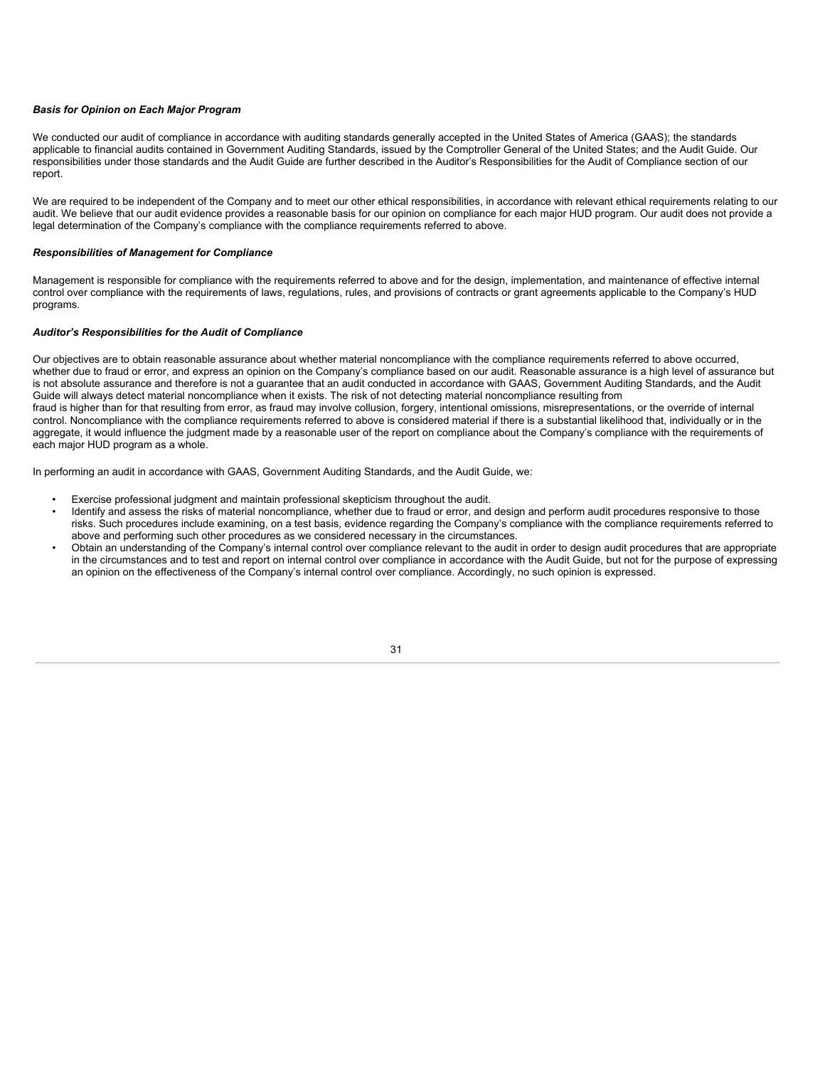#### *Basis for Opinion on Each Major Program*

We conducted our audit of compliance in accordance with auditing standards generally accepted in the United States of America (GAAS); the standards applicable to financial audits contained in Government Auditing Standards, issued by the Comptroller General of the United States; and the Audit Guide. Our responsibilities under those standards and the Audit Guide are further described in the Auditor's Responsibilities for the Audit of Compliance section of our report.

We are required to be independent of the Company and to meet our other ethical responsibilities, in accordance with relevant ethical requirements relating to our audit. We believe that our audit evidence provides a reasonable basis for our opinion on compliance for each major HUD program. Our audit does not provide a legal determination of the Company's compliance with the compliance requirements referred to above.

#### *Responsibilities of Management for Compliance*

Management is responsible for compliance with the requirements referred to above and for the design, implementation, and maintenance of effective internal control over compliance with the requirements of laws, regulations, rules, and provisions of contracts or grant agreements applicable to the Company's HUD programs.

#### *Auditor's Responsibilities for the Audit of Compliance*

Our objectives are to obtain reasonable assurance about whether material noncompliance with the compliance requirements referred to above occurred, whether due to fraud or error, and express an opinion on the Company's compliance based on our audit. Reasonable assurance is a high level of assurance but is not absolute assurance and therefore is not a guarantee that an audit conducted in accordance with GAAS, Government Auditing Standards, and the Audit Guide will always detect material noncompliance when it exists. The risk of not detecting material noncompliance resulting from fraud is higher than for that resulting from error, as fraud may involve collusion, forgery, intentional omissions, misrepresentations, or the override of internal control. Noncompliance with the compliance requirements referred to above is considered material if there is a substantial likelihood that, individually or in the aggregate, it would influence the judgment made by a reasonable user of the report on compliance about the Company's compliance with the requirements of each major HUD program as a whole.

In performing an audit in accordance with GAAS, Government Auditing Standards, and the Audit Guide, we:

- Exercise professional judgment and maintain professional skepticism throughout the audit.
- Identify and assess the risks of material noncompliance, whether due to fraud or error, and design and perform audit procedures responsive to those risks. Such procedures include examining, on a test basis, evidence regarding the Company's compliance with the compliance requirements referred to above and performing such other procedures as we considered necessary in the circumstances.
- Obtain an understanding of the Company's internal control over compliance relevant to the audit in order to design audit procedures that are appropriate in the circumstances and to test and report on internal control over compliance in accordance with the Audit Guide, but not for the purpose of expressing an opinion on the effectiveness of the Company's internal control over compliance. Accordingly, no such opinion is expressed.

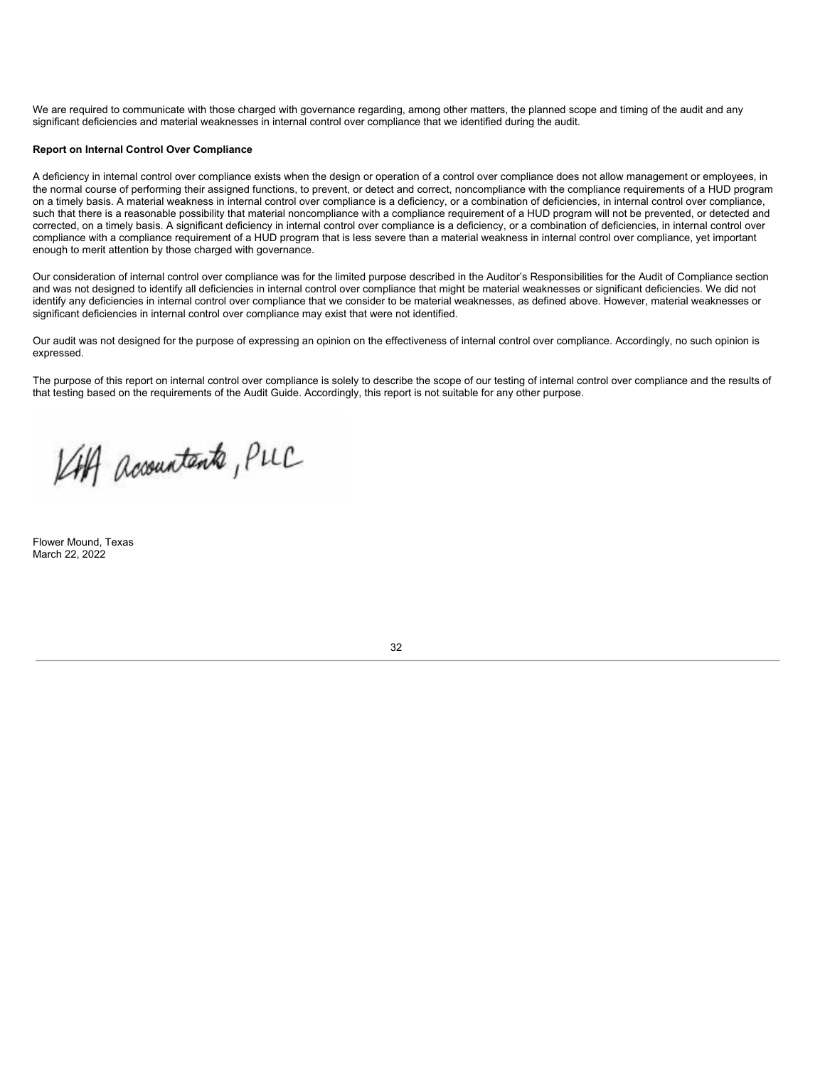We are required to communicate with those charged with governance regarding, among other matters, the planned scope and timing of the audit and any significant deficiencies and material weaknesses in internal control over compliance that we identified during the audit.

#### **Report on Internal Control Over Compliance**

A deficiency in internal control over compliance exists when the design or operation of a control over compliance does not allow management or employees, in the normal course of performing their assigned functions, to prevent, or detect and correct, noncompliance with the compliance requirements of a HUD program on a timely basis. A material weakness in internal control over compliance is a deficiency, or a combination of deficiencies, in internal control over compliance, such that there is a reasonable possibility that material noncompliance with a compliance requirement of a HUD program will not be prevented, or detected and corrected, on a timely basis. A significant deficiency in internal control over compliance is a deficiency, or a combination of deficiencies, in internal control over compliance with a compliance requirement of a HUD program that is less severe than a material weakness in internal control over compliance, yet important enough to merit attention by those charged with governance.

Our consideration of internal control over compliance was for the limited purpose described in the Auditor's Responsibilities for the Audit of Compliance section and was not designed to identify all deficiencies in internal control over compliance that might be material weaknesses or significant deficiencies. We did not identify any deficiencies in internal control over compliance that we consider to be material weaknesses, as defined above. However, material weaknesses or significant deficiencies in internal control over compliance may exist that were not identified.

Our audit was not designed for the purpose of expressing an opinion on the effectiveness of internal control over compliance. Accordingly, no such opinion is expressed.

The purpose of this report on internal control over compliance is solely to describe the scope of our testing of internal control over compliance and the results of that testing based on the requirements of the Audit Guide. Accordingly, this report is not suitable for any other purpose.

KAA accountants, PUC

<span id="page-36-0"></span>Flower Mound, Texas March 22, 2022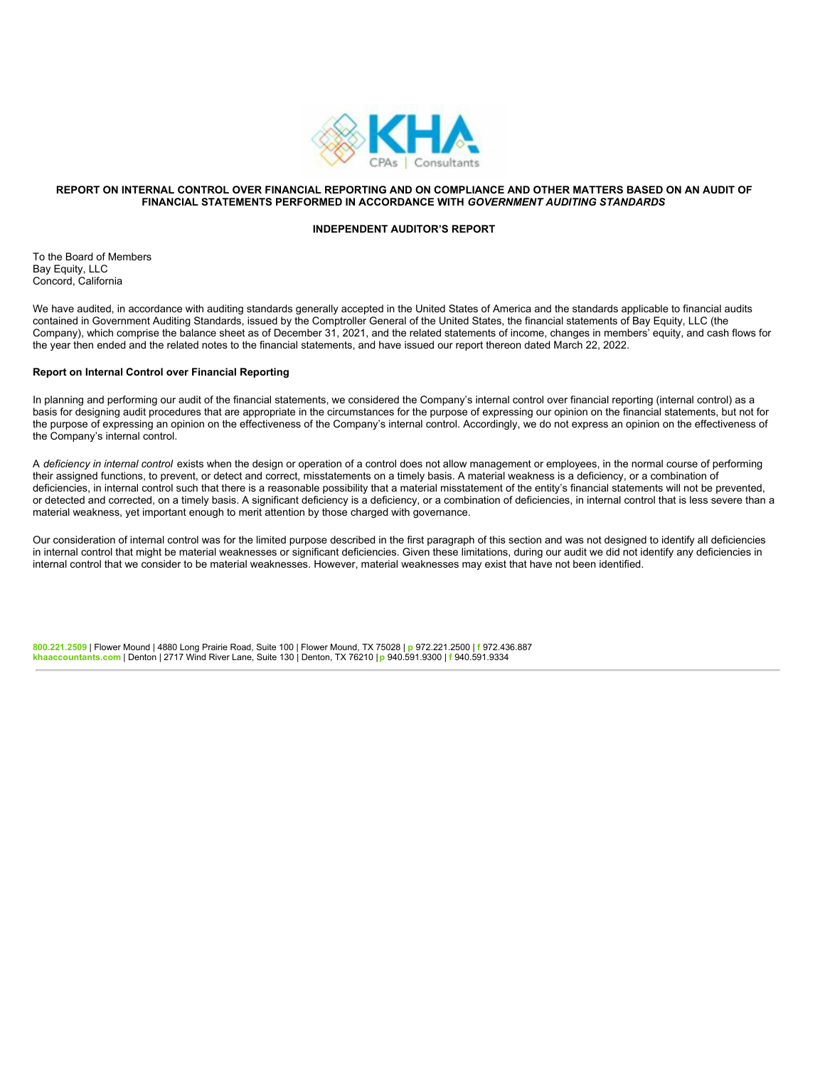

#### REPORT ON INTERNAL CONTROL OVER FINANCIAL REPORTING AND ON COMPLIANCE AND OTHER MATTERS BASED ON AN AUDIT OF **FINANCIAL STATEMENTS PERFORMED IN ACCORDANCE WITH** *GOVERNMENT AUDITING STANDARDS*

#### **INDEPENDENT AUDITOR'S REPORT**

To the Board of Members Bay Equity, LLC Concord, California

We have audited, in accordance with auditing standards generally accepted in the United States of America and the standards applicable to financial audits contained in Government Auditing Standards, issued by the Comptroller General of the United States, the financial statements of Bay Equity, LLC (the Company), which comprise the balance sheet as of December 31, 2021, and the related statements of income, changes in members' equity, and cash flows for the year then ended and the related notes to the financial statements, and have issued our report thereon dated March 22, 2022.

#### **Report on Internal Control over Financial Reporting**

In planning and performing our audit of the financial statements, we considered the Company's internal control over financial reporting (internal control) as a basis for designing audit procedures that are appropriate in the circumstances for the purpose of expressing our opinion on the financial statements, but not for the purpose of expressing an opinion on the effectiveness of the Company's internal control. Accordingly, we do not express an opinion on the effectiveness of the Company's internal control.

A *deficiency in internal control* exists when the design or operation of a control does not allow management or employees, in the normal course of performing their assigned functions, to prevent, or detect and correct, misstatements on a timely basis. A material weakness is a deficiency, or a combination of deficiencies, in internal control such that there is a reasonable possibility that a material misstatement of the entity's financial statements will not be prevented, or detected and corrected, on a timely basis. A significant deficiency is a deficiency, or a combination of deficiencies, in internal control that is less severe than a material weakness, yet important enough to merit attention by those charged with governance.

Our consideration of internal control was for the limited purpose described in the first paragraph of this section and was not designed to identify all deficiencies in internal control that might be material weaknesses or significant deficiencies. Given these limitations, during our audit we did not identify any deficiencies in internal control that we consider to be material weaknesses. However, material weaknesses may exist that have not been identified.

**800.221.2509** | Flower Mound | 4880 Long Prairie Road, Suite 100 | Flower Mound, TX 75028 | **p** 972.221.2500 | **f** 972.436.887 **khaaccountants.com** |Denton | 2717 Wind River Lane, Suite 130 | Denton, TX 76210 |**p** 940.591.9300 | **f** 940.591.9334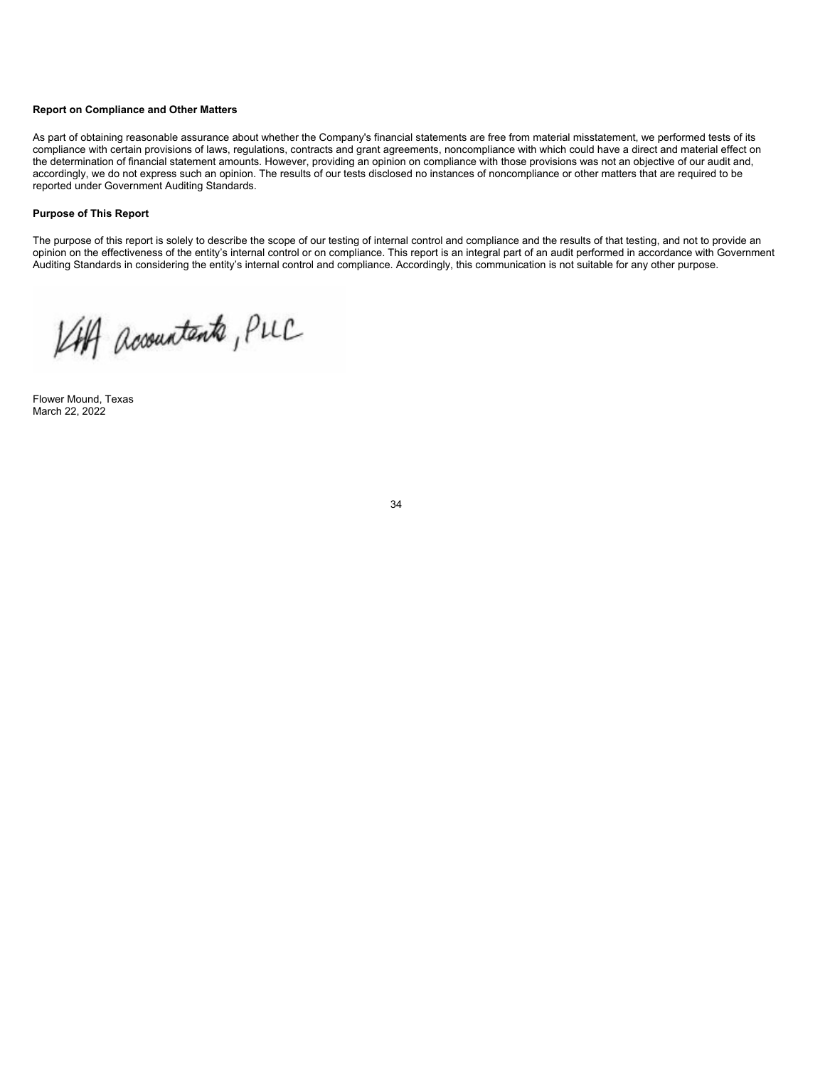#### **Report on Compliance and Other Matters**

As part of obtaining reasonable assurance about whether the Company's financial statements are free from material misstatement, we performed tests of its compliance with certain provisions of laws, regulations, contracts and grant agreements, noncompliance with which could have a direct and material effect on the determination of financial statement amounts. However, providing an opinion on compliance with those provisions was not an objective of our audit and, accordingly, we do not express such an opinion. The results of our tests disclosed no instances of noncompliance or other matters that are required to be reported under Government Auditing Standards.

#### **Purpose of This Report**

The purpose of this report is solely to describe the scope of our testing of internal control and compliance and the results of that testing, and not to provide an opinion on the effectiveness of the entity's internal control or on compliance. This report is an integral part of an audit performed in accordance with Government Auditing Standards in considering the entity's internal control and compliance. Accordingly, this communication is not suitable for any other purpose.

KAA accountants, PUC

Flower Mound, Texas March 22, 2022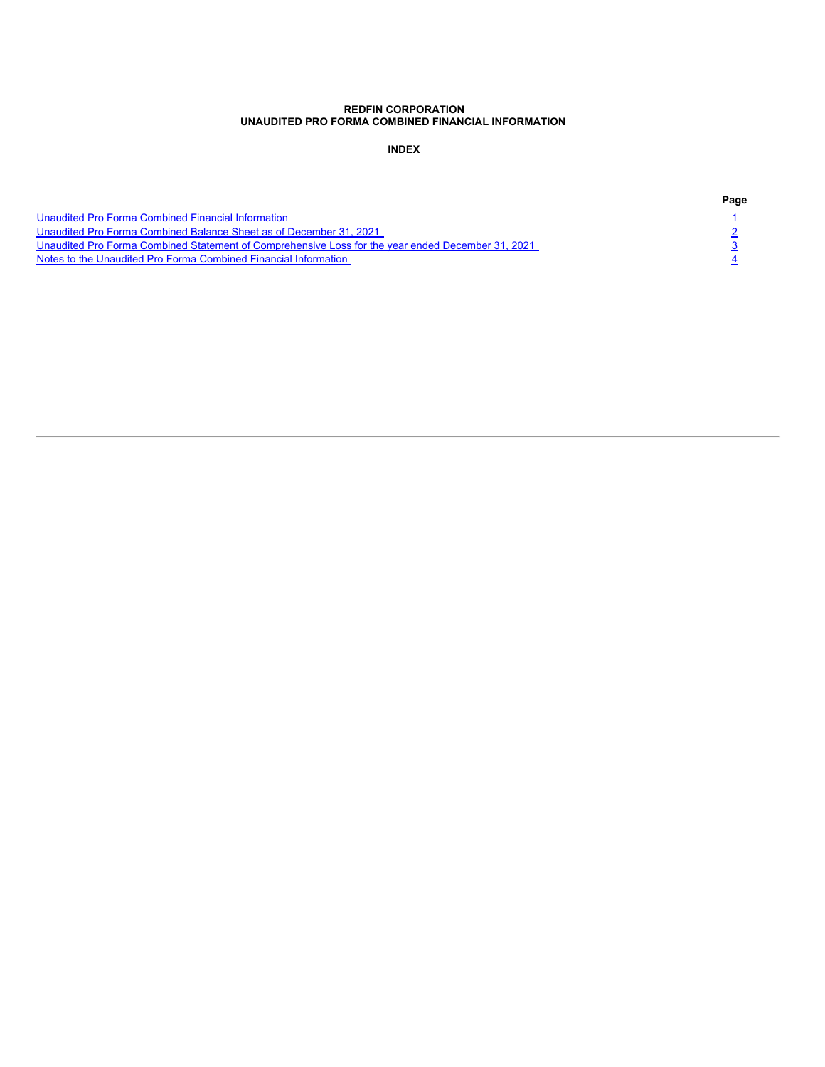#### **REDFIN CORPORATION UNAUDITED PRO FORMA COMBINED FINANCIAL INFORMATION**

**INDEX**

<span id="page-39-0"></span>

|                                                                                                   | Page |
|---------------------------------------------------------------------------------------------------|------|
| Unaudited Pro Forma Combined Financial Information                                                |      |
| Unaudited Pro Forma Combined Balance Sheet as of December 31, 2021                                |      |
| Unaudited Pro Forma Combined Statement of Comprehensive Loss for the vear ended December 31, 2021 |      |
| Notes to the Unaudited Pro Forma Combined Financial Information                                   |      |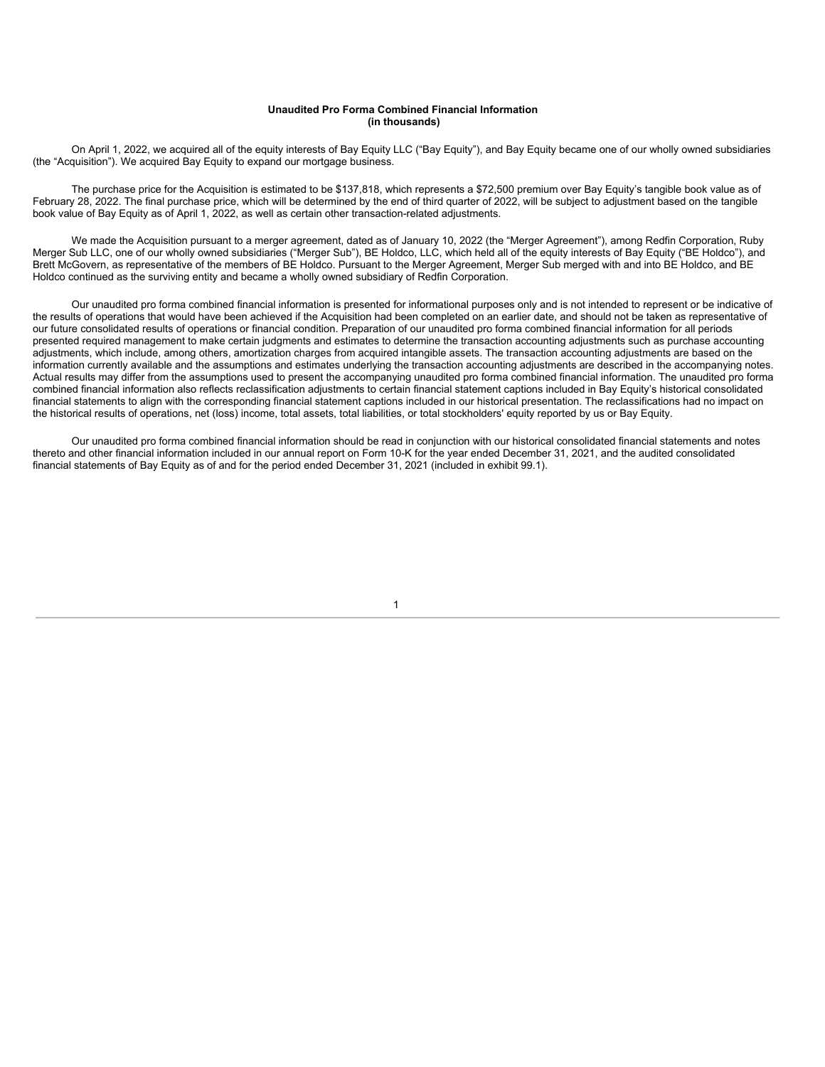#### **Unaudited Pro Forma Combined Financial Information (in thousands)**

On April 1, 2022, we acquired all of the equity interests of Bay Equity LLC ("Bay Equity"), and Bay Equity became one of our wholly owned subsidiaries (the "Acquisition"). We acquired Bay Equity to expand our mortgage business.

The purchase price for the Acquisition is estimated to be \$137,818, which represents a \$72,500 premium over Bay Equity's tangible book value as of February 28, 2022. The final purchase price, which will be determined by the end of third quarter of 2022, will be subject to adjustment based on the tangible book value of Bay Equity as of April 1, 2022, as well as certain other transaction-related adjustments.

We made the Acquisition pursuant to a merger agreement, dated as of January 10, 2022 (the "Merger Agreement"), among Redfin Corporation, Ruby Merger Sub LLC, one of our wholly owned subsidiaries ("Merger Sub"), BE Holdco, LLC, which held all of the equity interests of Bay Equity ("BE Holdco"), and Brett McGovern, as representative of the members of BE Holdco. Pursuant to the Merger Agreement, Merger Sub merged with and into BE Holdco, and BE Holdco continued as the surviving entity and became a wholly owned subsidiary of Redfin Corporation.

Our unaudited pro forma combined financial information is presented for informational purposes only and is not intended to represent or be indicative of the results of operations that would have been achieved if the Acquisition had been completed on an earlier date, and should not be taken as representative of our future consolidated results of operations or financial condition. Preparation of our unaudited pro forma combined financial information for all periods presented required management to make certain judgments and estimates to determine the transaction accounting adjustments such as purchase accounting adjustments, which include, among others, amortization charges from acquired intangible assets. The transaction accounting adjustments are based on the information currently available and the assumptions and estimates underlying the transaction accounting adjustments are described in the accompanying notes. Actual results may differ from the assumptions used to present the accompanying unaudited pro forma combined financial information. The unaudited pro forma combined financial information also reflects reclassification adjustments to certain financial statement captions included in Bay Equity's historical consolidated financial statements to align with the corresponding financial statement captions included in our historical presentation. The reclassifications had no impact on the historical results of operations, net (loss) income, total assets, total liabilities, or total stockholders' equity reported by us or Bay Equity.

<span id="page-40-0"></span>Our unaudited pro forma combined financial information should be read in conjunction with our historical consolidated financial statements and notes thereto and other financial information included in our annual report on Form 10-K for the year ended December 31, 2021, and the audited consolidated financial statements of Bay Equity as of and for the period ended December 31, 2021 (included in exhibit 99.1).

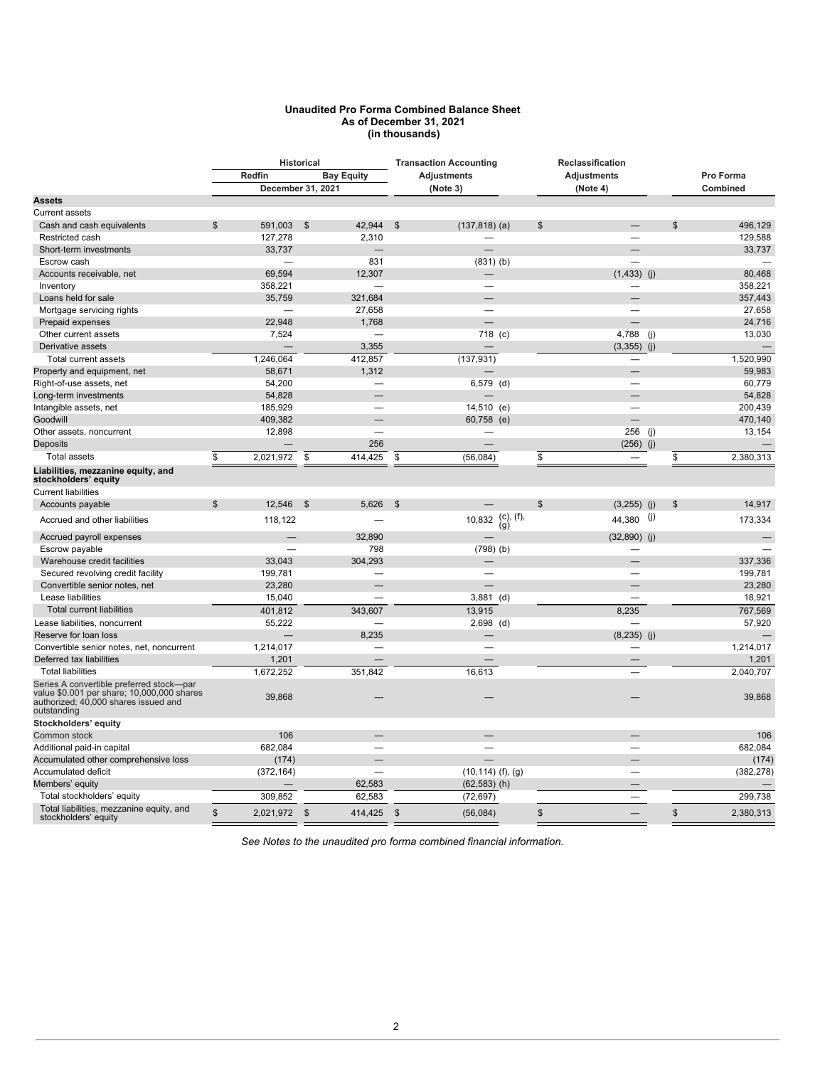#### **Unaudited Pro Forma Combined Balance Sheet As of December 31, 2021 (in thousands)**

|                                                                                                                                               | <b>Historical</b><br>Redfin<br><b>Bay Equity</b> |                          | <b>Transaction Accounting</b>    | Reclassification              |                 |
|-----------------------------------------------------------------------------------------------------------------------------------------------|--------------------------------------------------|--------------------------|----------------------------------|-------------------------------|-----------------|
|                                                                                                                                               |                                                  |                          | <b>Adjustments</b>               | <b>Adjustments</b>            | Pro Forma       |
|                                                                                                                                               |                                                  | December 31, 2021        | (Note 3)                         | (Note 4)                      | Combined        |
| <b>Assets</b>                                                                                                                                 |                                                  |                          |                                  |                               |                 |
| <b>Current assets</b>                                                                                                                         |                                                  |                          |                                  |                               |                 |
| Cash and cash equivalents                                                                                                                     | $\mathbb{S}$<br>591,003                          | 42.944<br>-\$            | $\mathbb{S}$<br>$(137, 818)$ (a) | \$                            | \$<br>496.129   |
| Restricted cash                                                                                                                               | 127,278                                          | 2,310                    |                                  |                               | 129,588         |
| Short-term investments                                                                                                                        | 33,737                                           |                          |                                  |                               | 33,737          |
| Escrow cash                                                                                                                                   |                                                  | 831                      | $(831)$ (b)                      |                               |                 |
| Accounts receivable, net                                                                                                                      | 69,594                                           | 12,307                   |                                  | $(1, 433)$ (j)                | 80.468          |
| Inventory                                                                                                                                     | 358,221                                          | $\overline{\phantom{0}}$ |                                  | $\overline{\phantom{0}}$      | 358,221         |
| Loans held for sale                                                                                                                           | 35,759                                           | 321,684                  |                                  |                               | 357,443         |
| Mortgage servicing rights                                                                                                                     | $\overline{\phantom{0}}$                         | 27,658                   |                                  |                               | 27,658          |
| Prepaid expenses                                                                                                                              | 22,948                                           | 1.768                    |                                  |                               | 24,716          |
| Other current assets                                                                                                                          | 7,524                                            |                          | 718 (c)                          | 4,788                         | (i)<br>13,030   |
| Derivative assets                                                                                                                             |                                                  | 3,355                    |                                  | $(3,355)$ (i)                 |                 |
| Total current assets                                                                                                                          | 1.246.064                                        | 412.857                  | (137, 931)                       |                               | 1,520,990       |
| Property and equipment, net                                                                                                                   | 58,671                                           | 1,312                    |                                  |                               | 59,983          |
| Right-of-use assets, net                                                                                                                      | 54,200                                           |                          | $6,579$ (d)                      |                               | 60,779          |
| Long-term investments                                                                                                                         | 54,828                                           |                          |                                  |                               | 54,828          |
| Intangible assets, net                                                                                                                        | 185,929                                          |                          | 14,510 (e)                       |                               | 200,439         |
| Goodwill                                                                                                                                      | 409,382                                          |                          | 60,758 (e)                       | $\overline{\phantom{0}}$      | 470,140         |
| Other assets, noncurrent                                                                                                                      | 12,898                                           |                          |                                  | 256                           | (i)<br>13,154   |
| <b>Deposits</b>                                                                                                                               |                                                  | 256                      |                                  | $(256)$ (j)                   |                 |
| <b>Total assets</b>                                                                                                                           | \$<br>2,021,972                                  | \$<br>414,425            | \$<br>(56, 084)                  | \$                            | \$<br>2,380,313 |
| Liabilities, mezzanine equity, and<br>stockholders' equity                                                                                    |                                                  |                          |                                  |                               |                 |
| <b>Current liabilities</b>                                                                                                                    |                                                  |                          |                                  |                               |                 |
| Accounts payable                                                                                                                              | $\mathfrak{L}$<br>12.546                         | $\mathbb{S}$<br>5.626    | $\mathbb{S}$                     | $\mathbb{S}$<br>$(3,255)$ (i) | 14.917<br>\$    |
| Accrued and other liabilities                                                                                                                 | 118.122                                          |                          | (c), (f),<br>10,832<br>(g)       | 44.380                        | (j)<br>173,334  |
| Accrued payroll expenses                                                                                                                      |                                                  | 32,890                   |                                  | $(32,890)$ (i)                |                 |
| Escrow payable                                                                                                                                |                                                  | 798                      | $(798)$ (b)                      |                               |                 |
| Warehouse credit facilities                                                                                                                   | 33,043                                           | 304,293                  |                                  |                               | 337,336         |
| Secured revolving credit facility                                                                                                             | 199.781                                          |                          |                                  |                               | 199.781         |
| Convertible senior notes, net                                                                                                                 | 23,280                                           |                          |                                  |                               | 23,280          |
| Lease liabilities                                                                                                                             | 15,040                                           |                          | $3,881$ (d)                      |                               | 18,921          |
| <b>Total current liabilities</b>                                                                                                              | 401,812                                          | 343,607                  | 13,915                           | 8,235                         | 767,569         |
| Lease liabilities, noncurrent                                                                                                                 | 55,222                                           |                          | $2,698$ (d)                      |                               | 57,920          |
| Reserve for loan loss                                                                                                                         |                                                  | 8.235                    |                                  | $(8,235)$ (i)                 |                 |
| Convertible senior notes, net, noncurrent                                                                                                     | 1,214,017                                        |                          |                                  |                               | 1,214,017       |
| Deferred tax liabilities                                                                                                                      | 1,201                                            |                          |                                  |                               | 1,201           |
| <b>Total liabilities</b>                                                                                                                      | 1,672,252                                        | 351,842                  | 16,613                           | $\overline{\phantom{0}}$      | 2,040,707       |
| Series A convertible preferred stock-par<br>value \$0.001 per share; 10,000,000 shares<br>authorized; 40,000 shares issued and<br>outstanding | 39,868                                           |                          |                                  |                               | 39.868          |
| Stockholders' equity                                                                                                                          |                                                  |                          |                                  |                               |                 |
| Common stock                                                                                                                                  | 106                                              |                          |                                  |                               | 106             |
| Additional paid-in capital                                                                                                                    | 682,084                                          |                          |                                  |                               | 682,084         |
| Accumulated other comprehensive loss                                                                                                          | (174)                                            |                          |                                  |                               | (174)           |
| Accumulated deficit                                                                                                                           | (372, 164)                                       |                          | $(10, 114)$ (f), (g)             |                               | (382, 278)      |
| Members' equity                                                                                                                               |                                                  | 62,583                   | $(62, 583)$ (h)                  |                               |                 |
| Total stockholders' equity                                                                                                                    | 309,852                                          | 62,583                   | (72, 697)                        |                               | 299,738         |
| Total liabilities, mezzanine equity, and<br>stockholders' equity                                                                              | $\mathbb{S}$<br>2,021,972 \$                     | 414,425                  | $\mathfrak{S}$<br>(56,084)       | \$                            | \$<br>2,380,313 |

<span id="page-41-0"></span>*See Notes to the unaudited pro forma combined financial information.*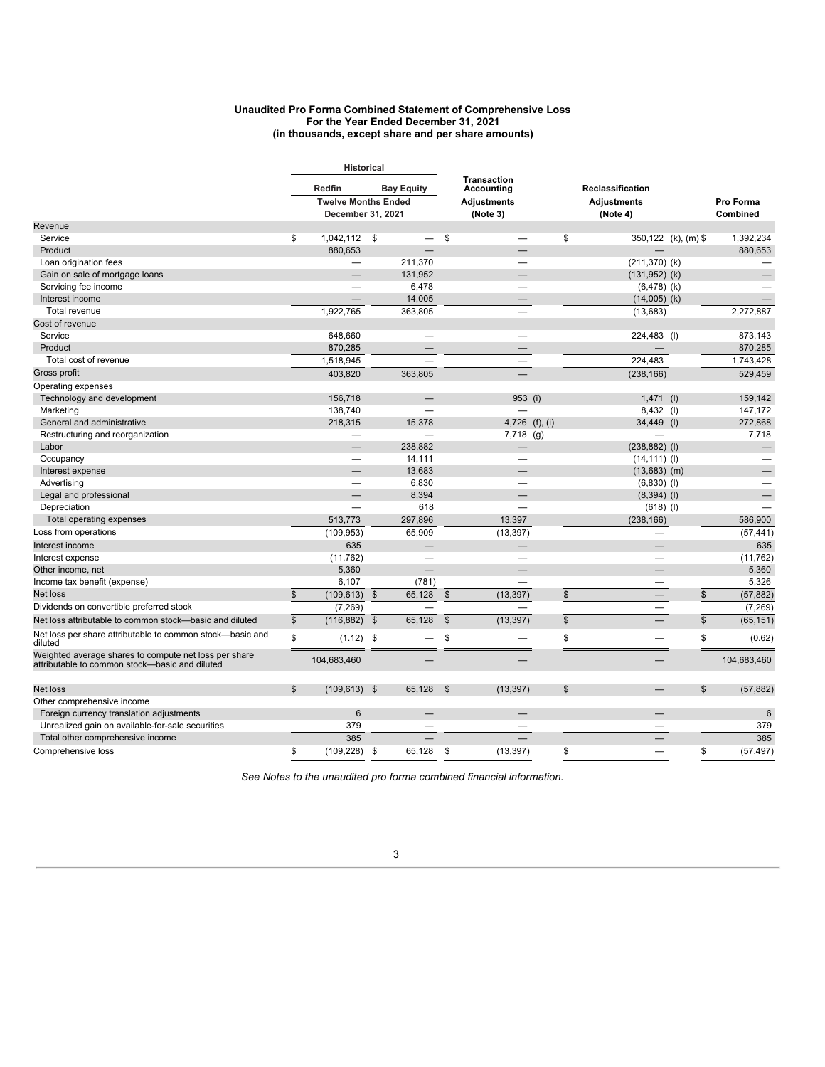#### **Unaudited Pro Forma Combined Statement of Comprehensive Loss For the Year Ended December 31, 2021 (in thousands, except share and per share amounts)**

|                                                                                                         | <b>Historical</b> |                            |               |                          |            |                                         |  |                |                                                                                                                                                                                                                                |                 |                          |
|---------------------------------------------------------------------------------------------------------|-------------------|----------------------------|---------------|--------------------------|------------|-----------------------------------------|--|----------------|--------------------------------------------------------------------------------------------------------------------------------------------------------------------------------------------------------------------------------|-----------------|--------------------------|
|                                                                                                         |                   | <b>Redfin</b>              |               | <b>Bay Equity</b>        |            | <b>Transaction</b><br><b>Accounting</b> |  |                | <b>Reclassification</b>                                                                                                                                                                                                        |                 |                          |
|                                                                                                         |                   | <b>Twelve Months Ended</b> |               |                          |            | <b>Adjustments</b>                      |  |                | <b>Adjustments</b>                                                                                                                                                                                                             |                 | Pro Forma                |
|                                                                                                         |                   | December 31, 2021          |               |                          |            | (Note 3)                                |  |                | (Note 4)                                                                                                                                                                                                                       |                 | Combined                 |
| Revenue                                                                                                 |                   |                            |               |                          |            |                                         |  |                |                                                                                                                                                                                                                                |                 |                          |
| Service                                                                                                 | \$                | 1,042,112                  | \$            | $\overline{\phantom{0}}$ | \$         | $\overline{\phantom{0}}$                |  | \$             | 350,122 (k), (m) \$                                                                                                                                                                                                            |                 | 1,392,234                |
| Product                                                                                                 |                   | 880,653                    |               |                          |            | $\overline{\phantom{0}}$                |  |                |                                                                                                                                                                                                                                |                 | 880.653                  |
| Loan origination fees                                                                                   |                   | $\overline{\phantom{m}}$   |               | 211,370                  |            | $\overline{\phantom{0}}$                |  |                | $(211, 370)$ (k)                                                                                                                                                                                                               |                 |                          |
| Gain on sale of mortgage loans                                                                          |                   |                            |               | 131,952                  |            | $\overline{\phantom{0}}$                |  |                | $(131, 952)$ (k)                                                                                                                                                                                                               |                 |                          |
| Servicing fee income                                                                                    |                   |                            |               | 6,478                    |            | $\overline{\phantom{0}}$                |  |                | $(6,478)$ (k)                                                                                                                                                                                                                  |                 |                          |
| Interest income                                                                                         |                   |                            |               | 14,005                   |            |                                         |  |                | $(14,005)$ (k)                                                                                                                                                                                                                 |                 |                          |
| Total revenue                                                                                           |                   | 1.922.765                  |               | 363.805                  |            |                                         |  |                | (13, 683)                                                                                                                                                                                                                      |                 | 2,272,887                |
| Cost of revenue                                                                                         |                   |                            |               |                          |            |                                         |  |                |                                                                                                                                                                                                                                |                 |                          |
| Service                                                                                                 |                   | 648.660                    |               |                          |            |                                         |  |                | 224,483 (l)                                                                                                                                                                                                                    |                 | 873.143                  |
| Product                                                                                                 |                   | 870,285                    |               |                          |            |                                         |  |                |                                                                                                                                                                                                                                |                 | 870,285                  |
| Total cost of revenue                                                                                   |                   | 1,518,945                  |               |                          |            |                                         |  |                | 224,483                                                                                                                                                                                                                        |                 | 1,743,428                |
| Gross profit                                                                                            |                   | 403,820                    |               | 363.805                  |            |                                         |  |                | (238, 166)                                                                                                                                                                                                                     |                 | 529.459                  |
| Operating expenses                                                                                      |                   |                            |               |                          |            |                                         |  |                |                                                                                                                                                                                                                                |                 |                          |
| Technology and development                                                                              |                   | 156,718                    |               |                          |            | 953 (i)                                 |  |                | $1,471$ (l)                                                                                                                                                                                                                    |                 | 159,142                  |
| Marketing                                                                                               |                   | 138,740                    |               |                          |            |                                         |  |                | 8,432 (l)                                                                                                                                                                                                                      |                 | 147,172                  |
| General and administrative                                                                              |                   | 218,315                    |               | 15.378                   |            | 4,726 (f), (i)                          |  |                | 34,449 (I)                                                                                                                                                                                                                     |                 | 272,868                  |
| Restructuring and reorganization                                                                        |                   | $\overline{\phantom{0}}$   |               | $\overline{\phantom{0}}$ |            | 7,718 (g)                               |  |                |                                                                                                                                                                                                                                |                 | 7,718                    |
| Labor                                                                                                   |                   |                            |               | 238,882                  |            |                                         |  |                | $(238, 882)$ (l)                                                                                                                                                                                                               |                 |                          |
| Occupancy                                                                                               |                   | $\qquad \qquad$            |               | 14.111                   |            | $\overline{\phantom{0}}$                |  |                | $(14, 111)$ (l)                                                                                                                                                                                                                |                 |                          |
| Interest expense                                                                                        |                   |                            |               | 13.683                   |            |                                         |  |                | $(13,683)$ (m)                                                                                                                                                                                                                 |                 |                          |
| Advertising                                                                                             |                   | $\overline{\phantom{0}}$   |               | 6.830                    |            |                                         |  |                | $(6,830)$ (I)                                                                                                                                                                                                                  |                 | $\overline{\phantom{0}}$ |
| Legal and professional                                                                                  |                   |                            |               | 8,394                    |            | $\equiv$                                |  |                | $(8,394)$ (I)                                                                                                                                                                                                                  |                 | $\overline{\phantom{0}}$ |
| Depreciation                                                                                            |                   | $\overline{\phantom{0}}$   |               | 618                      |            | $\overline{\phantom{0}}$                |  |                | $(618)$ (I)                                                                                                                                                                                                                    |                 |                          |
| Total operating expenses                                                                                |                   | 513,773                    |               | 297,896                  |            | 13,397                                  |  |                | (238, 166)                                                                                                                                                                                                                     |                 | 586,900                  |
| Loss from operations                                                                                    |                   | (109, 953)                 |               | 65.909                   |            | (13, 397)                               |  |                |                                                                                                                                                                                                                                |                 | (57, 441)                |
| Interest income                                                                                         |                   | 635                        |               |                          |            | <u>e a</u>                              |  |                |                                                                                                                                                                                                                                |                 | 635                      |
| Interest expense                                                                                        |                   | (11, 762)                  |               |                          |            |                                         |  |                |                                                                                                                                                                                                                                |                 | (11, 762)                |
| Other income, net                                                                                       |                   | 5,360                      |               | $\overline{\phantom{0}}$ |            | <u>e a</u>                              |  |                | and the contract of the contract of the contract of the contract of the contract of the contract of the contract of the contract of the contract of the contract of the contract of the contract of the contract of the contra |                 | 5,360                    |
| Income tax benefit (expense)                                                                            |                   | 6,107                      |               | (781)                    |            |                                         |  |                |                                                                                                                                                                                                                                |                 | 5,326                    |
| Net loss                                                                                                | \$                | (109, 613)                 | \$            | 65,128                   | \$         | (13, 397)                               |  | \$             | $\overline{\phantom{0}}$                                                                                                                                                                                                       | \$              | (57, 882)                |
| Dividends on convertible preferred stock                                                                |                   | (7, 269)                   |               |                          |            |                                         |  |                | —                                                                                                                                                                                                                              |                 | (7, 269)                 |
| Net loss attributable to common stock-basic and diluted                                                 | $\overline{\$}$   | (116, 882)                 | $\mathsf{\$}$ | 65,128                   | $\sqrt{2}$ | (13, 397)                               |  | $\mathfrak{S}$ |                                                                                                                                                                                                                                | $\overline{\$}$ | (65, 151)                |
| Net loss per share attributable to common stock-basic and<br>diluted                                    | \$                | (1.12)                     | \$            |                          | \$         |                                         |  | \$             |                                                                                                                                                                                                                                | \$              | (0.62)                   |
| Weighted average shares to compute net loss per share<br>attributable to common stock-basic and diluted |                   | 104,683,460                |               |                          |            |                                         |  |                |                                                                                                                                                                                                                                |                 | 104,683,460              |
| Net loss                                                                                                | $\mathfrak{S}$    | $(109, 613)$ \$            |               | 65,128                   | \$         | (13, 397)                               |  | $\mathfrak{s}$ |                                                                                                                                                                                                                                | $\mathbb{S}$    | (57, 882)                |
| Other comprehensive income                                                                              |                   |                            |               |                          |            |                                         |  |                |                                                                                                                                                                                                                                |                 |                          |
| Foreign currency translation adjustments                                                                |                   | $6\phantom{1}6$            |               |                          |            |                                         |  |                |                                                                                                                                                                                                                                |                 | $\,6\,$                  |
| Unrealized gain on available-for-sale securities                                                        |                   | 379                        |               |                          |            |                                         |  |                |                                                                                                                                                                                                                                |                 | 379                      |
| Total other comprehensive income                                                                        |                   | 385                        |               |                          |            |                                         |  |                |                                                                                                                                                                                                                                |                 | 385                      |
| Comprehensive loss                                                                                      | \$                | (109, 228)                 | \$            | 65,128                   | \$         | (13, 397)                               |  | \$             |                                                                                                                                                                                                                                | \$              | (57, 497)                |

<span id="page-42-0"></span>*See Notes to the unaudited pro forma combined financial information.*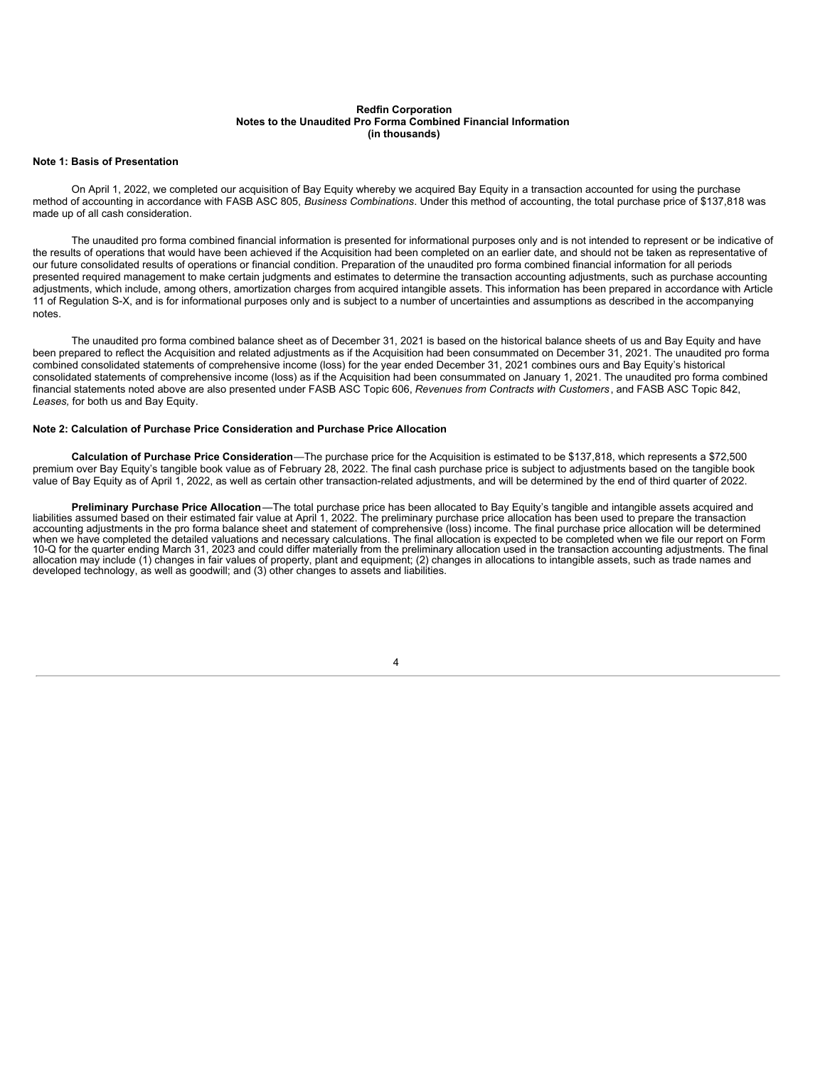#### <span id="page-43-0"></span>**Redfin Corporation Notes to the Unaudited Pro Forma Combined Financial Information (in thousands)**

#### **Note 1: Basis of Presentation**

On April 1, 2022, we completed our acquisition of Bay Equity whereby we acquired Bay Equity in a transaction accounted for using the purchase method of accounting in accordance with FASB ASC 805, *Business Combinations*. Under this method of accounting, the total purchase price of \$137,818 was made up of all cash consideration.

The unaudited pro forma combined financial information is presented for informational purposes only and is not intended to represent or be indicative of the results of operations that would have been achieved if the Acquisition had been completed on an earlier date, and should not be taken as representative of our future consolidated results of operations or financial condition. Preparation of the unaudited pro forma combined financial information for all periods presented required management to make certain judgments and estimates to determine the transaction accounting adjustments, such as purchase accounting adjustments, which include, among others, amortization charges from acquired intangible assets. This information has been prepared in accordance with Article 11 of Regulation S-X, and is for informational purposes only and is subject to a number of uncertainties and assumptions as described in the accompanying notes.

The unaudited pro forma combined balance sheet as of December 31, 2021 is based on the historical balance sheets of us and Bay Equity and have been prepared to reflect the Acquisition and related adjustments as if the Acquisition had been consummated on December 31, 2021. The unaudited pro forma combined consolidated statements of comprehensive income (loss) for the year ended December 31, 2021 combines ours and Bay Equity's historical consolidated statements of comprehensive income (loss) as if the Acquisition had been consummated on January 1, 2021. The unaudited pro forma combined financial statements noted above are also presented under FASB ASC Topic 606, *Revenues from Contracts with Customers* , and FASB ASC Topic 842, *Leases,* for both us and Bay Equity.

#### **Note 2: Calculation of Purchase Price Consideration and Purchase Price Allocation**

**Calculation of Purchase Price Consideration**—The purchase price for the Acquisition is estimated to be \$137,818, which represents a \$72,500 premium over Bay Equity's tangible book value as of February 28, 2022. The final cash purchase price is subject to adjustments based on the tangible book value of Bay Equity as of April 1, 2022, as well as certain other transaction-related adjustments, and will be determined by the end of third quarter of 2022.

Preliminary Purchase Price Allocation—The total purchase price has been allocated to Bay Equity's tangible and intangible assets acquired and<br>liabilities assumed based on their estimated fair value at April 1, 2022. The pr accounting adjustments in the pro forma balance sheet and statement of comprehensive (loss) income. The final purchase price allocation will be determined<br>when we have completed the detailed valuations and necessary calcul 10-Q for the quarter ending March 31, 2023 and could differ materially from the preliminary allocation used in the transaction accounting adjustments. The final allocation may include (1) changes in fair values of property, plant and equipment; (2) changes in allocations to intangible assets, such as trade names and developed technology, as well as goodwill; and (3) other changes to assets and liabilities.

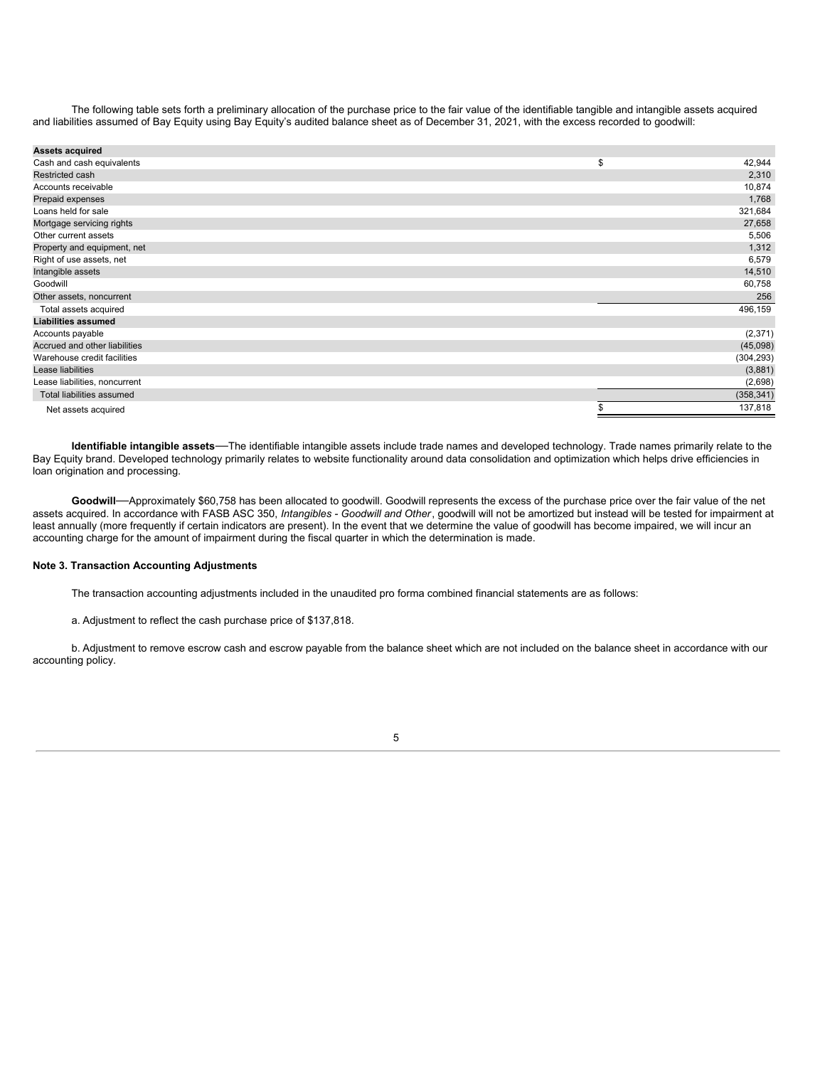The following table sets forth a preliminary allocation of the purchase price to the fair value of the identifiable tangible and intangible assets acquired and liabilities assumed of Bay Equity using Bay Equity's audited balance sheet as of December 31, 2021, with the excess recorded to goodwill:

| <b>Assets acquired</b>        |              |
|-------------------------------|--------------|
| Cash and cash equivalents     | \$<br>42,944 |
| Restricted cash               | 2,310        |
| Accounts receivable           | 10,874       |
| Prepaid expenses              | 1,768        |
| Loans held for sale           | 321,684      |
| Mortgage servicing rights     | 27,658       |
| Other current assets          | 5,506        |
| Property and equipment, net   | 1,312        |
| Right of use assets, net      | 6,579        |
| Intangible assets             | 14,510       |
| Goodwill                      | 60,758       |
| Other assets, noncurrent      | 256          |
| Total assets acquired         | 496,159      |
| <b>Liabilities assumed</b>    |              |
| Accounts payable              | (2, 371)     |
| Accrued and other liabilities | (45,098)     |
| Warehouse credit facilities   | (304, 293)   |
| Lease liabilities             | (3,881)      |
| Lease liabilities, noncurrent | (2,698)      |
| Total liabilities assumed     | (358, 341)   |
| Net assets acquired           | 137,818      |

**Identifiable intangible assets**—The identifiable intangible assets include trade names and developed technology. Trade names primarily relate to the Bay Equity brand. Developed technology primarily relates to website functionality around data consolidation and optimization which helps drive efficiencies in loan origination and processing.

**Goodwill**—Approximately \$60,758 has been allocated to goodwill. Goodwill represents the excess of the purchase price over the fair value of the net assets acquired. In accordance with FASB ASC 350, *Intangibles - Goodwill and Other*, goodwill will not be amortized but instead will be tested for impairment at least annually (more frequently if certain indicators are present). In the event that we determine the value of goodwill has become impaired, we will incur an accounting charge for the amount of impairment during the fiscal quarter in which the determination is made.

#### **Note 3. Transaction Accounting Adjustments**

The transaction accounting adjustments included in the unaudited pro forma combined financial statements are as follows:

a. Adjustment to reflect the cash purchase price of \$137,818.

b. Adjustment to remove escrow cash and escrow payable from the balance sheet which are not included on the balance sheet in accordance with our accounting policy.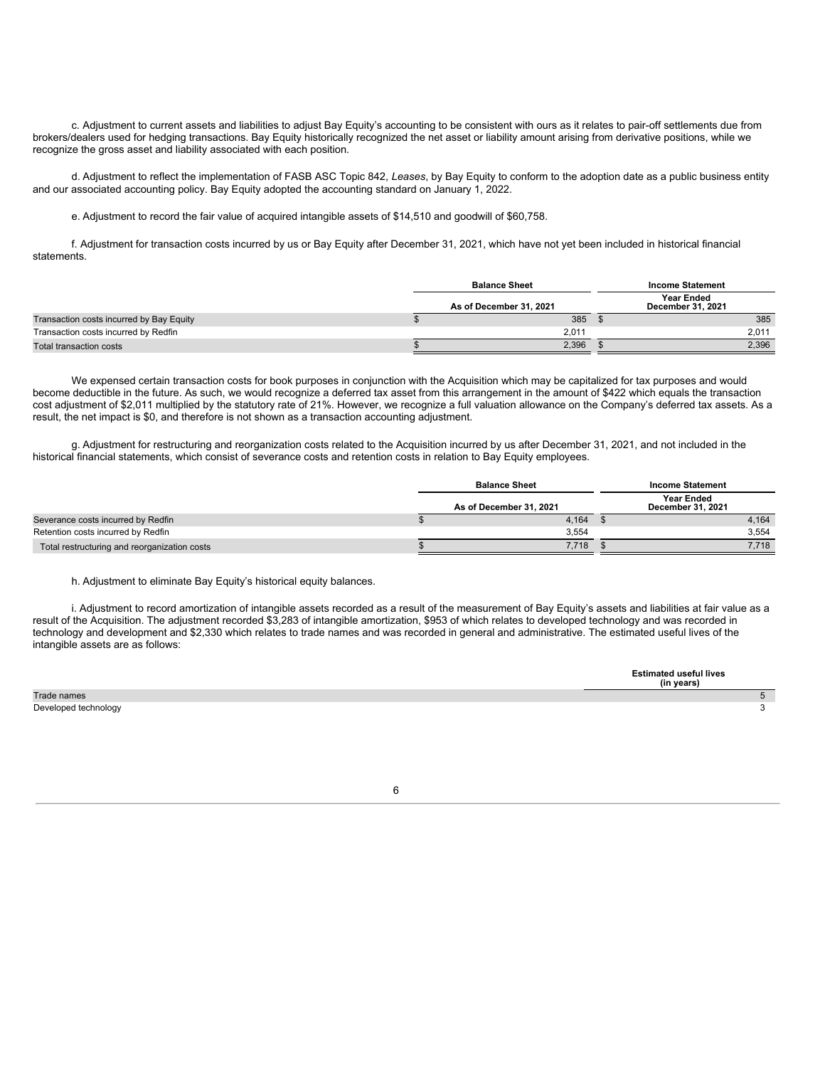c. Adjustment to current assets and liabilities to adjust Bay Equity's accounting to be consistent with ours as it relates to pair-off settlements due from brokers/dealers used for hedging transactions. Bay Equity historically recognized the net asset or liability amount arising from derivative positions, while we recognize the gross asset and liability associated with each position.

d. Adjustment to reflect the implementation of FASB ASC Topic 842, *Leases*, by Bay Equity to conform to the adoption date as a public business entity and our associated accounting policy. Bay Equity adopted the accounting standard on January 1, 2022.

e. Adjustment to record the fair value of acquired intangible assets of \$14,510 and goodwill of \$60,758.

f. Adjustment for transaction costs incurred by us or Bay Equity after December 31, 2021, which have not yet been included in historical financial statements.

|                                          | <b>Balance Sheet</b> |                         | <b>Income Statement</b> |                                        |
|------------------------------------------|----------------------|-------------------------|-------------------------|----------------------------------------|
|                                          |                      | As of December 31, 2021 |                         | <b>Year Ended</b><br>December 31, 2021 |
| Transaction costs incurred by Bay Equity |                      | 385                     |                         | 385                                    |
| Transaction costs incurred by Redfin     |                      | 2.011                   |                         | 2,011                                  |
| Total transaction costs                  |                      | 2,396                   |                         | 2,396                                  |

We expensed certain transaction costs for book purposes in conjunction with the Acquisition which may be capitalized for tax purposes and would become deductible in the future. As such, we would recognize a deferred tax asset from this arrangement in the amount of \$422 which equals the transaction cost adjustment of \$2,011 multiplied by the statutory rate of 21%. However, we recognize a full valuation allowance on the Company's deferred tax assets. As a result, the net impact is \$0, and therefore is not shown as a transaction accounting adjustment.

g. Adjustment for restructuring and reorganization costs related to the Acquisition incurred by us after December 31, 2021, and not included in the historical financial statements, which consist of severance costs and retention costs in relation to Bay Equity employees.

|                                              | <b>Balance Sheet</b>    |  | <b>Income Statement</b>                |  |
|----------------------------------------------|-------------------------|--|----------------------------------------|--|
|                                              | As of December 31, 2021 |  | <b>Year Ended</b><br>December 31, 2021 |  |
| Severance costs incurred by Redfin           | 4,164                   |  | 4,164                                  |  |
| Retention costs incurred by Redfin           | 3.554                   |  | 3.554                                  |  |
| Total restructuring and reorganization costs | 7,718                   |  | 7,718                                  |  |

h. Adjustment to eliminate Bay Equity's historical equity balances.

i. Adjustment to record amortization of intangible assets recorded as a result of the measurement of Bay Equity's assets and liabilities at fair value as a result of the Acquisition. The adjustment recorded \$3,283 of intangible amortization, \$953 of which relates to developed technology and was recorded in technology and development and \$2,330 which relates to trade names and was recorded in general and administrative. The estimated useful lives of the intangible assets are as follows:

|                      | <b>Estimated useful lives</b><br>(in vears) |
|----------------------|---------------------------------------------|
| Trade names          |                                             |
| Developed technology |                                             |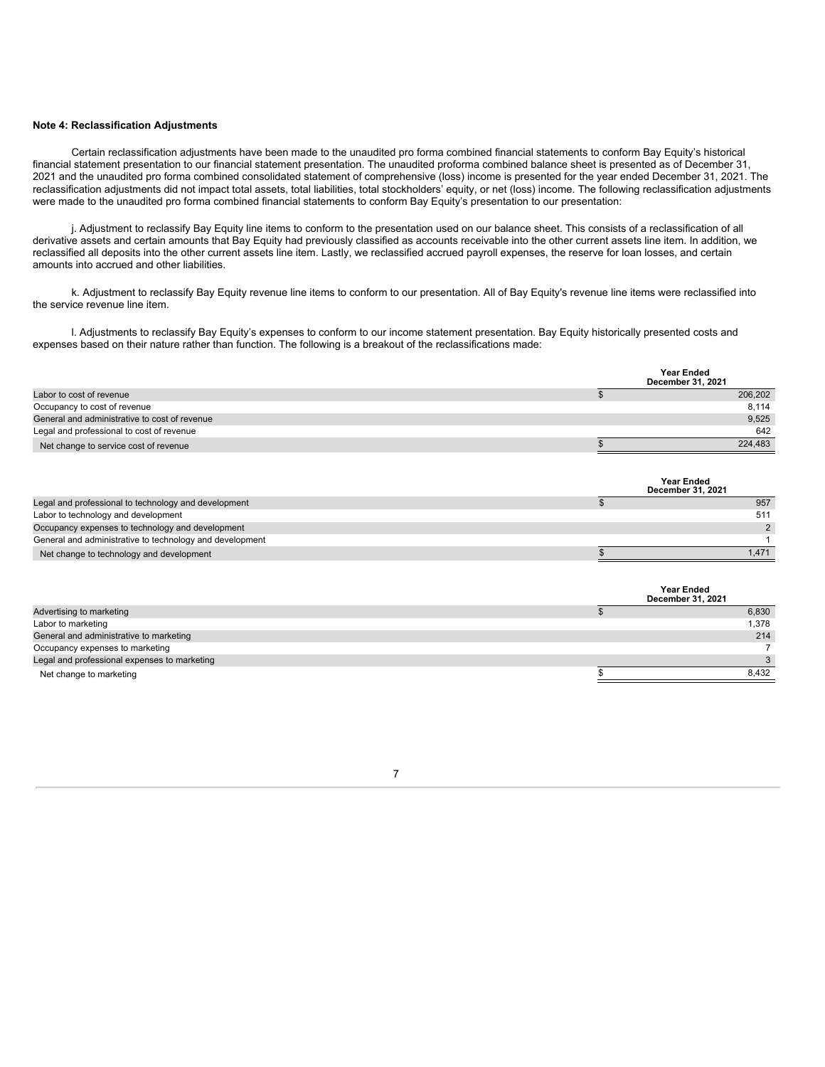#### **Note 4: Reclassification Adjustments**

Certain reclassification adjustments have been made to the unaudited pro forma combined financial statements to conform Bay Equity's historical financial statement presentation to our financial statement presentation. The unaudited proforma combined balance sheet is presented as of December 31, 2021 and the unaudited pro forma combined consolidated statement of comprehensive (loss) income is presented for the year ended December 31, 2021. The reclassification adjustments did not impact total assets, total liabilities, total stockholders' equity, or net (loss) income. The following reclassification adjustments were made to the unaudited pro forma combined financial statements to conform Bay Equity's presentation to our presentation:

j. Adjustment to reclassify Bay Equity line items to conform to the presentation used on our balance sheet. This consists of a reclassification of all derivative assets and certain amounts that Bay Equity had previously classified as accounts receivable into the other current assets line item. In addition, we reclassified all deposits into the other current assets line item. Lastly, we reclassified accrued payroll expenses, the reserve for loan losses, and certain amounts into accrued and other liabilities.

k. Adjustment to reclassify Bay Equity revenue line items to conform to our presentation. All of Bay Equity's revenue line items were reclassified into the service revenue line item.

l. Adjustments to reclassify Bay Equity's expenses to conform to our income statement presentation. Bay Equity historically presented costs and expenses based on their nature rather than function. The following is a breakout of the reclassifications made:

|                                               | <b>Year Ended</b><br>December 31, 2021 |
|-----------------------------------------------|----------------------------------------|
| Labor to cost of revenue                      | 206,202                                |
| Occupancy to cost of revenue                  | 8,114                                  |
| General and administrative to cost of revenue | 9,525                                  |
| Legal and professional to cost of revenue     | 642                                    |
| Net change to service cost of revenue         | 224,483                                |
|                                               |                                        |

|                                                          | <b>Year Ended</b><br><b>December 31, 2021</b> |
|----------------------------------------------------------|-----------------------------------------------|
| Legal and professional to technology and development     | 957                                           |
| Labor to technology and development                      | 511                                           |
| Occupancy expenses to technology and development         |                                               |
| General and administrative to technology and development |                                               |
| Net change to technology and development                 | 1.471                                         |

|                                              | <b>Year Ended</b><br>December 31, 2021 |
|----------------------------------------------|----------------------------------------|
| Advertising to marketing                     | 6,830                                  |
| Labor to marketing                           | 1,378                                  |
| General and administrative to marketing      | 214                                    |
| Occupancy expenses to marketing              |                                        |
| Legal and professional expenses to marketing | 3                                      |
| Net change to marketing                      | 8,432                                  |